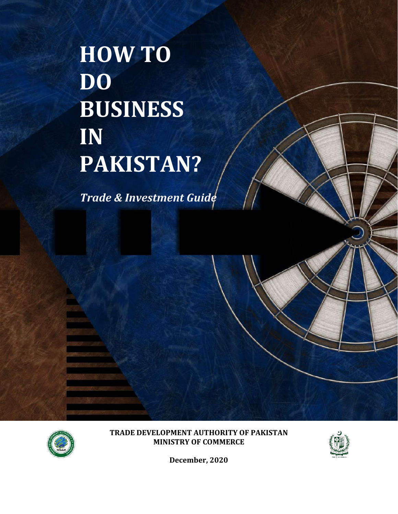**HOW TO DO BUSINESS IN PAKISTAN?**

*Trade & Investment Guide*



**TRADE DEVELOPMENT AUTHORITY OF PAKISTAN MINISTRY OF COMMERCE**



**December, 2020**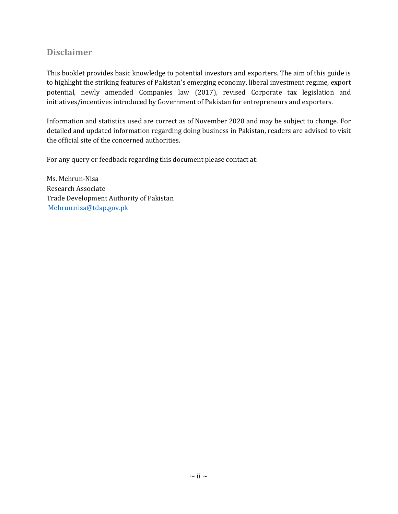# **Disclaimer**

This booklet provides basic knowledge to potential investors and exporters. The aim of this guide is to highlight the striking features of Pakistan's emerging economy, liberal investment regime, export potential, newly amended Companies law (2017), revised Corporate tax legislation and initiatives/incentives introduced by Government of Pakistan for entrepreneurs and exporters.

Information and statistics used are correct as of November 2020 and may be subject to change. For detailed and updated information regarding doing business in Pakistan, readers are advised to visit the official site of the concerned authorities.

For any query or feedback regarding this document please contact at:

Ms. Mehrun-Nisa Research Associate Trade Development Authority of Pakistan [Mehrun.nisa@tdap.gov.pk](mailto:Mehrun.nisa@tdap.gov.pk)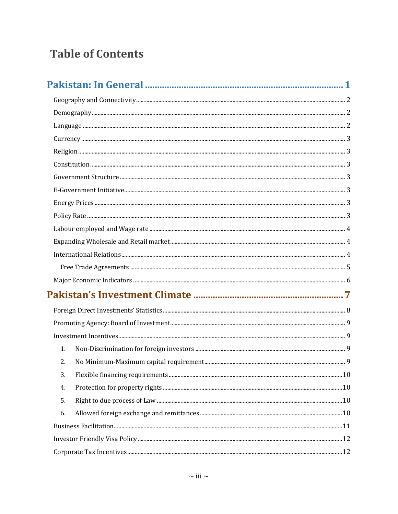# **Table of Contents**

| 1. |  |
|----|--|
| 2. |  |
| 3. |  |
| 4. |  |
| 5. |  |
| 6. |  |
|    |  |
|    |  |
|    |  |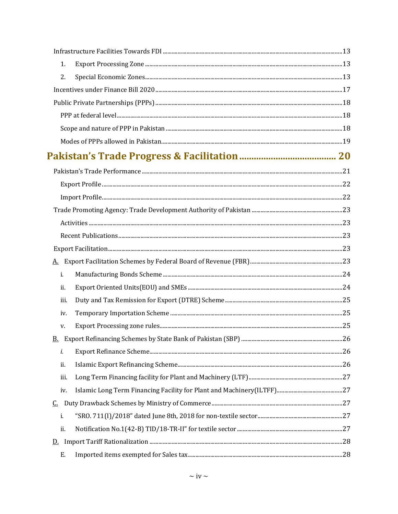| 1.             |  |
|----------------|--|
| 2.             |  |
|                |  |
|                |  |
|                |  |
|                |  |
|                |  |
|                |  |
|                |  |
|                |  |
|                |  |
|                |  |
|                |  |
|                |  |
|                |  |
| <u>A.</u>      |  |
| $\mathbf{i}$ . |  |
| ii.            |  |
| iii.           |  |
| iv.            |  |
| V.             |  |
|                |  |
| i.             |  |
| ii.            |  |
| iii.           |  |
| iv.            |  |
| <u>C.</u>      |  |
| i.             |  |
| ii.            |  |
|                |  |
| Ε.             |  |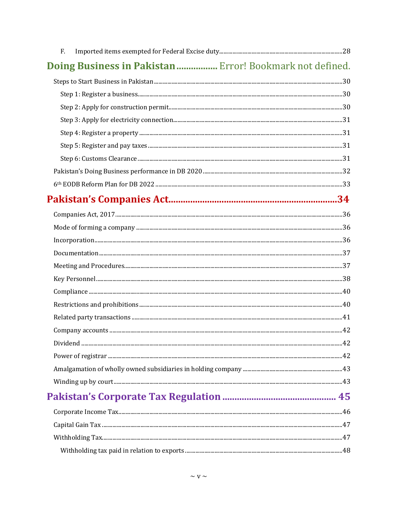| F.                                                       |  |
|----------------------------------------------------------|--|
| Doing Business in Pakistan  Error! Bookmark not defined. |  |
|                                                          |  |
|                                                          |  |
|                                                          |  |
|                                                          |  |
|                                                          |  |
|                                                          |  |
|                                                          |  |
|                                                          |  |
|                                                          |  |
|                                                          |  |
|                                                          |  |
|                                                          |  |
|                                                          |  |
|                                                          |  |
|                                                          |  |
|                                                          |  |
|                                                          |  |
|                                                          |  |
|                                                          |  |
|                                                          |  |
|                                                          |  |
|                                                          |  |
|                                                          |  |
|                                                          |  |
|                                                          |  |
|                                                          |  |
|                                                          |  |
|                                                          |  |
|                                                          |  |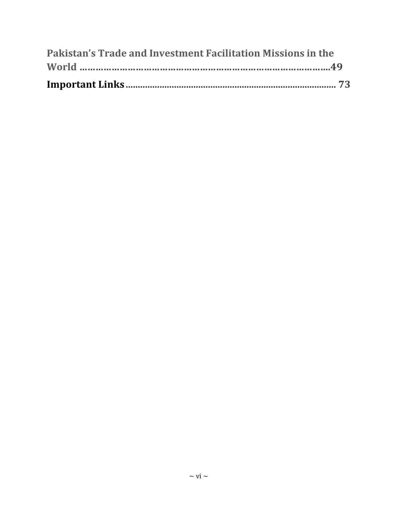| Pakistan's Trade and Investment Facilitation Missions in the |  |
|--------------------------------------------------------------|--|
|                                                              |  |
|                                                              |  |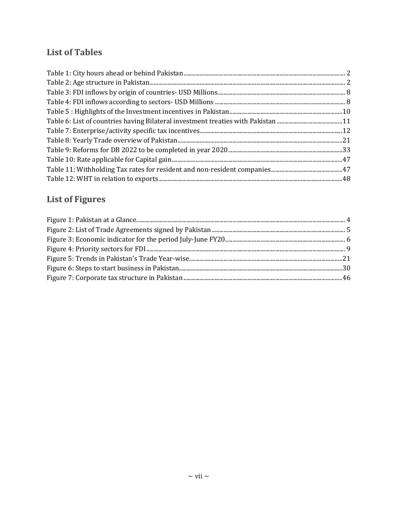# **List of Tables**

# **List of Figures**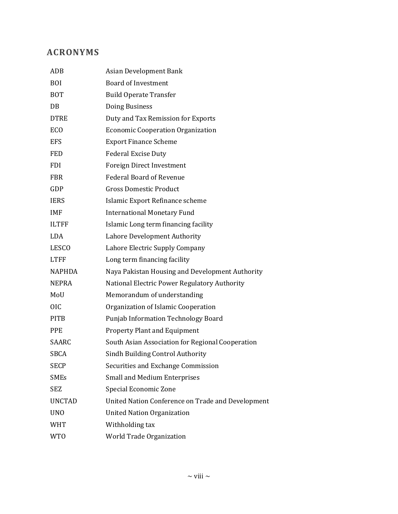# **ACRONYMS**

| ADB           | <b>Asian Development Bank</b>                     |
|---------------|---------------------------------------------------|
| <b>BOI</b>    | <b>Board of Investment</b>                        |
| <b>BOT</b>    | <b>Build Operate Transfer</b>                     |
| DB            | Doing Business                                    |
| <b>DTRE</b>   | Duty and Tax Remission for Exports                |
| <b>ECO</b>    | <b>Economic Cooperation Organization</b>          |
| <b>EFS</b>    | <b>Export Finance Scheme</b>                      |
| <b>FED</b>    | <b>Federal Excise Duty</b>                        |
| <b>FDI</b>    | <b>Foreign Direct Investment</b>                  |
| <b>FBR</b>    | <b>Federal Board of Revenue</b>                   |
| GDP           | <b>Gross Domestic Product</b>                     |
| <b>IERS</b>   | Islamic Export Refinance scheme                   |
| <b>IMF</b>    | <b>International Monetary Fund</b>                |
| <b>ILTFF</b>  | Islamic Long term financing facility              |
| <b>LDA</b>    | Lahore Development Authority                      |
| <b>LESCO</b>  | Lahore Electric Supply Company                    |
| <b>LTFF</b>   | Long term financing facility                      |
| <b>NAPHDA</b> | Naya Pakistan Housing and Development Authority   |
| <b>NEPRA</b>  | National Electric Power Regulatory Authority      |
| MoU           | Memorandum of understanding                       |
| <b>OIC</b>    | Organization of Islamic Cooperation               |
| <b>PITB</b>   | <b>Punjab Information Technology Board</b>        |
| <b>PPE</b>    | <b>Property Plant and Equipment</b>               |
| SAARC         | South Asian Association for Regional Cooperation  |
| <b>SBCA</b>   | Sindh Building Control Authority                  |
| <b>SECP</b>   | Securities and Exchange Commission                |
| <b>SMEs</b>   | <b>Small and Medium Enterprises</b>               |
| SEZ           | Special Economic Zone                             |
| <b>UNCTAD</b> | United Nation Conference on Trade and Development |
| <b>UNO</b>    | <b>United Nation Organization</b>                 |
| <b>WHT</b>    | Withholding tax                                   |
| <b>WTO</b>    | World Trade Organization                          |
|               |                                                   |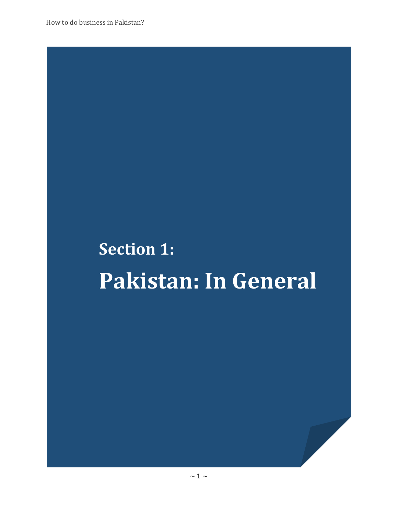# **Section 1: Pakistan: In General**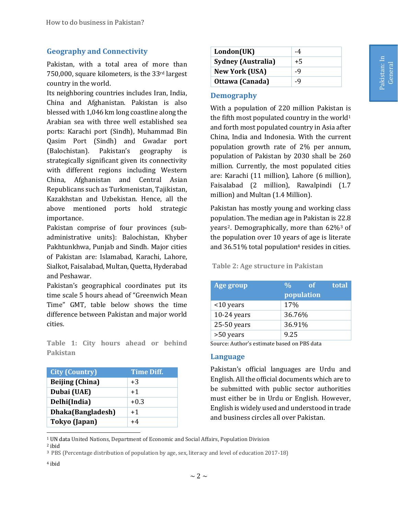## <span id="page-9-0"></span>**Geography and Connectivity**

Pakistan, with a total area of more than 750,000, square kilometers, is the 33rd largest country in the world.

Its neighboring countries includes Iran, India, China and Afghanistan. Pakistan is also blessed with 1,046 km long coastline along the Arabian sea with three well established sea ports: Karachi port (Sindh), Muhammad Bin Qasim Port (Sindh) and Gwadar port (Balochistan). Pakistan's geography is strategically significant given its connectivity with different regions including Western China, Afghanistan and Central Asian Republicans such as Turkmenistan, Tajikistan, Kazakhstan and Uzbekistan. Hence, all the above mentioned ports hold strategic importance.

Pakistan comprise of four provinces (subadministrative units): Balochistan, Khyber Pakhtunkhwa, Punjab and Sindh. Major cities of Pakistan are: Islamabad, Karachi, Lahore, Sialkot, Faisalabad, Multan, Quetta, Hyderabad and Peshawar.

Pakistan's geographical coordinates put its time scale 5 hours ahead of "Greenwich Mean Time" GMT, table below shows the time difference between Pakistan and major world cities.

<span id="page-9-3"></span>**Table 1: City hours ahead or behind Pakistan**

| <b>City (Country)</b>  | <b>Time Diff.</b> |  |
|------------------------|-------------------|--|
| <b>Beijing (China)</b> | $+3$              |  |
| Dubai (UAE)            | $+1$              |  |
| Delhi(India)           | $+0.3$            |  |
| Dhaka(Bangladesh)      | $+1$              |  |
| Tokyo (Japan)          | $+4$              |  |

| London(UK)                | -4   |
|---------------------------|------|
| <b>Sydney (Australia)</b> | $+5$ |
| <b>New York (USA)</b>     | -9   |
| Ottawa (Canada)           | -9   |

#### <span id="page-9-1"></span>**Demography**

With a population of 220 million Pakistan is the fifth most populated country in the world<sup>1</sup> and forth most populated country in Asia after China, India and Indonesia. With the current population growth rate of 2% per annum, population of Pakistan by 2030 shall be 260 million. Currently, the most populated cities are: Karachi (11 million), Lahore (6 million), Faisalabad (2 million), Rawalpindi (1.7 million) and Multan (1.4 Million).

Pakistan has mostly young and working class population. The median age in Pakistan is 22.8 years2. Demographically, more than 62%<sup>3</sup> of the population over 10 years of age is literate and  $36.51\%$  total population<sup>4</sup> resides in cities.

#### <span id="page-9-4"></span>**Table 2: Age structure in Pakistan**

| <b>Age group</b> | total<br>$\frac{0}{0}$<br>of |
|------------------|------------------------------|
|                  | population                   |
| $<$ 10 years     | 17%                          |
| $10-24$ years    | 36.76%                       |
| $25-50$ years    | 36.91%                       |
| >50 years        | 9.25                         |

Source: Author's estimate based on PBS data

#### <span id="page-9-2"></span>**Language**

Pakistan's official languages are Urdu and English. All the official documents which are to be submitted with public sector authorities must either be in Urdu or English. However, English is widely used and understood in trade and business circles all over Pakistan.

l <sup>1</sup> UN data United Nations, Department of Economic and Social Affairs, Population Division

<sup>2</sup> ibid

**<sup>3</sup>** PBS (Percentage distribution of population by age, sex, literacy and level of education 2017-18)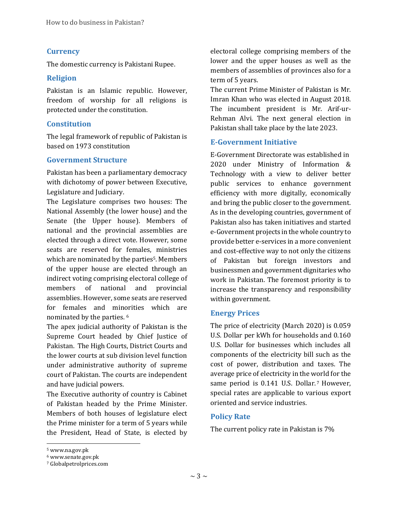#### <span id="page-10-0"></span>**Currency**

The domestic currency is Pakistani Rupee.

#### <span id="page-10-1"></span>**Religion**

Pakistan is an Islamic republic. However, freedom of worship for all religions is protected under the constitution.

#### <span id="page-10-2"></span>**Constitution**

The legal framework of republic of Pakistan is based on 1973 constitution

#### <span id="page-10-3"></span>**Government Structure**

Pakistan has been a parliamentary democracy with dichotomy of power between Executive, Legislature and Judiciary.

The Legislature comprises two houses: The National Assembly (the lower house) and the Senate (the Upper house). Members of national and the provincial assemblies are elected through a direct vote. However, some seats are reserved for females, ministries which are nominated by the parties<sup>5</sup>. Members of the upper house are elected through an indirect voting comprising electoral college of members of national and provincial assemblies. However, some seats are reserved for females and minorities which are nominated by the parties. 6

The apex judicial authority of Pakistan is the Supreme Court headed by Chief Justice of Pakistan. The High Courts, District Courts and the lower courts at sub division level function under administrative authority of supreme court of Pakistan. The courts are independent and have judicial powers.

The Executive authority of country is Cabinet of Pakistan headed by the Prime Minister. Members of both houses of legislature elect the Prime minister for a term of 5 years while the President, Head of State, is elected by electoral college comprising members of the lower and the upper houses as well as the members of assemblies of provinces also for a term of 5 years.

The current Prime Minister of Pakistan is Mr. Imran Khan who was elected in August 2018. The incumbent president is Mr. Arif-ur-Rehman Alvi. The next general election in Pakistan shall take place by the late 2023.

#### <span id="page-10-4"></span>**E-Government Initiative**

E-Government Directorate was established in 2020 under Ministry of Information & Technology with a view to deliver better public services to enhance government efficiency with more digitally, economically and bring the public closer to the government. As in the developing countries, government of Pakistan also has taken initiatives and started e-Government projects in the whole country to provide better e-services in a more convenient and cost-effective way to not only the citizens of Pakistan but foreign investors and businessmen and government dignitaries who work in Pakistan. The foremost priority is to increase the transparency and responsibility within government.

#### <span id="page-10-5"></span>**Energy Prices**

The price of electricity (March 2020) is 0.059 U.S. Dollar per kWh for households and 0.160 U.S. Dollar for businesses which includes all components of the electricity bill such as the cost of power, distribution and taxes. The average price of electricity in the world for the same period is 0.141 U.S. Dollar.<sup>7</sup> However, special rates are applicable to various export oriented and service industries.

#### <span id="page-10-6"></span>**Policy Rate**

The current policy rate in Pakistan is 7%

<sup>5</sup> www.na.gov.pk

<sup>6</sup> www.senate.gov.pk

<sup>7</sup> Globalpetrolprices.com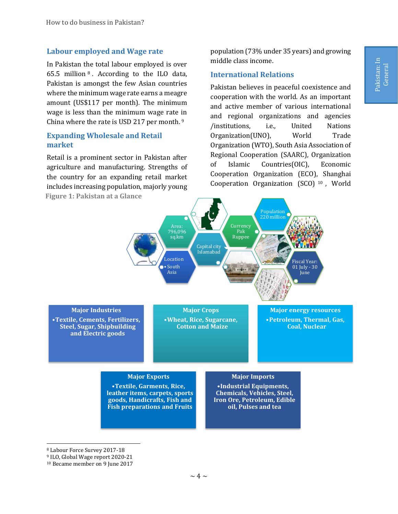#### <span id="page-11-0"></span>**Labour employed and Wage rate**

In Pakistan the total labour employed is over 65.5 million <sup>8</sup> . According to the ILO data, Pakistan is amongst the few Asian countries where the minimum wage rate earns a meagre amount (US\$117 per month). The minimum wage is less than the minimum wage rate in China where the rate is USD 217 per month.<sup>9</sup>

## <span id="page-11-1"></span>**Expanding Wholesale and Retail market**

Retail is a prominent sector in Pakistan after agriculture and manufacturing. Strengths of the country for an expanding retail market includes increasing population, majorly young **Figure 1: Pakistan at a Glance**

population (73% under 35 years) and growing middle class income.

## <span id="page-11-2"></span>**International Relations**

Pakistan believes in peaceful coexistence and cooperation with the world. As an important and active member of various international and regional organizations and agencies /institutions, i.e., United Nations Organization(UNO), World Trade Organization (WTO), South Asia Association of Regional Cooperation (SAARC), Organization of Islamic Countries(OIC), Economic Cooperation Organization (ECO), Shanghai Cooperation Organization (SCO) <sup>10</sup> , World



l <sup>8</sup> Labour Force Survey 2017-18

<sup>9</sup> ILO, Global Wage report 2020-21

<sup>10</sup> Became member on 9 June 2017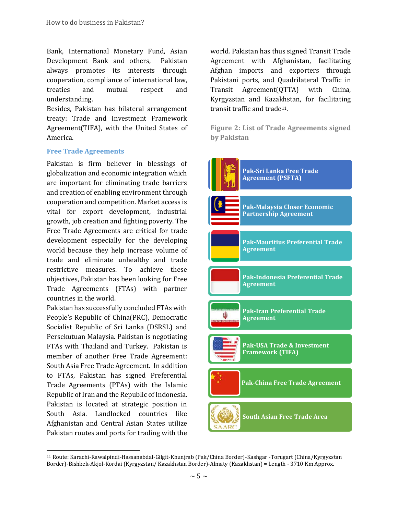Bank, International Monetary Fund, Asian Development Bank and others, Pakistan always promotes its interests through cooperation, compliance of international law, treaties and mutual respect and understanding.

Besides, Pakistan has bilateral arrangement treaty: Trade and Investment Framework Agreement(TIFA), with the United States of America.

#### <span id="page-12-0"></span>**Free Trade Agreements**

Pakistan is firm believer in blessings of globalization and economic integration which are important for eliminating trade barriers and creation of enabling environment through cooperation and competition. Market access is vital for export development, industrial growth, job creation and fighting poverty. The Free Trade Agreements are critical for trade development especially for the developing world because they help increase volume of trade and eliminate unhealthy and trade restrictive measures. To achieve these objectives, Pakistan has been looking for Free Trade Agreements (FTAs) with partner countries in the world.

Pakistan has successfully concluded FTAs with People's Republic of China(PRC), Democratic Socialist Republic of Sri Lanka (DSRSL) and Persekutuan Malaysia. Pakistan is negotiating FTAs with Thailand and Turkey. Pakistan is member of another Free Trade Agreement: South Asia Free Trade Agreement. In addition to FTAs, Pakistan has signed Preferential Trade Agreements (PTAs) with the Islamic Republic of Iran and the Republic of Indonesia. Pakistan is located at strategic position in South Asia. Landlocked countries like Afghanistan and Central Asian States utilize Pakistan routes and ports for trading with the

l

world. Pakistan has thus signed Transit Trade Agreement with Afghanistan, facilitating Afghan imports and exporters through Pakistani ports, and Quadrilateral Traffic in Transit Agreement(QTTA) with China, Kyrgyzstan and Kazakhstan, for facilitating transit traffic and trade11.

<span id="page-12-1"></span>**Figure 2: List of Trade Agreements signed by Pakistan**



<sup>11</sup> Route: Karachi-Rawalpindi-Hassanabdal-Gilgit-Khunjrab (Pak/China Border)-Kashgar -Torugart (China/Kyrgyzstan Border)-Bishkek-Akjol-Kordai (Kyrgyzstan/ Kazakhstan Border)-Almaty (Kazakhstan) = Length - 3710 Km Approx.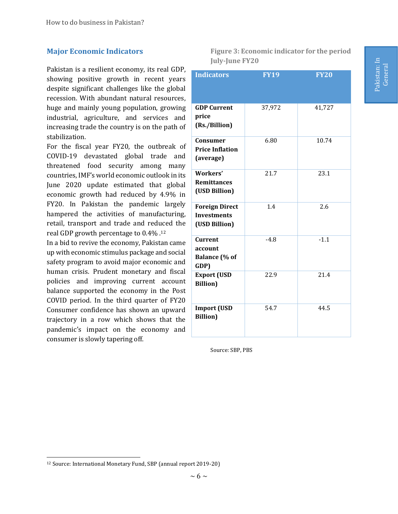## <span id="page-13-0"></span>**Major Economic Indicators**

Pakistan is a resilient economy, its real GDP, showing positive growth in recent years despite significant challenges like the global recession. With abundant natural resources, huge and mainly young population, growing industrial, agriculture, and services and increasing trade the country is on the path of stabilization.

For the fiscal year FY20, the outbreak of COVID-19 devastated global trade and threatened food security among many countries, IMF's world economic outlook in its June 2020 update estimated that global economic growth had reduced by 4.9% in FY20. In Pakistan the pandemic largely hampered the activities of manufacturing, retail, transport and trade and reduced the real GDP growth percentage to 0.4% . 12

In a bid to revive the economy, Pakistan came up with economic stimulus package and social safety program to avoid major economic and human crisis. Prudent monetary and fiscal policies and improving current account balance supported the economy in the Post COVID period. In the third quarter of FY20 Consumer confidence has shown an upward trajectory in a row which shows that the pandemic's impact on the economy and consumer is slowly tapering off.

<span id="page-13-1"></span>**Figure 3: Economic indicator for the period July-June FY20**

| <b>Indicators</b>                                            | <b>FY19</b> | <b>FY20</b> |
|--------------------------------------------------------------|-------------|-------------|
| <b>GDP Current</b><br>price<br>(Rs./Billion)                 | 37,972      | 41,727      |
| Consumer<br><b>Price Inflation</b><br>(average)              | 6.80        | 10.74       |
| Workers'<br><b>Remittances</b><br>(USD Billion)              | 21.7        | 23.1        |
| <b>Foreign Direct</b><br><b>Investments</b><br>(USD Billion) | 1.4         | 2.6         |
| <b>Current</b><br>account<br><b>Balance</b> (% of<br>GDP)    | $-4.8$      | $-1.1$      |
| <b>Export (USD</b><br><b>Billion</b> )                       | 22.9        | 21.4        |
| <b>Import (USD</b><br><b>Billion</b> )                       | 54.7        | 44.5        |

Source: SBP, PBS

Pakistan: In Pakistan: In<br>General

l <sup>12</sup> Source: International Monetary Fund, SBP (annual report 2019-20)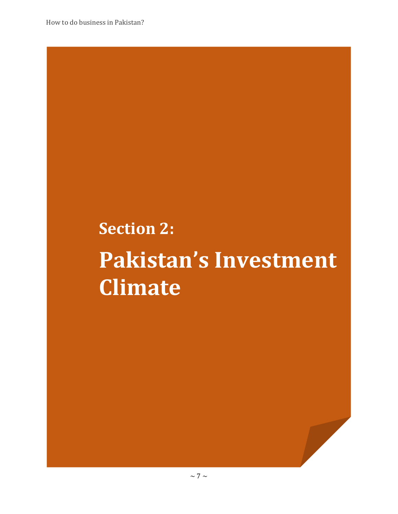# **Section 2: Pakistan's Investment Climate**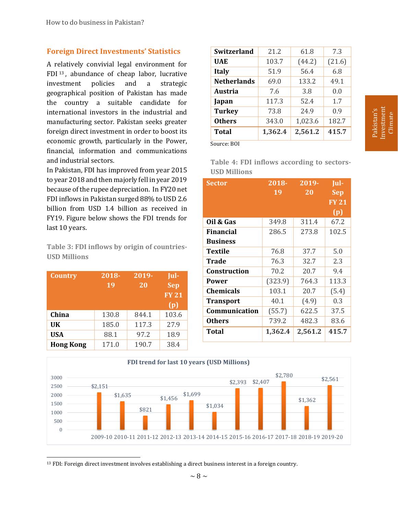## <span id="page-15-0"></span>**Foreign Direct Investments' Statistics**

A relatively convivial legal environment for FDI <sup>13</sup> , abundance of cheap labor, lucrative investment policies and a strategic geographical position of Pakistan has made the country a suitable candidate for international investors in the industrial and manufacturing sector. Pakistan seeks greater foreign direct investment in order to boost its economic growth, particularly in the Power, financial, information and communications and industrial sectors.

In Pakistan, FDI has improved from year 2015 to year 2018 and then majorly fell in year 2019 because of the rupee depreciation. In FY20 net FDI inflows in Pakistan surged 88% to USD 2.6 billion from USD 1.4 billion as received in FY19. Figure below shows the FDI trends for last 10 years.

<span id="page-15-1"></span>**Table 3: FDI inflows by origin of countries-USD Millions**

| <b>Country</b>   | $2018 -$<br>19 | 2019-<br>20 | Jul-<br><b>Sep</b><br><b>FY 21</b><br>(p) |
|------------------|----------------|-------------|-------------------------------------------|
| China            | 130.8          | 844.1       | 103.6                                     |
| <b>UK</b>        | 185.0          | 117.3       | 27.9                                      |
| <b>USA</b>       | 88.1           | 97.2        | 18.9                                      |
| <b>Hong Kong</b> | 171.0          | 190.7       | 38.4                                      |

| Switzerland        | 21.2    | 61.8    | 7.3    |
|--------------------|---------|---------|--------|
| <b>UAE</b>         | 103.7   | (44.2)  | (21.6) |
| <b>Italy</b>       | 51.9    | 56.4    | 6.8    |
| <b>Netherlands</b> | 69.0    | 133.2   | 49.1   |
| <b>Austria</b>     | 7.6     | 3.8     | 0.0    |
| Japan              | 117.3   | 52.4    | 1.7    |
| <b>Turkey</b>      | 73.8    | 24.9    | 0.9    |
| <b>Others</b>      | 343.0   | 1,023.6 | 182.7  |
| <b>Total</b>       | 1,362.4 | 2,561.2 | 415.7  |

Source: BOI

<span id="page-15-2"></span>**Table 4: FDI inflows according to sectors-USD Millions**

| Sector              | $2018 -$ | $2019 -$ | Jul-               |
|---------------------|----------|----------|--------------------|
|                     | 19       | 20       | Sep                |
|                     |          |          | $\overline{FY}$ 21 |
|                     |          |          | (p)                |
| Oil & Gas           | 349.8    | 311.4    | 67.2               |
| Financial           | 286.5    | 273.8    | 102.5              |
| <b>Business</b>     |          |          |                    |
| Textile             | 76.8     | 37.7     | 5.0                |
| <b>Trade</b>        | 76.3     | 32.7     | 2.3                |
| <b>Construction</b> | 70.2     | 20.7     | 9.4                |
| <b>Power</b>        | (323.9)  | 764.3    | 113.3              |
| <b>Chemicals</b>    | 103.1    | 20.7     | (5.4)              |
| <b>Transport</b>    | 40.1     | (4.9)    | 0.3                |
| Communication       | (55.7)   | 622.5    | 37.5               |
| <b>Others</b>       | 739.2    | 482.3    | 83.6               |
| Total               | 1,362.4  | 2,561.2  | 415.7              |



l <sup>13</sup> FDI: Foreign direct investment involves establishing a direct business interest in a foreign country.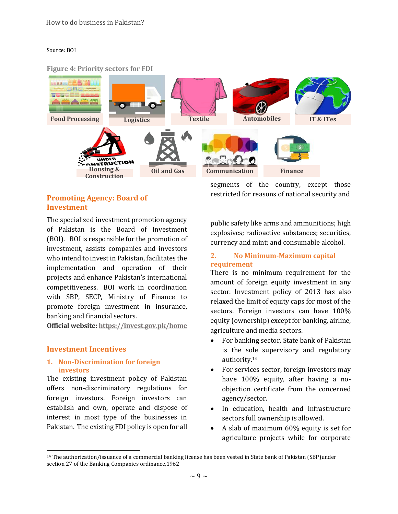#### Source: BOI

#### <span id="page-16-4"></span>**Figure 4: Priority sectors for FDI**



# <span id="page-16-0"></span>**Promoting Agency: Board of Investment**

The specialized investment promotion agency of Pakistan is the Board of Investment (BOI). BOI is responsible for the promotion of investment, assists companies and investors who intend to invest in Pakistan, facilitates the implementation and operation of their projects and enhance Pakistan's international competitiveness. BOI work in coordination with SBP, SECP, Ministry of Finance to promote foreign investment in insurance, banking and financial sectors.

**Official website:<https://invest.gov.pk/home>**

#### <span id="page-16-1"></span>**Investment Incentives**

l

### <span id="page-16-2"></span>**1. Non-Discrimination for foreign investors**

The existing investment policy of Pakistan offers non-discriminatory regulations for foreign investors. Foreign investors can establish and own, operate and dispose of interest in most type of the businesses in Pakistan. The existing FDI policy is open for all

segments of the country, except those restricted for reasons of national security and

public safety like arms and ammunitions; high explosives; radioactive substances; securities, currency and mint; and consumable alcohol.

#### <span id="page-16-3"></span>**2. No Minimum-Maximum capital requirement**

There is no minimum requirement for the amount of foreign equity investment in any sector. Investment policy of 2013 has also relaxed the limit of equity caps for most of the sectors. Foreign investors can have 100% equity (ownership) except for banking, airline, agriculture and media sectors.

- For banking sector, State bank of Pakistan is the sole supervisory and regulatory authority. 14
- For services sector, foreign investors may have 100% equity, after having a noobjection certificate from the concerned agency/sector.
- In education, health and infrastructure sectors full ownership is allowed.
- A slab of maximum 60% equity is set for agriculture projects while for corporate

<sup>14</sup> The authorization/issuance of a commercial banking license has been vested in State bank of Pakistan (SBP)under section 27 of the Banking Companies ordinance,1962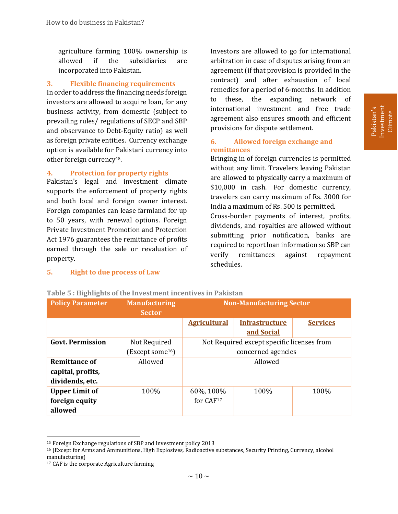agriculture farming 100% ownership is allowed if the subsidiaries are incorporated into Pakistan.

#### <span id="page-17-0"></span>**3. Flexible financing requirements**

In order to address the financing needs foreign investors are allowed to acquire loan, for any business activity, from domestic (subject to prevailing rules/ regulations of SECP and SBP and observance to Debt-Equity ratio) as well as foreign private entities. Currency exchange option is available for Pakistani currency into other foreign currency15.

#### <span id="page-17-1"></span>**4. Protection for property rights**

Pakistan's legal and investment climate supports the enforcement of property rights and both local and foreign owner interest. Foreign companies can lease farmland for up to 50 years, with renewal options. Foreign Private Investment Promotion and Protection Act 1976 guarantees the remittance of profits earned through the sale or revaluation of property.

Investors are allowed to go for international arbitration in case of disputes arising from an agreement (if that provision is provided in the contract) and after exhaustion of local remedies for a period of 6-months. In addition to these, the expanding network of international investment and free trade agreement also ensures smooth and efficient provisions for dispute settlement.

#### <span id="page-17-3"></span>**6. Allowed foreign exchange and remittances**

Bringing in of foreign currencies is permitted without any limit. Travelers leaving Pakistan are allowed to physically carry a maximum of \$10,000 in cash. For domestic currency, travelers can carry maximum of Rs. 3000 for India a maximum of Rs. 500 is permitted.

Cross-border payments of interest, profits, dividends, and royalties are allowed without submitting prior notification, banks are required to report loan information so SBP can verify remittances against repayment schedules.

#### <span id="page-17-2"></span>**5. Right to due process of Law**

| <b>Policy Parameter</b> | <b>Manufacturing</b><br><b>Sector</b> | <b>Non-Manufacturing Sector</b> |                                            |                 |
|-------------------------|---------------------------------------|---------------------------------|--------------------------------------------|-----------------|
|                         |                                       | <b>Agricultural</b>             | <b>Infrastructure</b>                      | <b>Services</b> |
|                         |                                       |                                 | and Social                                 |                 |
| <b>Govt. Permission</b> | Not Required                          |                                 | Not Required except specific licenses from |                 |
|                         | (Except some <sup>16</sup> )          |                                 | concerned agencies                         |                 |
| <b>Remittance of</b>    | Allowed                               | Allowed                         |                                            |                 |
| capital, profits,       |                                       |                                 |                                            |                 |
| dividends, etc.         |                                       |                                 |                                            |                 |
| <b>Upper Limit of</b>   | 100%                                  | 60%, 100%                       | 100%                                       | 100%            |
| foreign equity          |                                       | for CAF <sup>17</sup>           |                                            |                 |
| allowed                 |                                       |                                 |                                            |                 |

#### <span id="page-17-4"></span>**Table 5 : Highlights of the Investment incentives in Pakistan**

<sup>15</sup> Foreign Exchange regulations of SBP and Investment policy 2013

<sup>16</sup> (Except for Arms and Ammunitions, High Explosives, Radioactive substances, Security Printing, Currency, alcohol manufacturing)

<sup>17</sup> CAF is the corporate Agriculture farming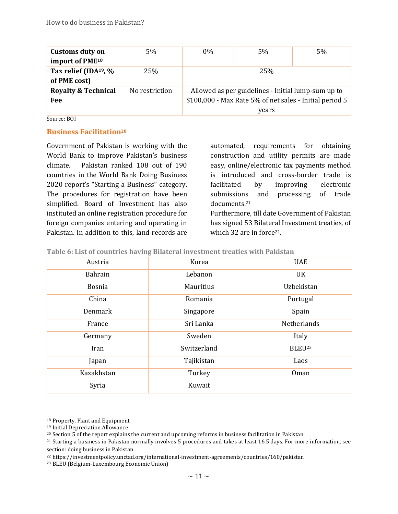| <b>Customs duty on</b>            | $5\%$          | $0\%$                                                   | 5%    | 5% |
|-----------------------------------|----------------|---------------------------------------------------------|-------|----|
| import of PME <sup>18</sup>       |                |                                                         |       |    |
| Tax relief (IDA <sup>19</sup> , % | 25%            |                                                         | 25%   |    |
| of PME cost)                      |                |                                                         |       |    |
| <b>Royalty &amp; Technical</b>    | No restriction | Allowed as per guidelines - Initial lump-sum up to      |       |    |
| Fee                               |                | \$100,000 - Max Rate 5% of net sales - Initial period 5 |       |    |
|                                   |                |                                                         | years |    |

Source: BOI

#### <span id="page-18-0"></span>**Business Facilitation<sup>20</sup>**

Government of Pakistan is working with the World Bank to improve Pakistan's business climate. Pakistan ranked 108 out of 190 countries in the World Bank Doing Business 2020 report's "Starting a Business" category. The procedures for registration have been simplified. Board of Investment has also instituted an online registration procedure for foreign companies entering and operating in Pakistan. In addition to this, land records are

automated, requirements for obtaining construction and utility permits are made easy, online/electronic tax payments method is introduced and cross-border trade is facilitated by improving electronic submissions and processing of trade documents.<sup>21</sup> Furthermore, till date Government of Pakistan

has signed 53 Bilateral Investment treaties, of which 32 are in force<sup>22</sup>.

<span id="page-18-1"></span>**Table 6: List of countries having Bilateral investment treaties with Pakistan**

| Austria       | Korea            | <b>UAE</b>         |
|---------------|------------------|--------------------|
| Bahrain       | Lebanon          | UK                 |
| <b>Bosnia</b> | <b>Mauritius</b> | Uzbekistan         |
| China         | Romania          | Portugal           |
| Denmark       | Singapore        | Spain              |
| France        | Sri Lanka        | Netherlands        |
| Germany       | Sweden           | Italy              |
| Iran          | Switzerland      | BLEU <sup>23</sup> |
| Japan         | Tajikistan       | Laos               |
| Kazakhstan    | Turkey           | Oman               |
| Syria         | Kuwait           |                    |

<sup>18</sup> Property, Plant and Equipment

<sup>19</sup> Initial Depreciation Allowance

<sup>&</sup>lt;sup>20</sup> Section 5 of the report explains the current and upcoming reforms in business facilitation in Pakistan

<sup>21</sup> Starting a business in Pakistan normally involves 5 procedures and takes at least 16.5 days. For more information, see section: doing business in Pakistan

<sup>22</sup> https://investmentpolicy.unctad.org/international-investment-agreements/countries/160/pakistan

<sup>23</sup> BLEU (Belgium-Luxembourg Economic Union)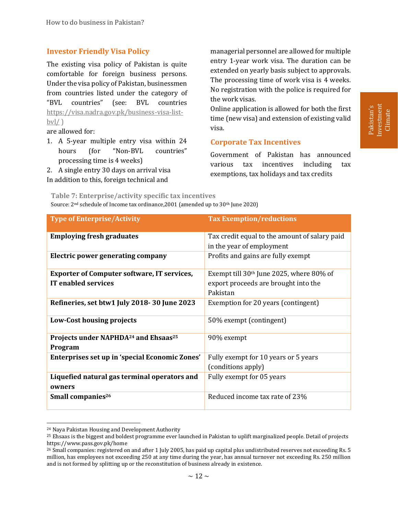### <span id="page-19-0"></span>**Investor Friendly Visa Policy**

The existing visa policy of Pakistan is quite comfortable for foreign business persons. Under the visa policy of Pakistan, businessmen from countries listed under the category of "BVL countries" (see: BVL countries [https://visa.nadra.gov.pk/business-visa-list](https://visa.nadra.gov.pk/business-visa-list-bvl/) $bvl/$ )

are allowed for:

1. A 5-year multiple entry visa within 24 hours (for "Non-BVL countries" processing time is 4 weeks)

2. A single entry 30 days on arrival visa In addition to this, foreign technical and

managerial personnel are allowed for multiple entry 1-year work visa. The duration can be extended on yearly basis subject to approvals. The processing time of work visa is 4 weeks. No registration with the police is required for the work visas.

Online application is allowed for both the first time (new visa) and extension of existing valid visa.

#### <span id="page-19-1"></span>**Corporate Tax Incentives**

Government of Pakistan has announced various tax incentives including tax exemptions, tax holidays and tax credits

Investment Pakistan's nvestment Climate

**Table 7: Enterprise/activity specific tax incentives**

Source: 2<sup>nd</sup> schedule of Income tax ordinance, 2001 (amended up to 30<sup>th</sup> June 2020)

| <b>Type of Enterprise/Activity</b>                                               | <b>Tax Exemption/reductions</b>                                                                |
|----------------------------------------------------------------------------------|------------------------------------------------------------------------------------------------|
| <b>Employing fresh graduates</b>                                                 | Tax credit equal to the amount of salary paid<br>in the year of employment                     |
| Electric power generating company                                                | Profits and gains are fully exempt                                                             |
| <b>Exporter of Computer software, IT services,</b><br><b>IT enabled services</b> | Exempt till $30th$ June 2025, where 80% of<br>export proceeds are brought into the<br>Pakistan |
| Refineries, set btw1 July 2018-30 June 2023                                      | Exemption for 20 years (contingent)                                                            |
| Low-Cost housing projects                                                        | 50% exempt (contingent)                                                                        |
| Projects under NAPHDA <sup>24</sup> and Ehsaas <sup>25</sup><br>Program          | 90% exempt                                                                                     |
| Enterprises set up in 'special Economic Zones'                                   | Fully exempt for 10 years or 5 years<br>(conditions apply)                                     |
| Liquefied natural gas terminal operators and<br>owners                           | Fully exempt for 05 years                                                                      |
| Small companies <sup>26</sup>                                                    | Reduced income tax rate of 23%                                                                 |

<sup>24</sup> Naya Pakistan Housing and Development Authority

<sup>25</sup> Ehsaas is the biggest and boldest programme ever launched in Pakistan to uplift marginalized people. Detail of projects https://www.pass.gov.pk/home

<sup>26</sup> Small companies: registered on and after 1 July 2005, has paid up capital plus undistributed reserves not exceeding Rs. 5 million, has employees not exceeding 250 at any time during the year, has annual turnover not exceeding Rs. 250 million and is not formed by splitting up or the reconstitution of business already in existence.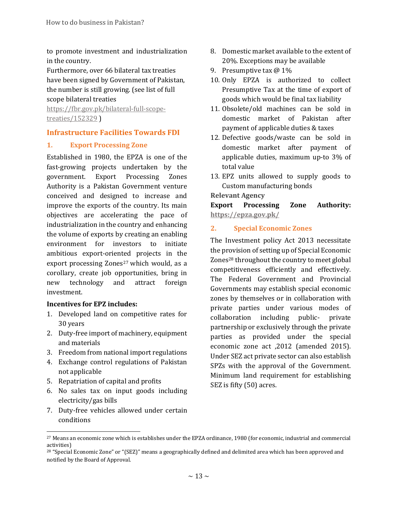to promote investment and industrialization in the country.

Furthermore, over 66 bilateral tax treaties have been signed by Government of Pakistan, the number is still growing. (see list of full scope bilateral treaties

[https://fbr.gov.pk/bilateral-full-scope](https://fbr.gov.pk/bilateral-full-scope-treaties/152329)[treaties/152329](https://fbr.gov.pk/bilateral-full-scope-treaties/152329) )

# <span id="page-20-0"></span>**Infrastructure Facilities Towards FDI**

### <span id="page-20-1"></span>**1. Export Processing Zone**

Established in 1980, the EPZA is one of the fast-growing projects undertaken by the government. Export Processing Zones Authority is a Pakistan Government venture conceived and designed to increase and improve the exports of the country. Its main objectives are accelerating the pace of industrialization in the country and enhancing the volume of exports by creating an enabling environment for investors to initiate ambitious export-oriented projects in the export processing Zones<sup>27</sup> which would, as a corollary, create job opportunities, bring in new technology and attract foreign investment.

#### **Incentives for EPZ includes:**

- 1. Developed land on competitive rates for 30 years
- 2. Duty-free import of machinery, equipment and materials
- 3. Freedom from national import regulations
- 4. Exchange control regulations of Pakistan not applicable
- 5. Repatriation of capital and profits

l

- 6. No sales tax on input goods including electricity/gas bills
- 7. Duty-free vehicles allowed under certain conditions
- 8. Domestic market available to the extent of 20%. Exceptions may be available
- 9. Presumptive tax @ 1%
- 10. Only EPZA is authorized to collect Presumptive Tax at the time of export of goods which would be final tax liability
- 11. Obsolete/old machines can be sold in domestic market of Pakistan after payment of applicable duties & taxes
- 12. Defective goods/waste can be sold in domestic market after payment of applicable duties, maximum up-to 3% of total value
- 13. EPZ units allowed to supply goods to Custom manufacturing bonds

#### **Relevant Agency**

**Export Processing Zone Authority: <https://epza.gov.pk/>**

### <span id="page-20-2"></span>**2. Special Economic Zones**

The Investment policy Act 2013 necessitate the provision of setting up of Special Economic Zones<sup>28</sup> throughout the country to meet global competitiveness efficiently and effectively. The Federal Government and Provincial Governments may establish special economic zones by themselves or in collaboration with private parties under various modes of collaboration including public- private partnership or exclusively through the private parties as provided under the special economic zone act ,2012 (amended 2015). Under SEZ act private sector can also establish SPZs with the approval of the Government. Minimum land requirement for establishing SEZ is fifty (50) acres.

<sup>27</sup> Means an economic zone which is establishes under the EPZA ordinance, 1980 (for economic, industrial and commercial activities)

<sup>&</sup>lt;sup>28</sup> "Special Economic Zone" or "(SEZ)" means a geographically defined and delimited area which has been approved and notified by the Board of Approval.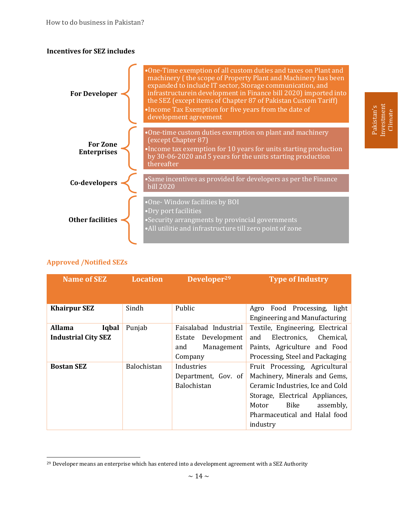#### **Incentives for SEZ includes**



# **Approved /Notified SEZs**

l

| <b>Name of SEZ</b>         | <b>Location</b>    | Developer <sup>29</sup> | <b>Type of Industry</b>              |
|----------------------------|--------------------|-------------------------|--------------------------------------|
|                            |                    |                         |                                      |
| <b>Khairpur SEZ</b>        | Sindh              | Public                  | Food Processing,<br>light<br>Agro    |
|                            |                    |                         | <b>Engineering and Manufacturing</b> |
| <b>Allama</b><br>Iqbal     | Punjab             | Faisalabad Industrial   | Textile, Engineering, Electrical     |
| <b>Industrial City SEZ</b> |                    | Development<br>Estate   | Chemical,<br>Electronics,<br>and     |
|                            |                    | Management<br>and       | Paints, Agriculture and Food         |
|                            |                    | Company                 | Processing, Steel and Packaging      |
| <b>Bostan SEZ</b>          | <b>Balochistan</b> | Industries              | Fruit Processing, Agricultural       |
|                            |                    | Department, Gov. of     | Machinery, Minerals and Gems,        |
|                            |                    | Balochistan             | Ceramic Industries, Ice and Cold     |
|                            |                    |                         | Storage, Electrical Appliances,      |
|                            |                    |                         | Bike<br>assembly,<br>Motor           |
|                            |                    |                         | Pharmaceutical and Halal food        |
|                            |                    |                         | industry                             |

Investment Pakistan's nvestment Climate

<sup>&</sup>lt;sup>29</sup> Developer means an enterprise which has entered into a development agreement with a SEZ Authority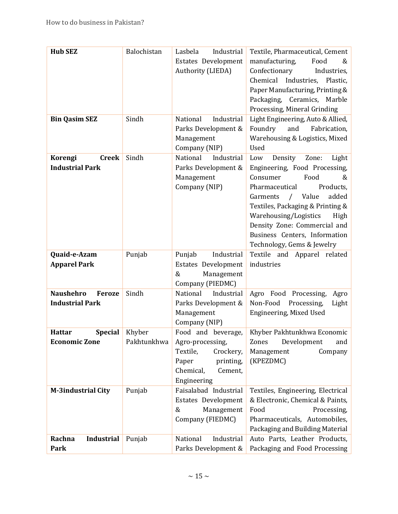| <b>Hub SEZ</b>                  | Balochistan | Industrial<br>Lasbela               | Textile, Pharmaceutical, Cement                      |
|---------------------------------|-------------|-------------------------------------|------------------------------------------------------|
|                                 |             | Estates Development                 | manufacturing,<br>Food<br>&                          |
|                                 |             | Authority (LIEDA)                   | Confectionary<br>Industries,                         |
|                                 |             |                                     | Chemical Industries, Plastic,                        |
|                                 |             |                                     | Paper Manufacturing, Printing &                      |
|                                 |             |                                     | Packaging, Ceramics, Marble                          |
|                                 |             |                                     | Processing, Mineral Grinding                         |
| <b>Bin Qasim SEZ</b>            | Sindh       | Industrial<br>National              | Light Engineering, Auto & Allied,                    |
|                                 |             | Parks Development &                 | Foundry<br>and<br>Fabrication,                       |
|                                 |             | Management<br>Company (NIP)         | Warehousing & Logistics, Mixed<br>Used               |
| Korengi<br><b>Creek</b>         | Sindh       | National<br>Industrial              | Density<br>Zone:<br>Light<br>Low                     |
| <b>Industrial Park</b>          |             | Parks Development &                 | Engineering, Food Processing,                        |
|                                 |             | Management                          | Consumer<br>Food<br>&                                |
|                                 |             | Company (NIP)                       | Products,<br>Pharmaceutical                          |
|                                 |             |                                     | Value<br>added<br>Garments<br>$\sqrt{2}$             |
|                                 |             |                                     | Textiles, Packaging & Printing &                     |
|                                 |             |                                     | Warehousing/Logistics<br>High                        |
|                                 |             |                                     | Density Zone: Commercial and                         |
|                                 |             |                                     | Business Centers, Information                        |
|                                 |             |                                     | Technology, Gems & Jewelry                           |
| Quaid-e-Azam                    | Punjab      | Industrial<br>Punjab                | Textile and Apparel related                          |
| <b>Apparel Park</b>             |             | Estates Development<br>&            | industries                                           |
|                                 |             | Management<br>Company (PIEDMC)      |                                                      |
| <b>Naushehro</b><br>Feroze      | Sindh       | National<br>Industrial              | Agro Food Processing,<br>Agro                        |
| <b>Industrial Park</b>          |             | Parks Development &                 | Non-Food<br>Processing,<br>Light                     |
|                                 |             | Management                          | Engineering, Mixed Used                              |
|                                 |             | Company (NIP)                       |                                                      |
| <b>Hattar</b><br><b>Special</b> | Khyber      | Food and beverage,                  | Khyber Pakhtunkhwa Economic                          |
| <b>Economic Zone</b>            | Pakhtunkhwa | Agro-processing,                    | Development<br>Zones<br>and                          |
|                                 |             | Textile,<br>Crockery,               | Management<br>Company                                |
|                                 |             | Paper<br>printing,                  | (KPEZDMC)                                            |
|                                 |             | Chemical,<br>Cement,                |                                                      |
|                                 |             | Engineering                         |                                                      |
| <b>M-3industrial City</b>       | Punjab      | Faisalabad Industrial               | Textiles, Engineering, Electrical                    |
|                                 |             | Estates Development                 | & Electronic, Chemical & Paints,                     |
|                                 |             | &<br>Management<br>Company (FIEDMC) | Food<br>Processing,<br>Pharmaceuticals, Automobiles, |
|                                 |             |                                     | Packaging and Building Material                      |
| <b>Industrial</b><br>Rachna     | Punjab      | National<br>Industrial              | Auto Parts, Leather Products,                        |
|                                 |             |                                     |                                                      |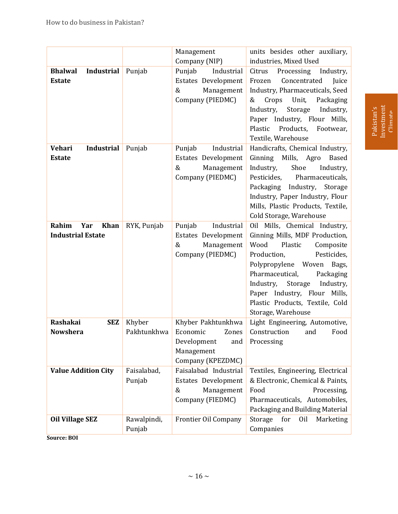|                                                         |                       | Management                                                                                       | units besides other auxiliary,                                                                                                                                                                                                                                                                                              |
|---------------------------------------------------------|-----------------------|--------------------------------------------------------------------------------------------------|-----------------------------------------------------------------------------------------------------------------------------------------------------------------------------------------------------------------------------------------------------------------------------------------------------------------------------|
|                                                         |                       | Company (NIP)                                                                                    | industries, Mixed Used                                                                                                                                                                                                                                                                                                      |
| <b>Bhalwal</b><br><b>Industrial</b><br><b>Estate</b>    | Punjab                | Punjab<br>Industrial<br>Estates Development<br>&<br>Management<br>Company (PIEDMC)               | Citrus<br>Processing<br>Industry,<br>Concentrated<br>Juice<br>Frozen<br>Industry, Pharmaceuticals, Seed<br>Crops<br>Unit,<br>Packaging<br>&<br>Industry,<br>Industry,<br>Storage<br>Paper Industry, Flour<br>Mills,<br>Plastic<br>Products,<br>Footwear,<br>Textile, Warehouse                                              |
| <b>Industrial</b><br><b>Vehari</b><br><b>Estate</b>     | Punjab                | Industrial<br>Punjab<br>Estates Development<br>Management<br>&<br>Company (PIEDMC)               | Handicrafts, Chemical Industry,<br>Ginning Mills, Agro<br><b>Based</b><br>Industry,<br>Shoe<br>Industry,<br>Pesticides,<br>Pharmaceuticals,<br>Packaging<br>Industry,<br>Storage<br>Industry, Paper Industry, Flour<br>Mills, Plastic Products, Textile,<br>Cold Storage, Warehouse                                         |
| Rahim<br><b>Khan</b><br>Yar<br><b>Industrial Estate</b> | RYK, Punjab           | Punjab<br>Industrial<br>Estates Development<br>&<br>Management<br>Company (PIEDMC)               | Oil Mills, Chemical Industry,<br>Ginning Mills, MDF Production,<br>Wood<br>Plastic<br>Composite<br>Production,<br>Pesticides,<br>Polypropylene Woven<br>Bags,<br>Pharmaceutical,<br>Packaging<br>Industry,<br>Storage<br>Industry,<br>Paper Industry, Flour Mills,<br>Plastic Products, Textile, Cold<br>Storage, Warehouse |
| Rashakai<br><b>SEZ</b><br><b>Nowshera</b>               | Khyber<br>Pakhtunkhwa | Khyber Pakhtunkhwa<br>Economic<br>Zones<br>Development<br>and<br>Management<br>Company (KPEZDMC) | Light Engineering, Automotive,<br>Construction<br>and<br>Food<br>Processing                                                                                                                                                                                                                                                 |
| <b>Value Addition City</b>                              | Faisalabad,<br>Punjab | Faisalabad Industrial<br>Estates Development<br>Management<br>&<br>Company (FIEDMC)              | Textiles, Engineering, Electrical<br>& Electronic, Chemical & Paints,<br>Processing,<br>Food<br>Pharmaceuticals, Automobiles,<br>Packaging and Building Material                                                                                                                                                            |
| <b>Oil Village SEZ</b>                                  | Rawalpindi,<br>Punjab | Frontier Oil Company                                                                             | Storage<br>for<br>Oil<br>Marketing<br>Companies                                                                                                                                                                                                                                                                             |

**Source: BOI**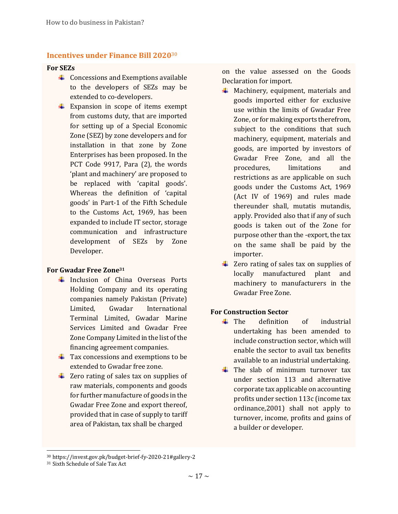#### <span id="page-24-0"></span>**Incentives under Finance Bill 2020**<sup>30</sup>

#### **For SEZs**

- $\overline{\phantom{a}}$  Concessions and Exemptions available to the developers of SEZs may be extended to co-developers.
- $\overline{\text{L}}$  Expansion in scope of items exempt from customs duty, that are imported for setting up of a Special Economic Zone (SEZ) by zone developers and for installation in that zone by Zone Enterprises has been proposed. In the PCT Code 9917, Para (2), the words 'plant and machinery' are proposed to be replaced with 'capital goods'. Whereas the definition of 'capital goods' in Part-1 of the Fifth Schedule to the Customs Act, 1969, has been expanded to include IT sector, storage communication and infrastructure development of SEZs by Zone Developer.

#### **For Gwadar Free Zone<sup>31</sup>**

- $\frac{1}{\sqrt{1}}$  Inclusion of China Overseas Ports Holding Company and its operating companies namely Pakistan (Private) Limited, Gwadar International Terminal Limited, Gwadar Marine Services Limited and Gwadar Free Zone Company Limited in the list of the financing agreement companies.
- $\overline{\text{+}}$  Tax concessions and exemptions to be extended to Gwadar free zone.
- $\overline{\phantom{a}}$  Zero rating of sales tax on supplies of raw materials, components and goods for further manufacture of goods in the Gwadar Free Zone and export thereof, provided that in case of supply to tariff area of Pakistan, tax shall be charged

on the value assessed on the Goods Declaration for import.

- $\downarrow$  Machinery, equipment, materials and goods imported either for exclusive use within the limits of Gwadar Free Zone, or for making exports therefrom, subject to the conditions that such machinery, equipment, materials and goods, are imported by investors of Gwadar Free Zone, and all the procedures, limitations and restrictions as are applicable on such goods under the Customs Act, 1969 (Act IV of 1969) and rules made thereunder shall, mutatis mutandis, apply. Provided also that if any of such goods is taken out of the Zone for purpose other than the -export, the tax on the same shall be paid by the importer.
- $\overline{\phantom{a}}$  Zero rating of sales tax on supplies of locally manufactured plant and machinery to manufacturers in the Gwadar Free Zone.

#### **For Construction Sector**

- $\leftarrow$  The definition of industrial undertaking has been amended to include construction sector, which will enable the sector to avail tax benefits available to an industrial undertaking.
- $\downarrow$  The slab of minimum turnover tax under section 113 and alternative corporate tax applicable on accounting profits under section 113c (income tax ordinance,2001) shall not apply to turnover, income, profits and gains of a builder or developer.

<sup>30</sup> https://invest.gov.pk/budget-brief-fy-2020-21#gallery-2

<sup>31</sup> Sixth Schedule of Sale Tax Act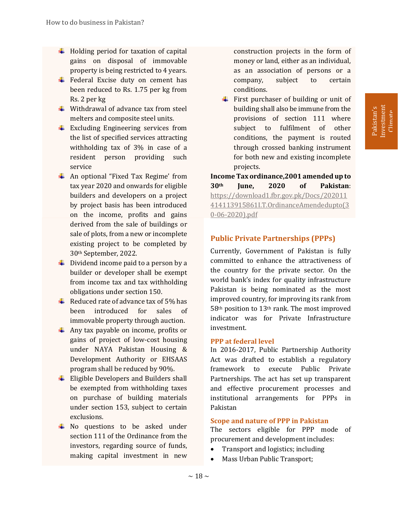- $\overline{\phantom{a}}$  Holding period for taxation of capital gains on disposal of immovable property is being restricted to 4 years.
- $\overline{\text{F}}$  Federal Excise duty on cement has been reduced to Rs. 1.75 per kg from Rs. 2 per kg
- $\frac{1}{\sqrt{2}}$  Withdrawal of advance tax from steel melters and composite steel units.
- $\overline{\phantom{a}}$  Excluding Engineering services from the list of specified services attracting withholding tax of 3% in case of a resident person providing such service
- $\overline{\text{4}}$  An optional "Fixed Tax Regime' from tax year 2020 and onwards for eligible builders and developers on a project by project basis has been introduced on the income, profits and gains derived from the sale of buildings or sale of plots, from a new or incomplete existing project to be completed by 30th September, 2022.
- $\downarrow$  Dividend income paid to a person by a builder or developer shall be exempt from income tax and tax withholding obligations under section 150.
- $\overline{\text{4}}$  Reduced rate of advance tax of 5% has been introduced for sales of immovable property through auction.
- $\frac{1}{\sqrt{2}}$  Any tax payable on income, profits or gains of project of low-cost housing under NAYA Pakistan Housing & Development Authority or EHSAAS program shall be reduced by 90%.
- $\overline{\phantom{a}}$  Eligible Developers and Builders shall be exempted from withholding taxes on purchase of building materials under section 153, subject to certain exclusions.
- $\downarrow$  No questions to be asked under section 111 of the Ordinance from the investors, regarding source of funds, making capital investment in new

construction projects in the form of money or land, either as an individual, as an association of persons or a company, subject to certain conditions.

 $\overline{\phantom{a}}$  First purchaser of building or unit of building shall also be immune from the provisions of section 111 where subject to fulfilment of other conditions, the payment is routed through crossed banking instrument for both new and existing incomplete projects.

**Income Tax ordinance,2001 amended up to 30th June, 2020 of Pakistan**: [https://download1.fbr.gov.pk/Docs/202011](https://download1.fbr.gov.pk/Docs/202011414113915861I.T.OrdinanceAmendedupto(30-06-2020).pdf) [414113915861I.T.OrdinanceAmendedupto\(3](https://download1.fbr.gov.pk/Docs/202011414113915861I.T.OrdinanceAmendedupto(30-06-2020).pdf) [0-06-2020\).pdf](https://download1.fbr.gov.pk/Docs/202011414113915861I.T.OrdinanceAmendedupto(30-06-2020).pdf)

# <span id="page-25-0"></span>**Public Private Partnerships (PPPs)**

Currently, Government of Pakistan is fully committed to enhance the attractiveness of the country for the private sector. On the world bank's index for quality infrastructure Pakistan is being nominated as the most improved country, for improving its rank from 58th position to 13th rank. The most improved indicator was for Private Infrastructure investment.

#### <span id="page-25-1"></span>**PPP at federal level**

In 2016-2017, Public Partnership Authority Act was drafted to establish a regulatory framework to execute Public Private Partnerships. The act has set up transparent and effective procurement processes and institutional arrangements for PPPs in Pakistan

#### <span id="page-25-2"></span>**Scope and nature of PPP in Pakistan**

The sectors eligible for PPP mode of procurement and development includes:

- Transport and logistics; including
- Mass Urban Public Transport;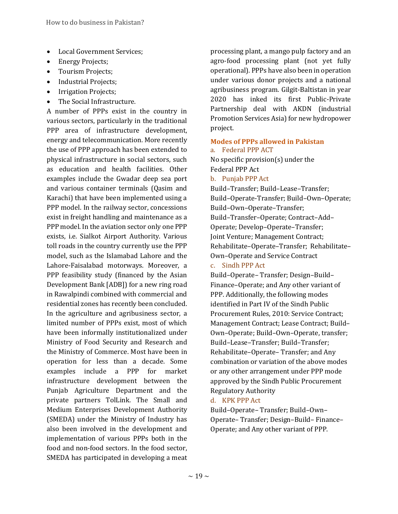- Local Government Services;
- Energy Projects;
- Tourism Projects;
- Industrial Projects;
- Irrigation Projects;
- The Social Infrastructure.

A number of PPPs exist in the country in various sectors, particularly in the traditional PPP area of infrastructure development, energy and telecommunication. More recently the use of PPP approach has been extended to physical infrastructure in social sectors, such as education and health facilities. Other examples include the Gwadar deep sea port and various container terminals (Qasim and Karachi) that have been implemented using a PPP model. In the railway sector, concessions exist in freight handling and maintenance as a PPP model. In the aviation sector only one PPP exists, i.e. Sialkot Airport Authority. Various toll roads in the country currently use the PPP model, such as the Islamabad Lahore and the Lahore-Faisalabad motorways. Moreover, a PPP feasibility study (financed by the Asian Development Bank [ADB]) for a new ring road in Rawalpindi combined with commercial and residential zones has recently been concluded. In the agriculture and agribusiness sector, a limited number of PPPs exist, most of which have been informally institutionalized under Ministry of Food Security and Research and the Ministry of Commerce. Most have been in operation for less than a decade. Some examples include a PPP for market infrastructure development between the Punjab Agriculture Department and the private partners TolLink. The Small and Medium Enterprises Development Authority (SMEDA) under the Ministry of Industry has also been involved in the development and implementation of various PPPs both in the food and non-food sectors. In the food sector, SMEDA has participated in developing a meat

processing plant, a mango pulp factory and an agro-food processing plant (not yet fully operational). PPPs have also been in operation under various donor projects and a national agribusiness program. Gilgit-Baltistan in year 2020 has inked its first Public-Private Partnership deal with AKDN (industrial Promotion Services Asia) for new hydropower project.

#### <span id="page-26-0"></span>**Modes of PPPs allowed in Pakistan** a. Federal PPP ACT

No specific provision(s) under the Federal PPP Act

b. Punjab PPP Act

Build–Transfer; Build–Lease–Transfer; Build–Operate-Transfer; Build–Own–Operate; Build–Own–Operate–Transfer; Build–Transfer–Operate; Contract–Add– Operate; Develop–Operate–Transfer; Joint Venture; Management Contract; Rehabilitate–Operate–Transfer; Rehabilitate– Own–Operate and Service Contract c. Sindh PPP Act

Build–Operate– Transfer; Design–Build– Finance–Operate; and Any other variant of PPP. Additionally, the following modes identified in Part IV of the Sindh Public Procurement Rules, 2010: Service Contract; Management Contract; Lease Contract; Build– Own–Operate; Build–Own–Operate, transfer; Build–Lease–Transfer; Build–Transfer; Rehabilitate–Operate– Transfer; and Any combination or variation of the above modes or any other arrangement under PPP mode approved by the Sindh Public Procurement Regulatory Authority

#### d. KPK PPP Act

Build–Operate– Transfer; Build–Own– Operate– Transfer; Design–Build– Finance– Operate; and Any other variant of PPP.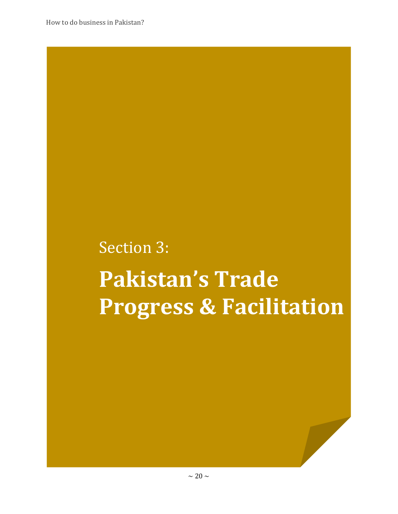# Section 3: **Pakistan's Trade Progress & Facilitation**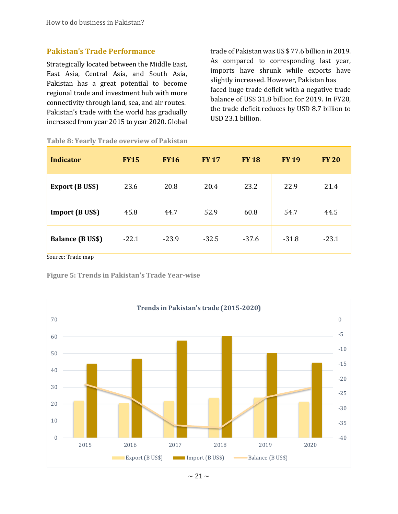#### <span id="page-28-0"></span>**Pakistan's Trade Performance**

Strategically located between the Middle East, East Asia, Central Asia, and South Asia, Pakistan has a great potential to become regional trade and investment hub with more connectivity through land, sea, and air routes. Pakistan's trade with the world has gradually increased from year 2015 to year 2020. Global

trade of Pakistan was US \$ 77.6 billion in 2019. As compared to corresponding last year, imports have shrunk while exports have slightly increased. However, Pakistan has faced huge trade deficit with a negative trade balance of US\$ 31.8 billion for 2019. In FY20, the trade deficit reduces by USD 8.7 billion to USD 23.1 billion.

| <b>Indicator</b>        | <b>FY15</b> | <b>FY16</b> | <b>FY 17</b> | <b>FY 18</b> | <b>FY 19</b> | <b>FY 20</b> |
|-------------------------|-------------|-------------|--------------|--------------|--------------|--------------|
| <b>Export (B US\$)</b>  | 23.6        | 20.8        | 20.4         | 23.2         | 22.9         | 21.4         |
| <b>Import (B US\$)</b>  | 45.8        | 44.7        | 52.9         | 60.8         | 54.7         | 44.5         |
| <b>Balance (B US\$)</b> | $-22.1$     | $-23.9$     | $-32.5$      | $-37.6$      | $-31.8$      | $-23.1$      |

<span id="page-28-1"></span>**Table 8: Yearly Trade overview of Pakistan**

Source: Trade map

<span id="page-28-2"></span>**Figure 5: Trends in Pakistan's Trade Year-wise**

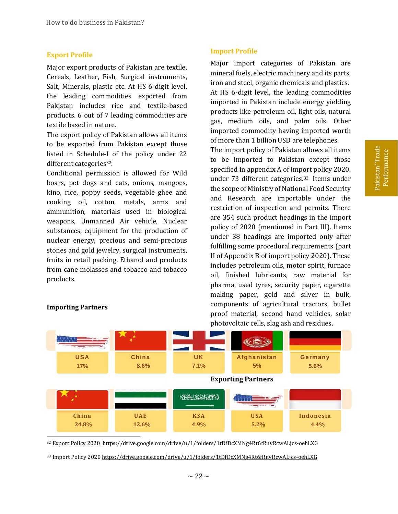#### <span id="page-29-0"></span>**Export Profile**

Major export products of Pakistan are textile, Cereals, Leather, Fish, Surgical instruments, Salt, Minerals, plastic etc. At HS 6-digit level, the leading commodities exported from Pakistan includes rice and textile-based products. 6 out of 7 leading commodities are textile based in nature.

The export policy of Pakistan allows all items to be exported from Pakistan except those listed in Schedule-I of the policy under 22 different categories<sup>32</sup>.

Conditional permission is allowed for Wild boars, pet dogs and cats, onions, mangoes, kino, rice, poppy seeds, vegetable ghee and cooking oil, cotton, metals, arms and ammunition, materials used in biological weapons, Unmanned Air vehicle, Nuclear substances, equipment for the production of nuclear energy, precious and semi-precious stones and gold jewelry, surgical instruments, fruits in retail packing, Ethanol and products from cane molasses and tobacco and tobacco products.

#### <span id="page-29-1"></span>**Import Profile**

Major import categories of Pakistan are mineral fuels, electric machinery and its parts, iron and steel, organic chemicals and plastics. At HS 6-digit level, the leading commodities imported in Pakistan include energy yielding products like petroleum oil, light oils, natural gas, medium oils, and palm oils. Other imported commodity having imported worth of more than 1 billion USD are telephones.

The import policy of Pakistan allows all items to be imported to Pakistan except those specified in appendix A of import policy 2020. under 73 different categories.<sup>33</sup> Items under the scope of Ministry of National Food Security and Research are importable under the restriction of inspection and permits. There are 354 such product headings in the import policy of 2020 (mentioned in Part III). Items under 38 headings are imported only after fulfilling some procedural requirements (part II of Appendix B of import policy 2020). These includes petroleum oils, motor spirit, furnace oil, finished lubricants, raw material for pharma, used tyres, security paper, cigarette making paper, gold and silver in bulk, components of agricultural tractors, bullet proof material, second hand vehicles, solar photovoltaic cells, slag ash and residues.



#### **Importing Partners**

<sup>33</sup> Import Policy 2020<https://drive.google.com/drive/u/1/folders/1tDfDcXMNg4Rt6fRnyRcwALjcs-oehLXG>

<sup>32</sup> Export Policy 2020<https://drive.google.com/drive/u/1/folders/1tDfDcXMNg4Rt6fRnyRcwALjcs-oehLXG>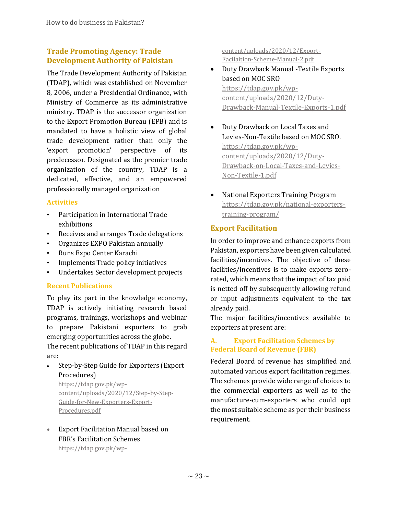# <span id="page-30-0"></span>**Trade Promoting Agency: Trade Development Authority of Pakistan**

The Trade Development Authority of Pakistan (TDAP), which was established on November 8, 2006, under a Presidential Ordinance, with Ministry of Commerce as its administrative ministry. TDAP is the successor organization to the Export Promotion Bureau (EPB) and is mandated to have a holistic view of global trade development rather than only the 'export promotion' perspective of its predecessor. Designated as the premier trade organization of the country, TDAP is a dedicated, effective, and an empowered professionally managed organization

# <span id="page-30-1"></span>**Activities**

- Participation in International Trade exhibitions
- Receives and arranges Trade delegations
- Organizes EXPO Pakistan annually
- Runs Expo Center Karachi
- Implements Trade policy initiatives
- Undertakes Sector development projects

# <span id="page-30-2"></span>**Recent Publications**

To play its part in the knowledge economy, TDAP is actively initiating research based programs, trainings, workshops and webinar to prepare Pakistani exporters to grab emerging opportunities across the globe.

The recent publications of TDAP in this regard are:

# Step-by-Step Guide for Exporters (Export Procedures)

[https://tdap.gov.pk/wp](https://tdap.gov.pk/wp-content/uploads/2020/12/Step-by-Step-Guide-for-New-Exporters-Export-Procedures.pdf)[content/uploads/2020/12/Step-by-Step-](https://tdap.gov.pk/wp-content/uploads/2020/12/Step-by-Step-Guide-for-New-Exporters-Export-Procedures.pdf)[Guide-for-New-Exporters-Export-](https://tdap.gov.pk/wp-content/uploads/2020/12/Step-by-Step-Guide-for-New-Exporters-Export-Procedures.pdf)[Procedures.pdf](https://tdap.gov.pk/wp-content/uploads/2020/12/Step-by-Step-Guide-for-New-Exporters-Export-Procedures.pdf)

 Export Facilitation Manual based on FBR's Facilitation Schemes [https://tdap.gov.pk/wp-](https://tdap.gov.pk/wp-content/uploads/2020/12/Export-Facilaition-Scheme-Manual-2.pdf)

[content/uploads/2020/12/Export-](https://tdap.gov.pk/wp-content/uploads/2020/12/Export-Facilaition-Scheme-Manual-2.pdf)[Facilaition-Scheme-Manual-2.pdf](https://tdap.gov.pk/wp-content/uploads/2020/12/Export-Facilaition-Scheme-Manual-2.pdf)

- Duty Drawback Manual -Textile Exports based on MOC SRO [https://tdap.gov.pk/wp](https://tdap.gov.pk/wp-content/uploads/2020/12/Duty-Drawback-Manual-Textile-Exports-1.pdf)[content/uploads/2020/12/Duty-](https://tdap.gov.pk/wp-content/uploads/2020/12/Duty-Drawback-Manual-Textile-Exports-1.pdf)[Drawback-Manual-Textile-Exports-1.pdf](https://tdap.gov.pk/wp-content/uploads/2020/12/Duty-Drawback-Manual-Textile-Exports-1.pdf)
- Duty Drawback on Local Taxes and Levies-Non-Textile based on MOC SRO. [https://tdap.gov.pk/wp](https://tdap.gov.pk/wp-content/uploads/2020/12/Duty-Drawback-on-Local-Taxes-and-Levies-Non-Textile-1.pdf)[content/uploads/2020/12/Duty-](https://tdap.gov.pk/wp-content/uploads/2020/12/Duty-Drawback-on-Local-Taxes-and-Levies-Non-Textile-1.pdf)[Drawback-on-Local-Taxes-and-Levies-](https://tdap.gov.pk/wp-content/uploads/2020/12/Duty-Drawback-on-Local-Taxes-and-Levies-Non-Textile-1.pdf)[Non-Textile-1.pdf](https://tdap.gov.pk/wp-content/uploads/2020/12/Duty-Drawback-on-Local-Taxes-and-Levies-Non-Textile-1.pdf)
- National Exporters Training Program [https://tdap.gov.pk/national-exporters](https://tdap.gov.pk/national-exporters-training-program/)[training-program/](https://tdap.gov.pk/national-exporters-training-program/)

# <span id="page-30-3"></span>**Export Facilitation**

In order to improve and enhance exports from Pakistan, exporters have been given calculated facilities/incentives. The objective of these facilities/incentives is to make exports zerorated, which means that the impact of tax paid is netted off by subsequently allowing refund or input adjustments equivalent to the tax already paid.

The major facilities/incentives available to exporters at present are:

# <span id="page-30-4"></span>**A. Export Facilitation Schemes by Federal Board of Revenue (FBR)**

Federal Board of revenue has simplified and automated various export facilitation regimes. The schemes provide wide range of choices to the commercial exporters as well as to the manufacture-cum-exporters who could opt the most suitable scheme as per their business requirement.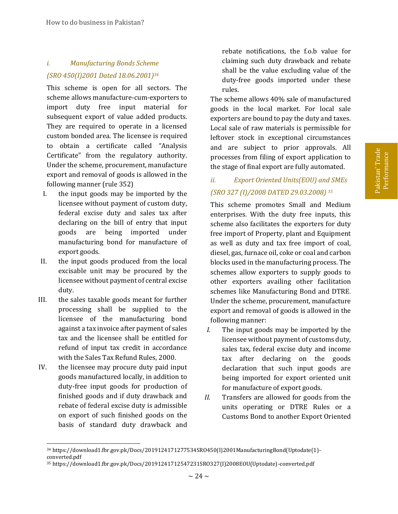# <span id="page-31-0"></span>*i. Manufacturing Bonds Scheme (SRO 450(I)2001 Dated 18.06.2001) 34*

This scheme is open for all sectors. The scheme allows manufacture-cum-exporters to import duty free input material for subsequent export of value added products. They are required to operate in a licensed custom bonded area. The licensee is required to obtain a certificate called "Analysis Certificate" from the regulatory authority. Under the scheme, procurement, manufacture export and removal of goods is allowed in the following manner (rule 352)

- I. the input goods may be imported by the licensee without payment of custom duty, federal excise duty and sales tax after declaring on the bill of entry that input goods are being imported under manufacturing bond for manufacture of export goods.
- II. the input goods produced from the local excisable unit may be procured by the licensee without payment of central excise duty.
- III. the sales taxable goods meant for further processing shall be supplied to the licensee of the manufacturing bond against a tax invoice after payment of sales tax and the licensee shall be entitled for refund of input tax credit in accordance with the Sales Tax Refund Rules, 2000.
- IV. the licensee may procure duty paid input goods manufactured locally, in addition to duty-free input goods for production of finished goods and if duty drawback and rebate of federal excise duty is admissible on export of such finished goods on the basis of standard duty drawback and

rebate notifications, the f.o.b value for claiming such duty drawback and rebate shall be the value excluding value of the duty-free goods imported under these rules.

The scheme allows 40% sale of manufactured goods in the local market. For local sale exporters are bound to pay the duty and taxes. Local sale of raw materials is permissible for leftover stock in exceptional circumstances and are subject to prior approvals. All processes from filing of export application to the stage of final export are fully automated.

# <span id="page-31-1"></span>*ii. Export Oriented Units(EOU) and SMEs (SRO 327 (I)/2008 DATED 29.03.2008) <sup>35</sup>*

This scheme promotes Small and Medium enterprises. With the duty free inputs, this scheme also facilitates the exporters for duty free import of Property, plant and Equipment as well as duty and tax free import of coal, diesel, gas, furnace oil, coke or coal and carbon blocks used in the manufacturing process. The schemes allow exporters to supply goods to other exporters availing other facilitation schemes like Manufacturing Bond and DTRE*.*  Under the scheme, procurement, manufacture export and removal of goods is allowed in the following manner:

- *I.* The input goods may be imported by the licensee without payment of customs duty, sales tax, federal excise duty and income tax after declaring on the goods declaration that such input goods are being imported for export oriented unit for manufacture of export goods.
- *II.* Transfers are allowed for goods from the units operating or DTRE Rules or a Customs Bond to another Export Oriented

l <sup>34</sup> https://download1.fbr.gov.pk/Docs/2019124171277534SRO450(I)2001ManufacturingBond(Uptodate(1) converted.pdf

<sup>35</sup> https://download1.fbr.gov.pk/Docs/20191241712547231SRO327(I)2008EOU(Uptodate)-converted.pdf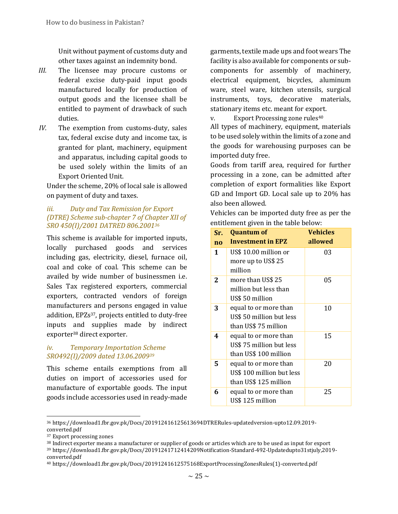Unit without payment of customs duty and other taxes against an indemnity bond.

- *III.* The licensee may procure customs or federal excise duty-paid input goods manufactured locally for production of output goods and the licensee shall be entitled to payment of drawback of such duties.
- *IV.* The exemption from customs-duty, sales tax, federal excise duty and income tax, is granted for plant, machinery, equipment and apparatus, including capital goods to be used solely within the limits of an Export Oriented Unit.

Under the scheme, 20% of local sale is allowed on payment of duty and taxes.

#### <span id="page-32-0"></span>*iii. Duty and Tax Remission for Export (DTRE) Scheme sub-chapter 7 of Chapter XII of SRO 450(I)/2001 DATRED 806.2001<sup>36</sup>*

This scheme is available for imported inputs, locally purchased goods and services including gas, electricity, diesel, furnace oil, coal and coke of coal. This scheme can be availed by wide number of businessmen i.e. Sales Tax registered exporters, commercial exporters, contracted vendors of foreign manufacturers and persons engaged in value addition, EPZs37, projects entitled to duty-free inputs and supplies made by indirect exporter<sup>38</sup> direct exporter.

### <span id="page-32-1"></span>*iv. Temporary Importation Scheme SRO492(I)/2009 dated 13.06.2009<sup>39</sup>*

This scheme entails exemptions from all duties on import of accessories used for manufacture of exportable goods. The input goods include accessories used in ready-made

garments, textile made ups and foot wears The facility is also available for components or subcomponents for assembly of machinery, electrical equipment, bicycles, aluminum ware, steel ware, kitchen utensils, surgical instruments, toys, decorative materials, stationary items etc. meant for export.

<span id="page-32-2"></span>v. Export Processing zone rules<sup>40</sup>

All types of machinery, equipment, materials to be used solely within the limits of a zone and the goods for warehousing purposes can be imported duty free.

Goods from tariff area, required for further processing in a zone, can be admitted after completion of export formalities like Export GD and Import GD. Local sale up to 20% has also been allowed.

Vehicles can be imported duty free as per the entitlement given in the table below:

| Sr.             | <b>Quantum of</b>         | <b>Vehicles</b> |
|-----------------|---------------------------|-----------------|
| $\overline{10}$ | <b>Investment in EPZ</b>  | allowed         |
| $\mathbf{1}$    | US\$ 10.00 million or     | 03              |
|                 | more up to US\$ 25        |                 |
|                 | million                   |                 |
| 2               | more than US\$ 25         | 05              |
|                 | million but less than     |                 |
|                 | US\$ 50 million           |                 |
| 3               | equal to or more than     | 10              |
|                 | US\$ 50 million but less  |                 |
|                 | than US\$ 75 million      |                 |
| 4               | equal to or more than     | 15              |
|                 | US\$ 75 million but less  |                 |
|                 | than US\$ 100 million     |                 |
| 5               | equal to or more than     | 20              |
|                 | US\$ 100 million but less |                 |
|                 | than US\$ 125 million     |                 |
| 6               | equal to or more than     | 25              |
|                 | US\$ 125 million          |                 |

<sup>36</sup> https://download1.fbr.gov.pk/Docs/201912416125613694DTRERules-updatedversion-upto12.09.2019-

 $\overline{a}$ 

converted.pdf

<sup>37</sup> Export processing zones

<sup>38</sup> Indirect exporter means a manufacturer or supplier of goods or articles which are to be used as input for export

<sup>39</sup> https://download1.fbr.gov.pk/Docs/20191241712414209Notification-Standard-492-Updatedupto31stjuly,2019 converted.pdf

<sup>40</sup> https://download1.fbr.gov.pk/Docs/20191241612575168ExportProcessingZonesRules(1)-converted.pdf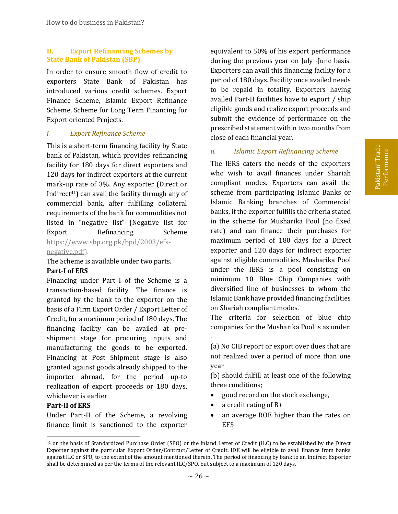#### <span id="page-33-0"></span>**B. Export Refinancing Schemes by State Bank of Pakistan (SBP)**

In order to ensure smooth flow of credit to exporters State Bank of Pakistan has introduced various credit schemes. Export Finance Scheme, Islamic Export Refinance Scheme, Scheme for Long Term Financing for Export oriented Projects.

#### <span id="page-33-1"></span>*i. Export Refinance Scheme*

This is a short-term financing facility by State bank of Pakistan, which provides refinancing facility for 180 days for direct exporters and 120 days for indirect exporters at the current mark-up rate of 3%. Any exporter (Direct or Indirect<sup>41</sup>) can avail the facility through any of commercial bank, after fulfilling collateral requirements of the bank for commodities not listed in "negative list" (Negative list for Export Refinancing Scheme [https://www.sbp.org.pk/bpd/2003/efs](https://www.sbp.org.pk/bpd/2003/efs-negative.pdf)[negative.pdf\)](https://www.sbp.org.pk/bpd/2003/efs-negative.pdf).

The Scheme is available under two parts. **Part-I of ERS**

Financing under Part I of the Scheme is a transaction-based facility. The finance is granted by the bank to the exporter on the basis of a Firm Export Order / Export Letter of Credit, for a maximum period of 180 days. The financing facility can be availed at preshipment stage for procuring inputs and manufacturing the goods to be exported. Financing at Post Shipment stage is also granted against goods already shipped to the importer abroad, for the period up-to realization of export proceeds or 180 days, whichever is earlier

#### **Part-II of ERS**

l

Under Part-II of the Scheme, a revolving finance limit is sanctioned to the exporter

equivalent to 50% of his export performance during the previous year on July -June basis. Exporters can avail this financing facility for a period of 180 days. Facility once availed needs to be repaid in totality. Exporters having availed Part-II facilities have to export / ship eligible goods and realize export proceeds and submit the evidence of performance on the prescribed statement within two months from close of each financial year.

#### <span id="page-33-2"></span>*ii. Islamic Export Refinancing Scheme*

The IERS caters the needs of the exporters who wish to avail finances under Shariah compliant modes. Exporters can avail the scheme from participating Islamic Banks or Islamic Banking branches of Commercial banks, if the exporter fulfills the criteria stated in the scheme for Musharika Pool (no fixed rate) and can finance their purchases for maximum period of 180 days for a Direct exporter and 120 days for indirect exporter against eligible commodities. Musharika Pool under the IERS is a pool consisting on minimum 10 Blue Chip Companies with diversified line of businesses to whom the Islamic Bank have provided financing facilities on Shariah compliant modes.

The criteria for selection of blue chip companies for the Musharika Pool is as under: -

(a) No CIB report or export over dues that are not realized over a period of more than one year

(b) should fulfill at least one of the following three conditions;

- good record on the stock exchange,
- a credit rating of B+
- an average ROE higher than the rates on EFS

<sup>41</sup> on the basis of Standardized Purchase Order (SPO) or the Inland Letter of Credit (ILC) to be established by the Direct Exporter against the particular Export Order/Contract/Letter of Credit. IDE will be eligible to avail finance from banks against ILC or SPO, to the extent of the amount mentioned therein. The period of financing by bank to an Indirect Exporter shall be determined as per the terms of the relevant ILC/SPO, but subject to a maximum of 120 days.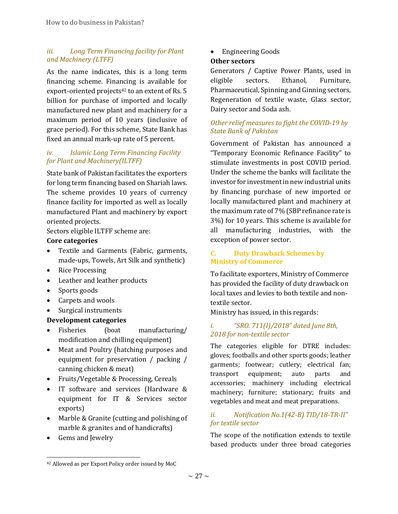# <span id="page-34-0"></span>*iii. Long Term Financing facility for Plant and Machinery (LTFF)*

As the name indicates, this is a long term financing scheme. Financing is available for export-oriented projects<sup>42</sup> to an extent of Rs. 5 billion for purchase of imported and locally manufactured new plant and machinery for a maximum period of 10 years (inclusive of grace period). For this scheme, State Bank has fixed an annual mark-up rate of 5 percent.

# <span id="page-34-1"></span>*iv. Islamic Long Term Financing Facility for Plant and Machinery(ILTFF)*

State bank of Pakistan facilitates the exporters for long term financing based on Shariah laws. The scheme provides 10 years of currency finance facility for imported as well as locally manufactured Plant and machinery by export oriented projects.

Sectors eligible ILTFF scheme are:

# **Core categories**

- Textile and Garments (Fabric, garments, made-ups, Towels, Art Silk and synthetic)
- Rice Processing
- Leather and leather products
- Sports goods
- Carpets and wools
- Surgical instruments

# **Development categories**

- Fisheries (boat manufacturing/ modification and chilling equipment)
- Meat and Poultry (hatching purposes and equipment for preservation / packing / canning chicken & meat)
- Fruits/Vegetable & Processing, Cereals
- IT software and services (Hardware & equipment for IT & Services sector exports)
- Marble & Granite (cutting and polishing of marble & granites and of handicrafts)
- Gems and Jewelry

l

• Engineering Goods

# **Other sectors**

Generators / Captive Power Plants, used in eligible sectors. Ethanol, Furniture, Pharmaceutical, Spinning and Ginning sectors, Regeneration of textile waste, Glass sector, Dairy sector and Soda ash.

# *Other relief measures to fight the COVID-19 by State Bank of Pakistan*

Government of Pakistan has announced a "Temporary Economic Refinance Facility" to stimulate investments in post COVID period. Under the scheme the banks will facilitate the investor for investment in new industrial units by financing purchase of new imported or locally manufactured plant and machinery at the maximum rate of 7% (SBP refinance rate is 3%) for 10 years. This scheme is available for all manufacturing industries, with the exception of power sector.

# <span id="page-34-2"></span>**C. Duty Drawback Schemes by Ministry of Commerce**

To facilitate exporters, Ministry of Commerce has provided the facility of duty drawback on local taxes and levies to both textile and nontextile sector.

Ministry has issued, in this regards:

# <span id="page-34-3"></span>*i. "SRO. 711(I)/2018" dated June 8th, 2018 for non-textile sector*

The categories eligible for DTRE includes: gloves; footballs and other sports goods; leather garments; footwear; cutlery; electrical fan; transport equipment; auto parts and accessories; machinery including electrical machinery; furniture; stationary; fruits and vegetables and meat and meat preparations.

# <span id="page-34-4"></span>*ii. Notification No.1(42-B) TID/18-TR-II" for textile sector*

The scope of the notification extends to textile based products under three broad categories

<sup>42</sup> Allowed as per Export Policy order issued by MoC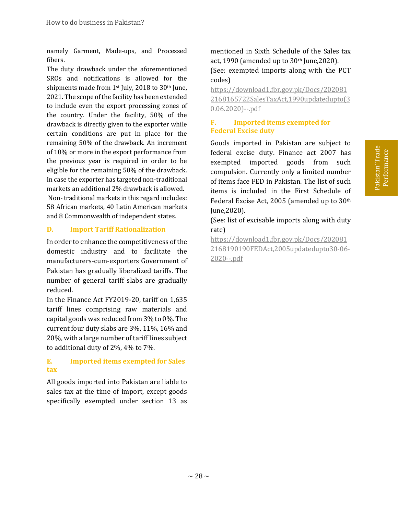namely Garment, Made-ups, and Processed fibers.

The duty drawback under the aforementioned SROs and notifications is allowed for the shipments made from 1st July, 2018 to 30th June, 2021. The scope of the facility has been extended to include even the export processing zones of the country. Under the facility, 50% of the drawback is directly given to the exporter while certain conditions are put in place for the remaining 50% of the drawback. An increment of 10% or more in the export performance from the previous year is required in order to be eligible for the remaining 50% of the drawback. In case the exporter has targeted non-traditional markets an additional 2% drawback is allowed. Non-traditional markets in this regard includes: 58 African markets, 40 Latin American markets and 8 Commonwealth of independent states.

# <span id="page-35-0"></span>**D. Import Tariff Rationalization**

In order to enhance the competitiveness of the domestic industry and to facilitate the manufacturers-cum-exporters Government of Pakistan has gradually liberalized tariffs. The number of general tariff slabs are gradually reduced.

In the Finance Act FY2019-20, tariff on 1,635 tariff lines comprising raw materials and capital goods was reduced from 3% to 0%. The current four duty slabs are 3%, 11%, 16% and 20%, with a large number of tariff lines subject to additional duty of 2%, 4% to 7%.

# <span id="page-35-1"></span>**E. Imported items exempted for Sales tax**

All goods imported into Pakistan are liable to sales tax at the time of import, except goods specifically exempted under section 13 as mentioned in Sixth Schedule of the Sales tax act, 1990 (amended up to  $30<sup>th</sup>$  June, 2020). (See: exempted imports along with the PCT codes)

[https://download1.fbr.gov.pk/Docs/202081](https://download1.fbr.gov.pk/Docs/2020812168165722SalesTaxAct,1990updatedupto(30.06.2020)--.pdf) [2168165722SalesTaxAct,1990updatedupto\(3](https://download1.fbr.gov.pk/Docs/2020812168165722SalesTaxAct,1990updatedupto(30.06.2020)--.pdf) [0.06.2020\)--.pdf](https://download1.fbr.gov.pk/Docs/2020812168165722SalesTaxAct,1990updatedupto(30.06.2020)--.pdf)

# <span id="page-35-2"></span>**F. Imported items exempted for Federal Excise duty**

Goods imported in Pakistan are subject to federal excise duty. Finance act 2007 has exempted imported goods from such compulsion. Currently only a limited number of items face FED in Pakistan. The list of such items is included in the First Schedule of Federal Excise Act, 2005 (amended up to 30th June,2020).

(See: list of excisable imports along with duty rate)

[https://download1.fbr.gov.pk/Docs/202081](https://download1.fbr.gov.pk/Docs/2020812168190190FEDAct,2005updatedupto30-06-2020--.pdf) [2168190190FEDAct,2005updatedupto30-06-](https://download1.fbr.gov.pk/Docs/2020812168190190FEDAct,2005updatedupto30-06-2020--.pdf) [2020--.pdf](https://download1.fbr.gov.pk/Docs/2020812168190190FEDAct,2005updatedupto30-06-2020--.pdf)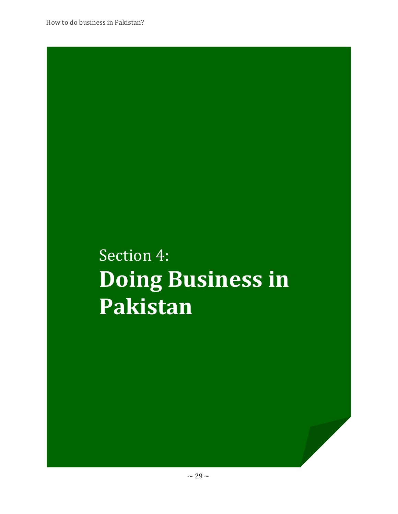# Section 4: **Doing Business in Pakistan**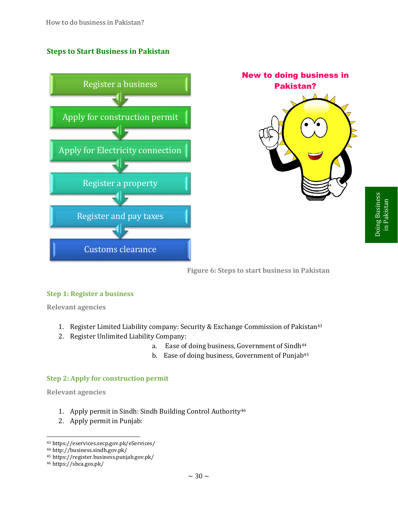# **Steps to Start Business in Pakistan**





**Figure 6: Steps to start business in Pakistan**

### **Step 1: Register a business**

**Relevant agencies** 

- 1. Register Limited Liability company: Security & Exchange Commission of Pakistan<sup>43</sup>
- 2. Register Unlimited Liability Company:
	- a. Ease of doing business, Government of Sindh<sup>44</sup>
	- b. Ease of doing business, Government of Punjab<sup>45</sup>

### **Step 2: Apply for construction permit**

**Relevant agencies** 

- 1. Apply permit in Sindh: Sindh Building Control Authority<sup>46</sup>
- 2. Apply permit in Punjab:

<sup>43</sup> https://eservices.secp.gov.pk/eServices/

<sup>44</sup> http://business.sindh.gov.pk/

<sup>45</sup> https://register.business.punjab.gov.pk/

<sup>46</sup> https://sbca.gos.pk/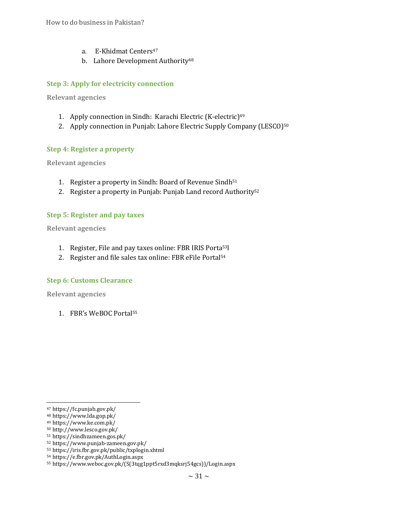- a. E-Khidmat Centers<sup>47</sup>
- b. Lahore Development Authority<sup>48</sup>

# **Step 3: Apply for electricity connection**

**Relevant agencies** 

- 1. Apply connection in Sindh: Karachi Electric (K-electric)<sup>49</sup>
- 2. Apply connection in Punjab: Lahore Electric Supply Company (LESCO)<sup>50</sup>

### **Step 4: Register a property**

**Relevant agencies** 

- 1. Register a property in Sindh: Board of Revenue Sindh<sup>51</sup>
- 2. Register a property in Punjab: Punjab Land record Authority<sup>52</sup>

### **Step 5: Register and pay taxes**

**Relevant agencies** 

- 1. Register, File and pay taxes online: FBR IRIS Porta53l
- 2. Register and file sales tax online: FBR eFile Portal<sup>54</sup>

### **Step 6: Customs Clearance**

**Relevant agencies** 

1. FBR's WeBOC Portal<sup>55</sup>

l <sup>47</sup> https://fc.punjab.gov.pk/

<sup>48</sup> https://www.lda.gop.pk/

<sup>49</sup> https://www.ke.com.pk/

<sup>50</sup> http://www.lesco.gov.pk/

<sup>51</sup> https://sindhzameen.gos.pk/

<sup>52</sup> https://www.punjab-zameen.gov.pk/

<sup>53</sup> https://iris.fbr.gov.pk/public/txplogin.xhtml

<sup>54</sup> https://e.fbr.gov.pk/AuthLogin.aspx

<sup>55</sup> https://www.weboc.gov.pk/(S(3tqg1ppt5rxd3mqksrj54gcs))/Login.aspx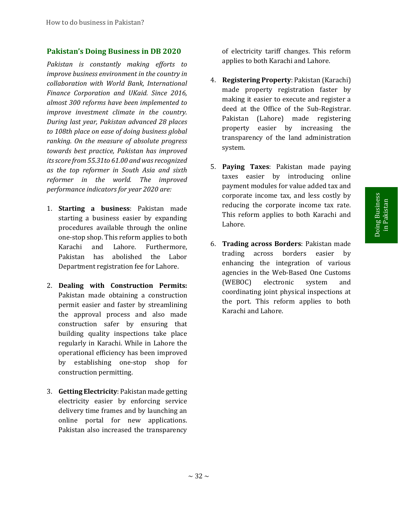### **Pakistan's Doing Business in DB 2020**

*Pakistan is constantly making efforts to improve business environment in the country in collaboration with World Bank, International Finance Corporation and UKaid. Since 2016, almost 300 reforms have been implemented to improve investment climate in the country. During last year, Pakistan advanced 28 places to 108th place on ease of doing business global ranking. On the measure of absolute progress towards best practice, Pakistan has improved its score from 55.31to 61.00 and was recognized as the top reformer in South Asia and sixth reformer in the world. The improved performance indicators for year 2020 are:*

- 1. **Starting a business**: Pakistan made starting a business easier by expanding procedures available through the online one-stop shop. This reform applies to both Karachi and Lahore. Furthermore, Pakistan has abolished the Labor Department registration fee for Lahore.
- 2. **Dealing with Construction Permits:** Pakistan made obtaining a construction permit easier and faster by streamlining the approval process and also made construction safer by ensuring that building quality inspections take place regularly in Karachi. While in Lahore the operational efficiency has been improved by establishing one-stop shop for construction permitting.
- 3. **Getting Electricity**: Pakistan made getting electricity easier by enforcing service delivery time frames and by launching an online portal for new applications. Pakistan also increased the transparency

of electricity tariff changes. This reform applies to both Karachi and Lahore.

- 4. **Registering Property**: Pakistan (Karachi) made property registration faster by making it easier to execute and register a deed at the Office of the Sub-Registrar. Pakistan (Lahore) made registering property easier by increasing the transparency of the land administration system.
- 5. **Paying Taxes**: Pakistan made paying taxes easier by introducing online payment modules for value added tax and corporate income tax, and less costly by reducing the corporate income tax rate. This reform applies to both Karachi and Lahore.
- 6. **Trading across Borders**: Pakistan made trading across borders easier by enhancing the integration of various agencies in the Web-Based One Customs (WEBOC) electronic system and coordinating joint physical inspections at the port. This reform applies to both corporate income tax, and less costly by<br>
reducing the corporate income tax rate.<br>
This reform applies to both Karachi and<br>
Lahore.<br> **Trading across Borders**: Pakistan made<br>
trading across Borders: Pakistan made<br>
trading a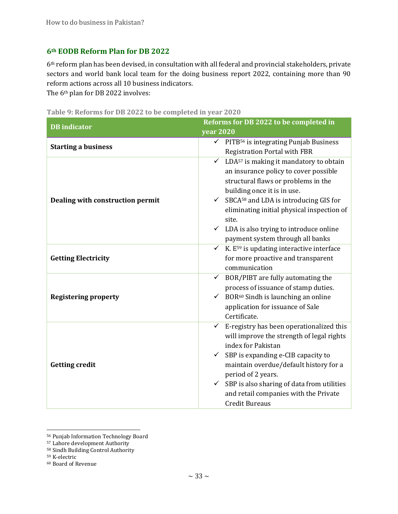# **6th EODB Reform Plan for DB 2022**

6th reform plan has been devised, in consultation with all federal and provincial stakeholders, private sectors and world bank local team for the doing business report 2022, containing more than 90 reform actions across all 10 business indicators.

The 6th plan for DB 2022 involves:

|  |  |  |  | Table 9: Reforms for DB 2022 to be completed in year 2020 |  |  |
|--|--|--|--|-----------------------------------------------------------|--|--|
|  |  |  |  |                                                           |  |  |

| <b>DB</b> indicator              | Reforms for DB 2022 to be completed in                                                                                                                                                                                                                                                                                                                                                             |  |  |  |  |
|----------------------------------|----------------------------------------------------------------------------------------------------------------------------------------------------------------------------------------------------------------------------------------------------------------------------------------------------------------------------------------------------------------------------------------------------|--|--|--|--|
|                                  | <b>year 2020</b>                                                                                                                                                                                                                                                                                                                                                                                   |  |  |  |  |
| <b>Starting a business</b>       | $\checkmark$ PITB <sup>56</sup> is integrating Punjab Business<br><b>Registration Portal with FBR</b>                                                                                                                                                                                                                                                                                              |  |  |  |  |
| Dealing with construction permit | $\checkmark$ LDA <sup>57</sup> is making it mandatory to obtain<br>an insurance policy to cover possible<br>structural flaws or problems in the<br>building once it is in use.<br>$\checkmark$ SBCA <sup>58</sup> and LDA is introducing GIS for<br>eliminating initial physical inspection of<br>site.<br>$\checkmark$ LDA is also trying to introduce online<br>payment system through all banks |  |  |  |  |
| <b>Getting Electricity</b>       | $\checkmark$ K. E <sup>59</sup> is updating interactive interface<br>for more proactive and transparent<br>communication                                                                                                                                                                                                                                                                           |  |  |  |  |
| <b>Registering property</b>      | $\checkmark$ BOR/PIBT are fully automating the<br>process of issuance of stamp duties.<br>$\checkmark$ BOR <sup>60</sup> Sindh is launching an online<br>application for issuance of Sale<br>Certificate.                                                                                                                                                                                          |  |  |  |  |
| <b>Getting credit</b>            | E-registry has been operationalized this<br>$\checkmark$<br>will improve the strength of legal rights<br>index for Pakistan<br>$\checkmark$ SBP is expanding e-CIB capacity to<br>maintain overdue/default history for a<br>period of 2 years.<br>$\checkmark$ SBP is also sharing of data from utilities<br>and retail companies with the Private<br><b>Credit Bureaus</b>                        |  |  |  |  |

<sup>56</sup> Punjab Information Technology Board

<sup>57</sup> Lahore development Authority

<sup>58</sup> Sindh Building Control Authority

<sup>59</sup> K-electric

<sup>60</sup> Board of Revenue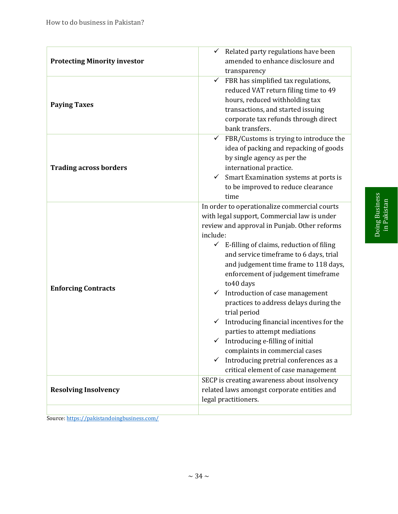| <b>Protecting Minority investor</b> | Related party regulations have been<br>✓<br>amended to enhance disclosure and<br>transparency                                                                                                                                                                                                                                                                                                                                                                                                                                                                                                                                                                                                                                       |
|-------------------------------------|-------------------------------------------------------------------------------------------------------------------------------------------------------------------------------------------------------------------------------------------------------------------------------------------------------------------------------------------------------------------------------------------------------------------------------------------------------------------------------------------------------------------------------------------------------------------------------------------------------------------------------------------------------------------------------------------------------------------------------------|
| <b>Paying Taxes</b>                 | $\checkmark$ FBR has simplified tax regulations,<br>reduced VAT return filing time to 49<br>hours, reduced withholding tax<br>transactions, and started issuing<br>corporate tax refunds through direct<br>bank transfers.                                                                                                                                                                                                                                                                                                                                                                                                                                                                                                          |
| <b>Trading across borders</b>       | $\checkmark$ FBR/Customs is trying to introduce the<br>idea of packing and repacking of goods<br>by single agency as per the<br>international practice.<br>$\checkmark$ Smart Examination systems at ports is<br>to be improved to reduce clearance<br>time                                                                                                                                                                                                                                                                                                                                                                                                                                                                         |
| <b>Enforcing Contracts</b>          | In order to operationalize commercial courts<br>with legal support, Commercial law is under<br>review and approval in Punjab. Other reforms<br>include:<br>$\checkmark$ E-filling of claims, reduction of filing<br>and service timeframe to 6 days, trial<br>and judgement time frame to 118 days,<br>enforcement of judgement timeframe<br>to40 days<br>Introduction of case management<br>$\checkmark$<br>practices to address delays during the<br>trial period<br>Introducing financial incentives for the<br>parties to attempt mediations<br>$\checkmark$ Introducing e-filling of initial<br>complaints in commercial cases<br>Introducing pretrial conferences as a<br>$\checkmark$<br>critical element of case management |
| <b>Resolving Insolvency</b>         | SECP is creating awareness about insolvency<br>related laws amongst corporate entities and<br>legal practitioners.                                                                                                                                                                                                                                                                                                                                                                                                                                                                                                                                                                                                                  |
|                                     |                                                                                                                                                                                                                                                                                                                                                                                                                                                                                                                                                                                                                                                                                                                                     |

Source[: https://pakistandoingbusiness.com/](https://pakistandoingbusiness.com/)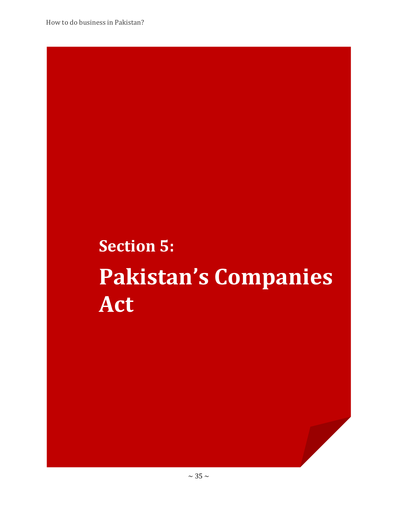# **Section 5: Pakistan's Companies Act**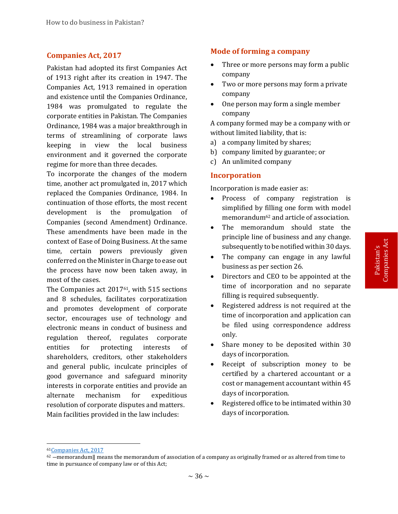# **Companies Act, 2017**

Pakistan had adopted its first Companies Act of 1913 right after its creation in 1947. The Companies Act, 1913 remained in operation and existence until the Companies Ordinance, 1984 was promulgated to regulate the corporate entities in Pakistan. The Companies Ordinance, 1984 was a major breakthrough in terms of streamlining of corporate laws keeping in view the local business environment and it governed the corporate regime for more than three decades.

To incorporate the changes of the modern time, another act promulgated in, 2017 which replaced the Companies Ordinance, 1984. In continuation of those efforts, the most recent development is the promulgation of Companies (second Amendment) Ordinance. These amendments have been made in the context of Ease of Doing Business. At the same time, certain powers previously given conferred on the Minister in Charge to ease out the process have now been taken away, in most of the cases.

The Companies act 201761, with 515 sections and 8 schedules, facilitates corporatization and promotes development of corporate sector, encourages use of technology and electronic means in conduct of business and regulation thereof, regulates corporate entities for protecting interests of shareholders, creditors, other stakeholders and general public, inculcate principles of good governance and safeguard minority interests in corporate entities and provide an alternate mechanism for expeditious resolution of corporate disputes and matters. Main facilities provided in the law includes:

# **Mode of forming a company**

- Three or more persons may form a public company
- Two or more persons may form a private company
- One person may form a single member company

A company formed may be a company with or without limited liability, that is:

- a) a company limited by shares;
- b) company limited by guarantee; or
- c) An unlimited company

### **Incorporation**

Incorporation is made easier as:

- Process of company registration is simplified by filling one form with model memorandum<sup>62</sup> and article of association.
- The memorandum should state the principle line of business and any change. subsequently to be notified within 30 days.
- The company can engage in any lawful business as per section 26.
- Directors and CEO to be appointed at the time of incorporation and no separate filling is required subsequently.
- Registered address is not required at the time of incorporation and application can be filed using correspondence address only.
- Share money to be deposited within 30 days of incorporation.
- Receipt of subscription money to be certified by a chartered accountant or a cost or management accountant within 45 days of incorporation.
- Registered office to be intimated within 30 days of incorporation.

<sup>61</sup>[Companies Act, 2017](https://www.ilo.org/dyn/natlex/docs/ELECTRONIC/104943/128178/F-1907703579/PAK104943.pdf)

 $62$  –memorandum|| means the memorandum of association of a company as originally framed or as altered from time to time in pursuance of company law or of this Act;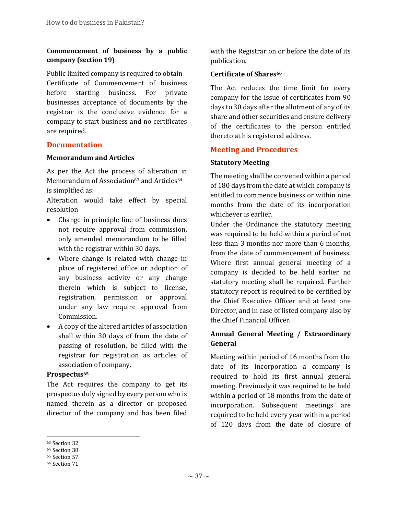# **Commencement of business by a public company (section 19)**

Public limited company is required to obtain Certificate of Commencement of business before starting business. For private businesses acceptance of documents by the registrar is the conclusive evidence for a company to start business and no certificates are required.

# **Documentation**

### **Memorandum and Articles**

As per the Act the process of alteration in Memorandum of Association<sup>63</sup> and Articles<sup>64</sup> is simplified as:

Alteration would take effect by special resolution

- Change in principle line of business does not require approval from commission, only amended memorandum to be filled with the registrar within 30 days.
- Where change is related with change in place of registered office or adoption of any business activity or any change therein which is subject to license, registration, permission or approval under any law require approval from Commission.
- A copy of the altered articles of association shall within 30 days of from the date of passing of resolution, be filled with the registrar for registration as articles of association of company.

# **Prospectus<sup>65</sup>**

The Act requires the company to get its prospectus duly signed by every person who is named therein as a director or proposed director of the company and has been filed

with the Registrar on or before the date of its publication.

# **Certificate of Shares<sup>66</sup>**

The Act reduces the time limit for every company for the issue of certificates from 90 days to 30 days after the allotment of any of its share and other securities and ensure delivery of the certificates to the person entitled thereto at his registered address.

# **Meeting and Procedures**

# **Statutory Meeting**

The meeting shall be convened within a period of 180 days from the date at which company is entitled to commence business or within nine months from the date of its incorporation whichever is earlier.

Under the Ordinance the statutory meeting was required to be held within a period of not less than 3 months nor more than 6 months, from the date of commencement of business. Where first annual general meeting of a company is decided to be held earlier no statutory meeting shall be required. Further statutory report is required to be certified by the Chief Executive Officer and at least one Director, and in case of listed company also by the Chief Financial Officer.

# **Annual General Meeting / Extraordinary General**

Meeting within period of 16 months from the date of its incorporation a company is required to hold its first annual general meeting. Previously it was required to be held within a period of 18 months from the date of incorporation. Subsequent meetings are required to be held every year within a period of 120 days from the date of closure of

<sup>63</sup> Section 32

<sup>64</sup> Section 38

<sup>65</sup> Section 57

<sup>66</sup> Section 71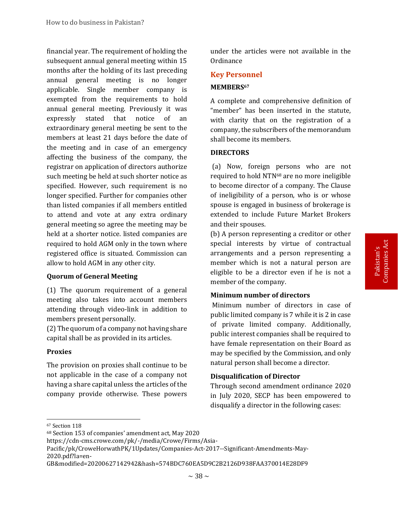financial year. The requirement of holding the subsequent annual general meeting within 15 months after the holding of its last preceding annual general meeting is no longer applicable. Single member company is exempted from the requirements to hold annual general meeting. Previously it was expressly stated that notice of an extraordinary general meeting be sent to the members at least 21 days before the date of the meeting and in case of an emergency affecting the business of the company, the registrar on application of directors authorize such meeting be held at such shorter notice as specified. However, such requirement is no longer specified. Further for companies other than listed companies if all members entitled to attend and vote at any extra ordinary general meeting so agree the meeting may be held at a shorter notice. listed companies are required to hold AGM only in the town where registered office is situated. Commission can allow to hold AGM in any other city.

### **Quorum of General Meeting**

(1) The quorum requirement of a general meeting also takes into account members attending through video-link in addition to members present personally.

(2) The quorum of a company not having share capital shall be as provided in its articles.

#### **Proxies**

The provision on proxies shall continue to be not applicable in the case of a company not having a share capital unless the articles of the company provide otherwise. These powers

under the articles were not available in the Ordinance

# **Key Personnel**

#### **MEMBERS<sup>67</sup>**

A complete and comprehensive definition of "member" has been inserted in the statute, with clarity that on the registration of a company, the subscribers of the memorandum shall become its members.

#### **DIRECTORS**

(a) Now, foreign persons who are not required to hold NTN<sup>68</sup> are no more ineligible to become director of a company. The Clause of ineligibility of a person, who is or whose spouse is engaged in business of brokerage is extended to include Future Market Brokers and their spouses.

(b) A person representing a creditor or other special interests by virtue of contractual arrangements and a person representing a member which is not a natural person are eligible to be a director even if he is not a member of the company.

#### **Minimum number of directors**

Minimum number of directors in case of public limited company is 7 while it is 2 in case of private limited company. Additionally, public interest companies shall be required to have female representation on their Board as may be specified by the Commission, and only natural person shall become a director.

#### **Disqualification of Director**

Through second amendment ordinance 2020 in July 2020, SECP has been empowered to disqualify a director in the following cases:

<sup>67</sup> Section 118

<sup>68</sup> Section 153 of companies' amendment act, May 2020

https://cdn-cms.crowe.com/pk/-/media/Crowe/Firms/Asia-

Pacific/pk/CroweHorwathPK/1Updates/Companies-Act-2017--Significant-Amendments-May-2020.pdf?la=en-

GB&modified=20200627142942&hash=574BDC760EA5D9C2B2126D938FAA370014E28DF9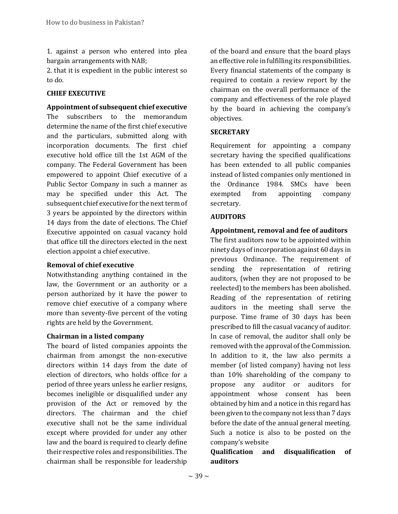1. against a person who entered into plea bargain arrangements with NAB;

2. that it is expedient in the public interest so to do.

### **CHIEF EXECUTIVE**

**Appointment of subsequent chief executive** The subscribers to the memorandum determine the name of the first chief executive and the particulars, submitted along with incorporation documents. The first chief executive hold office till the 1st AGM of the company. The Federal Government has been empowered to appoint Chief executive of a Public Sector Company in such a manner as may be specified under this Act. The subsequent chief executive for the next term of 3 years be appointed by the directors within 14 days from the date of elections. The Chief Executive appointed on casual vacancy hold that office till the directors elected in the next election appoint a chief executive.

### **Removal of chief executive**

Notwithstanding anything contained in the law, the Government or an authority or a person authorized by it have the power to remove chief executive of a company where more than seventy-five percent of the voting rights are held by the Government.

### **Chairman in a listed company**

The board of listed companies appoints the chairman from amongst the non-executive directors within 14 days from the date of election of directors, who holds office for a period of three years unless he earlier resigns, becomes ineligible or disqualified under any provision of the Act or removed by the directors. The chairman and the chief executive shall not be the same individual except where provided for under any other law and the board is required to clearly define their respective roles and responsibilities. The chairman shall be responsible for leadership

of the board and ensure that the board plays an effective role in fulfilling its responsibilities. Every financial statements of the company is required to contain a review report by the chairman on the overall performance of the company and effectiveness of the role played by the board in achieving the company's objectives.

### **SECRETARY**

Requirement for appointing a company secretary having the specified qualifications has been extended to all public companies instead of listed companies only mentioned in the Ordinance 1984. SMCs have been exempted from appointing company secretary.

#### **AUDITORS**

# **Appointment, removal and fee of auditors**

The first auditors now to be appointed within ninety days of incorporation against 60 days in previous Ordinance. The requirement of sending the representation of retiring auditors, (when they are not proposed to be reelected) to the members has been abolished. Reading of the representation of retiring auditors in the meeting shall serve the purpose. Time frame of 30 days has been prescribed to fill the casual vacancy of auditor. In case of removal, the auditor shall only be removed with the approval of the Commission. In addition to it, the law also permits a member (of listed company) having not less than 10% shareholding of the company to propose any auditor or auditors for appointment whose consent has been obtained by him and a notice in this regard has been given to the company not less than 7 days before the date of the annual general meeting. Such a notice is also to be posted on the company's website

# **Qualification and disqualification of auditors**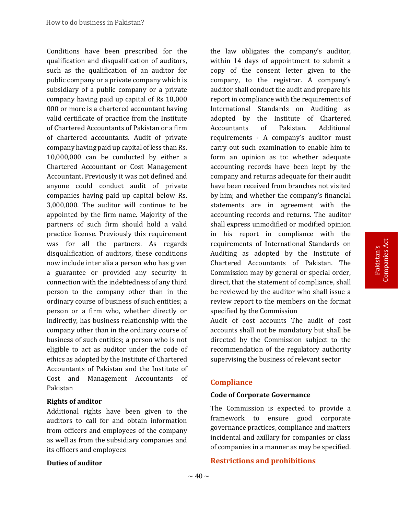Conditions have been prescribed for the qualification and disqualification of auditors, such as the qualification of an auditor for public company or a private company which is subsidiary of a public company or a private company having paid up capital of Rs 10,000 000 or more is a chartered accountant having valid certificate of practice from the Institute of Chartered Accountants of Pakistan or a firm of chartered accountants. Audit of private company having paid up capital of less than Rs. 10,000,000 can be conducted by either a Chartered Accountant or Cost Management Accountant. Previously it was not defined and anyone could conduct audit of private companies having paid up capital below Rs. 3,000,000. The auditor will continue to be appointed by the firm name. Majority of the partners of such firm should hold a valid practice license. Previously this requirement was for all the partners. As regards disqualification of auditors, these conditions now include inter alia a person who has given a guarantee or provided any security in connection with the indebtedness of any third person to the company other than in the ordinary course of business of such entities; a person or a firm who, whether directly or indirectly, has business relationship with the company other than in the ordinary course of business of such entities; a person who is not eligible to act as auditor under the code of ethics as adopted by the Institute of Chartered Accountants of Pakistan and the Institute of Cost and Management Accountants of Pakistan

### **Rights of auditor**

Additional rights have been given to the auditors to call for and obtain information from officers and employees of the company as well as from the subsidiary companies and its officers and employees

the law obligates the company's auditor, within 14 days of appointment to submit a copy of the consent letter given to the company, to the registrar. A company's auditor shall conduct the audit and prepare his report in compliance with the requirements of International Standards on Auditing as adopted by the Institute of Chartered Accountants of Pakistan. Additional requirements - A company's auditor must carry out such examination to enable him to form an opinion as to: whether adequate accounting records have been kept by the company and returns adequate for their audit have been received from branches not visited by him; and whether the company's financial statements are in agreement with the accounting records and returns. The auditor shall express unmodified or modified opinion in his report in compliance with the requirements of International Standards on Auditing as adopted by the Institute of Chartered Accountants of Pakistan. The Commission may by general or special order, direct, that the statement of compliance, shall be reviewed by the auditor who shall issue a review report to the members on the format specified by the Commission

Audit of cost accounts The audit of cost accounts shall not be mandatory but shall be directed by the Commission subject to the recommendation of the regulatory authority supervising the business of relevant sector

# **Compliance**

### **Code of Corporate Governance**

The Commission is expected to provide a framework to ensure good corporate governance practices, compliance and matters incidental and axillary for companies or class of companies in a manner as may be specified.

### **Duties of auditor**

#### **Restrictions and prohibitions**

Pakistan's<br>Companies Act Companies Act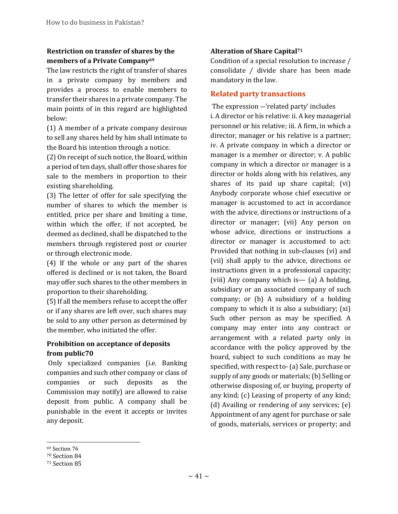# **Restriction on transfer of shares by the members of a Private Company<sup>69</sup>**

The law restricts the right of transfer of shares in a private company by members and provides a process to enable members to transfer their shares in a private company. The main points of in this regard are highlighted below:

(1) A member of a private company desirous to sell any shares held by him shall intimate to the Board his intention through a notice.

(2) On receipt of such notice, the Board, within a period of ten days, shall offer those shares for sale to the members in proportion to their existing shareholding.

(3) The letter of offer for sale specifying the number of shares to which the member is entitled, price per share and limiting a time, within which the offer, if not accepted, be deemed as declined, shall be dispatched to the members through registered post or courier or through electronic mode.

(4) If the whole or any part of the shares offered is declined or is not taken, the Board may offer such shares to the other members in proportion to their shareholding.

(5) If all the members refuse to accept the offer or if any shares are left over, such shares may be sold to any other person as determined by the member, who initiated the offer.

# **Prohibition on acceptance of deposits from public70**

Only specialized companies (i.e. Banking companies and such other company or class of companies or such deposits as the Commission may notify) are allowed to raise deposit from public. A company shall be punishable in the event it accepts or invites any deposit.

# **Alteration of Share Capital<sup>71</sup>**

Condition of a special resolution to increase / consolidate / divide share has been made mandatory in the law.

# **Related party transactions**

The expression ―'related party' includes i. A director or his relative: ii. A key managerial personnel or his relative; iii. A firm, in which a director, manager or his relative is a partner; iv. A private company in which a director or manager is a member or director; v. A public company in which a director or manager is a director or holds along with his relatives, any shares of its paid up share capital; (vi) Anybody corporate whose chief executive or manager is accustomed to act in accordance with the advice, directions or instructions of a director or manager; (vii) Any person on whose advice, directions or instructions a director or manager is accustomed to act: Provided that nothing in sub-clauses (vi) and (vii) shall apply to the advice, directions or instructions given in a professional capacity; (viii) Any company which is— (a) A holding, subsidiary or an associated company of such company; or (b) A subsidiary of a holding company to which it is also a subsidiary; (xi) Such other person as may be specified. A company may enter into any contract or arrangement with a related party only in accordance with the policy approved by the board, subject to such conditions as may be specified, with respect to-(a) Sale, purchase or supply of any goods or materials; (b) Selling or otherwise disposing of, or buying, property of any kind; (c) Leasing of property of any kind; (d) Availing or rendering of any services; (e) Appointment of any agent for purchase or sale of goods, materials, services or property; and

l <sup>69</sup> Section 76

<sup>70</sup> Section 84

<sup>71</sup> Section 85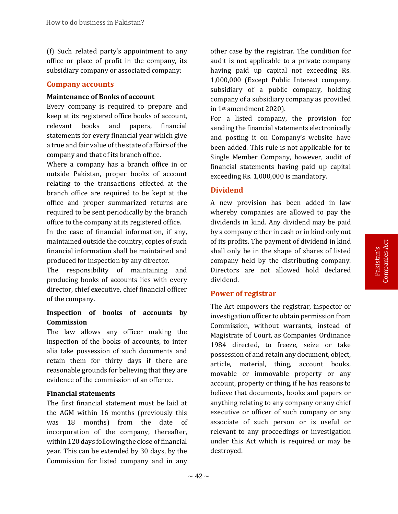(f) Such related party's appointment to any office or place of profit in the company, its subsidiary company or associated company:

#### **Company accounts**

#### **Maintenance of Books of account**

Every company is required to prepare and keep at its registered office books of account, relevant books and papers, financial statements for every financial year which give a true and fair value of the state of affairs of the company and that of its branch office.

Where a company has a branch office in or outside Pakistan, proper books of account relating to the transactions effected at the branch office are required to be kept at the office and proper summarized returns are required to be sent periodically by the branch office to the company at its registered office.

In the case of financial information, if any, maintained outside the country, copies of such financial information shall be maintained and produced for inspection by any director.

The responsibility of maintaining and producing books of accounts lies with every director, chief executive, chief financial officer of the company.

# **Inspection of books of accounts by Commission**

The law allows any officer making the inspection of the books of accounts, to inter alia take possession of such documents and retain them for thirty days if there are reasonable grounds for believing that they are evidence of the commission of an offence.

### **Financial statements**

The first financial statement must be laid at the AGM within 16 months (previously this was 18 months) from the date of incorporation of the company, thereafter, within 120 days following the close of financial year. This can be extended by 30 days, by the Commission for listed company and in any

other case by the registrar. The condition for audit is not applicable to a private company having paid up capital not exceeding Rs. 1,000,000 (Except Public Interest company, subsidiary of a public company, holding company of a subsidiary company as provided in 1st amendment 2020).

For a listed company, the provision for sending the financial statements electronically and posting it on Company's website have been added. This rule is not applicable for to Single Member Company, however, audit of financial statements having paid up capital exceeding Rs. 1,000,000 is mandatory.

### **Dividend**

A new provision has been added in law whereby companies are allowed to pay the dividends in kind. Any dividend may be paid by a company either in cash or in kind only out of its profits. The payment of dividend in kind shall only be in the shape of shares of listed company held by the distributing company. Directors are not allowed hold declared dividend.

### **Power of registrar**

The Act empowers the registrar, inspector or investigation officer to obtain permission from Commission, without warrants, instead of Magistrate of Court, as Companies Ordinance 1984 directed, to freeze, seize or take possession of and retain any document, object, article, material, thing, account books, movable or immovable property or any account, property or thing, if he has reasons to believe that documents, books and papers or anything relating to any company or any chief executive or officer of such company or any associate of such person or is useful or relevant to any proceedings or investigation under this Act which is required or may be destroyed.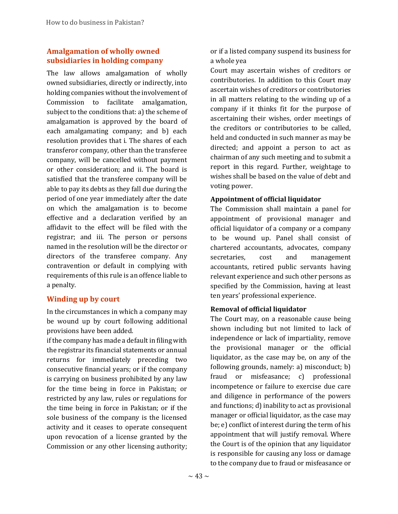# **Amalgamation of wholly owned subsidiaries in holding company**

The law allows amalgamation of wholly owned subsidiaries, directly or indirectly, into holding companies without the involvement of Commission to facilitate amalgamation, subject to the conditions that: a) the scheme of amalgamation is approved by the board of each amalgamating company; and b) each resolution provides that i. The shares of each transferor company, other than the transferee company, will be cancelled without payment or other consideration; and ii. The board is satisfied that the transferee company will be able to pay its debts as they fall due during the period of one year immediately after the date on which the amalgamation is to become effective and a declaration verified by an affidavit to the effect will be filed with the registrar; and iii. The person or persons named in the resolution will be the director or directors of the transferee company. Any contravention or default in complying with requirements of this rule is an offence liable to a penalty.

# **Winding up by court**

In the circumstances in which a company may be wound up by court following additional provisions have been added.

if the company has made a default in filing with the registrar its financial statements or annual returns for immediately preceding two consecutive financial years; or if the company is carrying on business prohibited by any law for the time being in force in Pakistan; or restricted by any law, rules or regulations for the time being in force in Pakistan; or if the sole business of the company is the licensed activity and it ceases to operate consequent upon revocation of a license granted by the Commission or any other licensing authority;

or if a listed company suspend its business for a whole yea

Court may ascertain wishes of creditors or contributories. In addition to this Court may ascertain wishes of creditors or contributories in all matters relating to the winding up of a company if it thinks fit for the purpose of ascertaining their wishes, order meetings of the creditors or contributories to be called, held and conducted in such manner as may be directed; and appoint a person to act as chairman of any such meeting and to submit a report in this regard. Further, weightage to wishes shall be based on the value of debt and voting power.

# **Appointment of official liquidator**

The Commission shall maintain a panel for appointment of provisional manager and official liquidator of a company or a company to be wound up. Panel shall consist of chartered accountants, advocates, company secretaries, cost and management accountants, retired public servants having relevant experience and such other persons as specified by the Commission, having at least ten years' professional experience.

# **Removal of official liquidator**

The Court may, on a reasonable cause being shown including but not limited to lack of independence or lack of impartiality, remove the provisional manager or the official liquidator, as the case may be, on any of the following grounds, namely: a) misconduct; b) fraud or misfeasance; c) professional incompetence or failure to exercise due care and diligence in performance of the powers and functions; d) inability to act as provisional manager or official liquidator, as the case may be; e) conflict of interest during the term of his appointment that will justify removal. Where the Court is of the opinion that any liquidator is responsible for causing any loss or damage to the company due to fraud or misfeasance or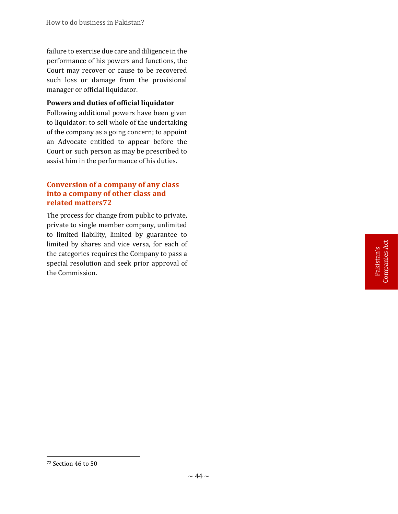failure to exercise due care and diligence in the performance of his powers and functions, the Court may recover or cause to be recovered such loss or damage from the provisional manager or official liquidator.

# **Powers and duties of official liquidator**

Following additional powers have been given to liquidator: to sell whole of the undertaking of the company as a going concern; to appoint an Advocate entitled to appear before the Court or such person as may be prescribed to assist him in the performance of his duties.

# **Conversion of a company of any class into a company of other class and related matters72**

The process for change from public to private, private to single member company, unlimited to limited liability, limited by guarantee to limited by shares and vice versa, for each of the categories requires the Company to pass a special resolution and seek prior approval of the Commission.

<sup>72</sup> Section 46 to 50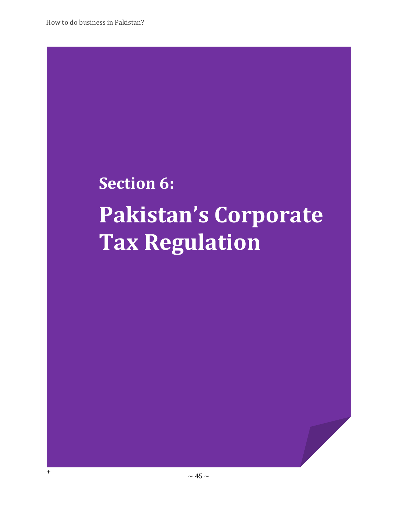+

# **Section 6: Pakistan's Corporate Tax Regulation**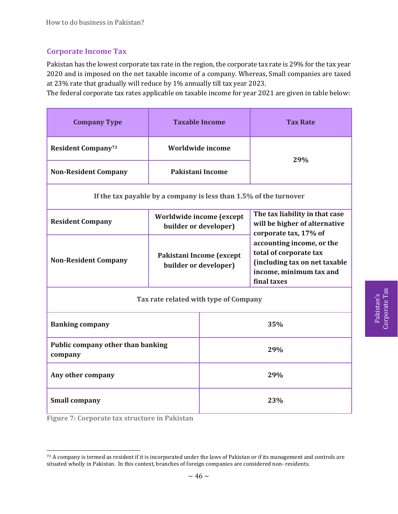# **Corporate Income Tax**

Pakistan has the lowest corporate tax rate in the region, the corporate tax rate is 29% for the tax year 2020 and is imposed on the net taxable income of a company. Whereas, Small companies are taxed at 23% rate that gradually will reduce by 1% annually till tax year 2023.

The federal corporate tax rates applicable on taxable income for year 2021 are given in table below:

| <b>Company Type</b>                          |                                               | <b>Taxable Income</b>                             | <b>Tax Rate</b>                                                                                                                                 |  |  |
|----------------------------------------------|-----------------------------------------------|---------------------------------------------------|-------------------------------------------------------------------------------------------------------------------------------------------------|--|--|
| <b>Resident Company</b> 73                   |                                               | Worldwide income                                  |                                                                                                                                                 |  |  |
| <b>Non-Resident Company</b>                  |                                               | Pakistani Income                                  | 29%                                                                                                                                             |  |  |
|                                              |                                               |                                                   | If the tax payable by a company is less than 1.5% of the turnover                                                                               |  |  |
| <b>Resident Company</b>                      |                                               | Worldwide income (except<br>builder or developer) | The tax liability in that case<br>will be higher of alternative<br>corporate tax, 17% of<br>accounting income, or the<br>total of corporate tax |  |  |
| <b>Non-Resident Company</b>                  |                                               | Pakistani Income (except<br>builder or developer) | (including tax on net taxable<br>income, minimum tax and<br>final taxes                                                                         |  |  |
|                                              | Tax rate related with type of Company         |                                                   |                                                                                                                                                 |  |  |
| <b>Banking company</b>                       |                                               | 35%                                               |                                                                                                                                                 |  |  |
| Public company other than banking<br>company |                                               | 29%                                               |                                                                                                                                                 |  |  |
| Any other company                            |                                               | 29%                                               |                                                                                                                                                 |  |  |
| <b>Small company</b>                         |                                               | 23%                                               |                                                                                                                                                 |  |  |
|                                              | Figure 7: Corporate tax structure in Pakistan |                                                   |                                                                                                                                                 |  |  |

 $73$  A company is termed as resident if it is incorporated under the laws of Pakistan or if its management and controls are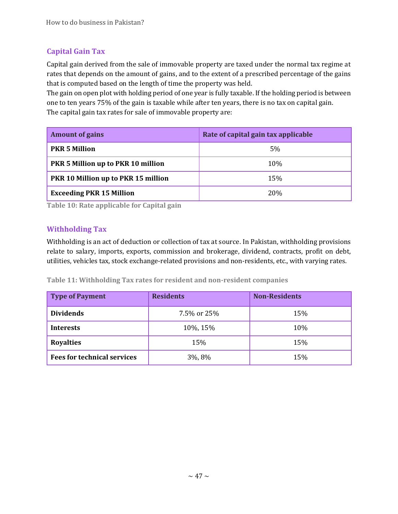# **Capital Gain Tax**

Capital gain derived from the sale of immovable property are taxed under the normal tax regime at rates that depends on the amount of gains, and to the extent of a prescribed percentage of the gains that is computed based on the length of time the property was held.

The gain on open plot with holding period of one year is fully taxable. If the holding period is between one to ten years 75% of the gain is taxable while after ten years, there is no tax on capital gain. The capital gain tax rates for sale of immovable property are:

| <b>Amount of gains</b>                     | Rate of capital gain tax applicable |
|--------------------------------------------|-------------------------------------|
| <b>PKR 5 Million</b>                       | 5%                                  |
| <b>PKR 5 Million up to PKR 10 million</b>  | 10%                                 |
| <b>PKR 10 Million up to PKR 15 million</b> | 15%                                 |
| <b>Exceeding PKR 15 Million</b>            | 20%                                 |

**Table 10: Rate applicable for Capital gain**

# **Withholding Tax**

Withholding is an act of deduction or collection of tax at source. In Pakistan, withholding provisions relate to salary, imports, exports, commission and brokerage, dividend, contracts, profit on debt, utilities, vehicles tax, stock exchange-related provisions and non-residents, etc., with varying rates.

**Table 11: Withholding Tax rates for resident and non-resident companies**

| <b>Type of Payment</b>             | <b>Residents</b> | <b>Non-Residents</b> |
|------------------------------------|------------------|----------------------|
| <b>Dividends</b>                   | 7.5% or 25%      | 15%                  |
| <b>Interests</b>                   | 10%, 15%         | 10%                  |
| <b>Royalties</b>                   | 15%              | 15%                  |
| <b>Fees for technical services</b> | 3%, 8%           | 15%                  |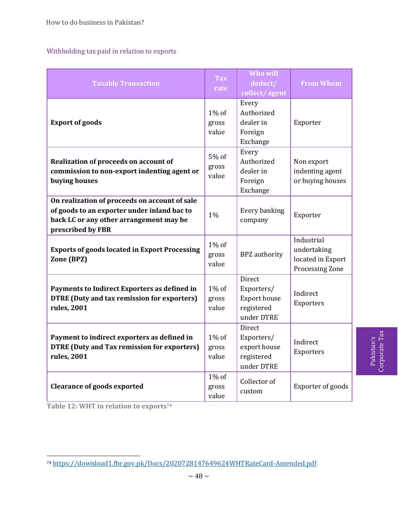# Withholding tax paid in relation to exports

| <b>Taxable Transaction</b>                                                                                                                                   | <b>Tax</b><br>rate         | <b>Who will</b><br>deduct/<br>collect/agent                             | <b>From Whom</b>                                                  |
|--------------------------------------------------------------------------------------------------------------------------------------------------------------|----------------------------|-------------------------------------------------------------------------|-------------------------------------------------------------------|
| <b>Export of goods</b>                                                                                                                                       | 1% of<br>gross<br>value    | Every<br>Authorized<br>dealer in<br>Foreign<br>Exchange                 | Exporter                                                          |
| Realization of proceeds on account of<br>commission to non-export indenting agent or<br>buying houses                                                        | 5% of<br>gross<br>value    | Every<br>Authorized<br>dealer in<br>Foreign<br>Exchange                 | Non export<br>indenting agent<br>or buying houses                 |
| On realization of proceeds on account of sale<br>of goods to an exporter under inland bac to<br>back LC or any other arrangement may be<br>prescribed by FBR | 1%                         | Every banking<br>company                                                | Exporter                                                          |
| <b>Exports of goods located in Export Processing</b><br>Zone (BPZ)                                                                                           | $1\%$ of<br>gross<br>value | <b>BPZ</b> authority                                                    | Industrial<br>undertaking<br>located in Export<br>Processing Zone |
| Payments to Indirect Exporters as defined in<br><b>DTRE (Duty and tax remission for exporters)</b><br>rules, 2001                                            | $1\%$ of<br>gross<br>value | Direct<br>Exporters/<br><b>Export house</b><br>registered<br>under DTRE | Indirect<br>Exporters                                             |
| Payment to indirect exporters as defined in<br><b>DTRE (Duty and Tax remission for exporters)</b><br>rules, 2001                                             | $1\%$ of<br>gross<br>value | Direct<br>Exporters/<br>export house<br>registered<br>under DTRE        | Indirect<br>Exporters                                             |
| <b>Clearance of goods exported</b>                                                                                                                           | $1\%$ of<br>gross<br>value | Collector of<br>custom                                                  | Exporter of goods                                                 |

Pakistan's<br>Corporate Tax Corporate Tax

**Table 12: WHT in relation to exports<sup>74</sup>**

<sup>74</sup> <https://download1.fbr.gov.pk/Docs/2020728147649624WHTRateCard-Amended.pdf>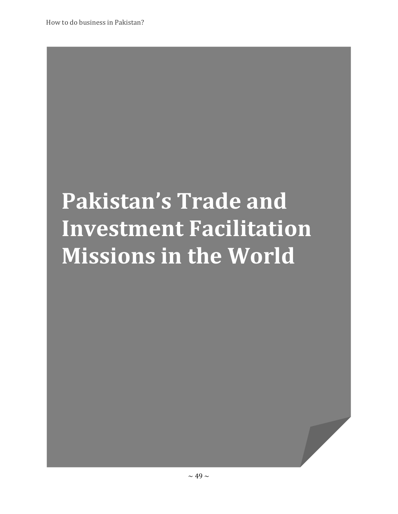# **Pakistan's Trade and Investment Facilitation Missions in the World**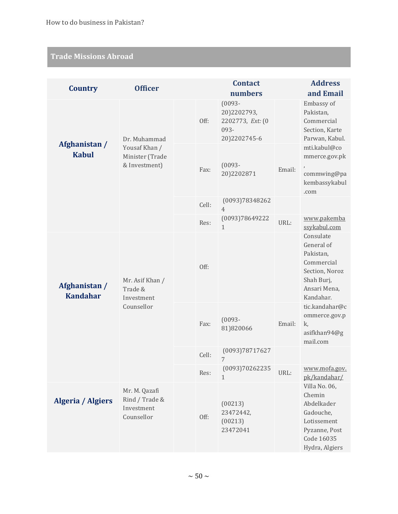# **Trade Missions Abroad**

| <b>Country</b>                   | <b>Officer</b>                                              |       | <b>Contact</b>                                                       |        | <b>Address</b>                                                                                                     |
|----------------------------------|-------------------------------------------------------------|-------|----------------------------------------------------------------------|--------|--------------------------------------------------------------------------------------------------------------------|
|                                  |                                                             |       | numbers                                                              |        | and Email                                                                                                          |
| Afghanistan /                    | Dr. Muhammad                                                | Off:  | $(0093 -$<br>20)2202793,<br>2202773, Ext: (0<br>093-<br>20)2202745-6 |        | Embassy of<br>Pakistan,<br>Commercial<br>Section, Karte<br>Parwan, Kabul.                                          |
| <b>Kabul</b>                     | Yousaf Khan /<br>Minister (Trade<br>& Investment)           | Fax:  | $(0093 -$<br>20)2202871                                              | Email: | mti.kabul@co<br>mmerce.gov.pk<br>commwing@pa<br>kembassykabul<br>.com                                              |
|                                  |                                                             | Cell: | (0093)78348262<br>$\overline{4}$                                     |        |                                                                                                                    |
|                                  |                                                             | Res:  | (0093)78649222<br>1                                                  | URL:   | www.pakemba<br>ssykabul.com                                                                                        |
| Afghanistan /<br><b>Kandahar</b> | Mr. Asif Khan /<br>Trade &<br>Investment                    | Off:  |                                                                      |        | Consulate<br>General of<br>Pakistan,<br>Commercial<br>Section, Noroz<br>Shah Burj,<br>Ansari Mena,<br>Kandahar.    |
|                                  | Counsellor                                                  | Fax:  | $(0093 -$<br>81)820066                                               | Email: | tic.kandahar@c<br>ommerce.gov.p<br>k,<br>asifkhan94@g<br>mail.com                                                  |
|                                  |                                                             | Cell: | (0093)78717627<br>7                                                  |        |                                                                                                                    |
|                                  |                                                             | Res:  | (0093)70262235<br>$\mathbf{1}$                                       | URL:   | www.mofa.gov.<br>pk/kandahar/                                                                                      |
| <b>Algeria / Algiers</b>         | Mr. M. Qazafi<br>Rind / Trade &<br>Investment<br>Counsellor | Off:  | (00213)<br>23472442,<br>(00213)<br>23472041                          |        | Villa No. 06,<br>Chemin<br>Abdelkader<br>Gadouche,<br>Lotissement<br>Pyzanne, Post<br>Code 16035<br>Hydra, Algiers |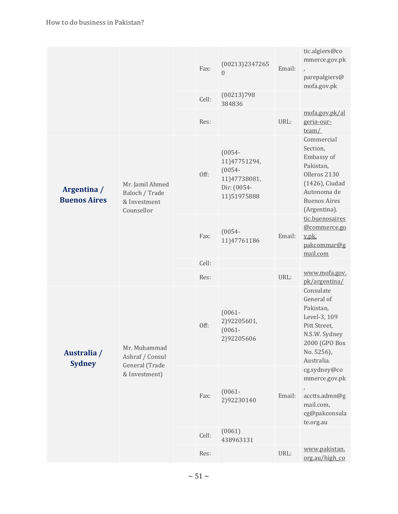|                                    |                                                                    | Fax:  | (00213)2347265                                                                       | Email: | tic.algiers@co<br>mmerce.gov.pk<br>$\lambda$                                                                                              |
|------------------------------------|--------------------------------------------------------------------|-------|--------------------------------------------------------------------------------------|--------|-------------------------------------------------------------------------------------------------------------------------------------------|
|                                    |                                                                    |       | $\theta$                                                                             |        | parepalgiers@<br>mofa.gov.pk                                                                                                              |
|                                    |                                                                    | Cell: | (00213)798<br>384836                                                                 |        |                                                                                                                                           |
|                                    |                                                                    | Res:  |                                                                                      | URL:   | mofa.gov.pk/al<br>geria-our-<br>team/                                                                                                     |
| Argentina /<br><b>Buenos Aires</b> | Mr. Jamil Ahmed<br>Baloch / Trade<br>& Investment<br>Counsellor    | Off:  | $(0054 -$<br>11)47751294,<br>$(0054 -$<br>11)47738081,<br>Dir: (0054-<br>11)51975888 |        | Commercial<br>Section,<br>Embassy of<br>Pakistan,<br>Olleros 2130<br>(1426), Ciudad<br>Autonoma de<br><b>Buenos Aires</b><br>(Argentina). |
|                                    |                                                                    | Fax:  | $(0054 -$<br>11)47761186                                                             | Email: | tic.buenosaires<br>@commerce.go<br>v.pk.<br>pakcommar@g<br>mail.com                                                                       |
|                                    |                                                                    | Cell: |                                                                                      |        |                                                                                                                                           |
|                                    |                                                                    | Res:  |                                                                                      | URL:   | www.mofa.gov.<br>pk/argentina/                                                                                                            |
| Australia /<br><b>Sydney</b>       | Mr. Muhammad<br>Ashraf / Consul<br>General (Trade<br>& Investment) | Off:  | $(0061 -$<br>2)92205601,<br>$(0061 -$<br>2)92205606                                  |        | Consulate<br>General of<br>Pakistan,<br>Level-3, 109<br>Pitt Street,<br>N.S.W. Sydney<br>2000 (GPO Box<br>No. 5256),<br>Australia.        |
|                                    |                                                                    | Fax:  | $(0061 -$<br>2)92230140                                                              | Email: | cg.sydney@co<br>mmerce.gov.pk<br>acctts.admn@g<br>mail.com,<br>cg@pakconsula<br>te.org.au                                                 |
|                                    |                                                                    | Cell: | (0061)<br>438963131                                                                  |        |                                                                                                                                           |
|                                    |                                                                    | Res:  |                                                                                      | URL:   | www.pakistan.<br>org.au/high co                                                                                                           |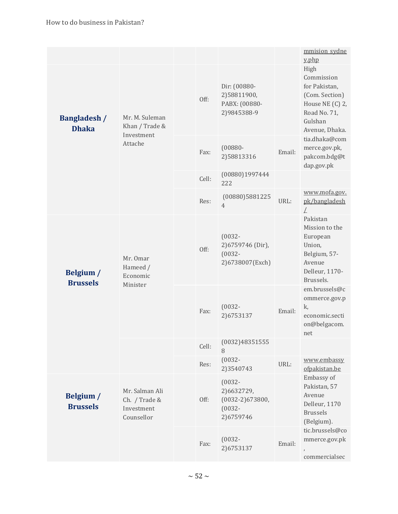|                                     |                                                             |       |                                                                        |        | mmision sydne<br>y.php                                                                                                |
|-------------------------------------|-------------------------------------------------------------|-------|------------------------------------------------------------------------|--------|-----------------------------------------------------------------------------------------------------------------------|
| <b>Bangladesh /</b><br><b>Dhaka</b> | Mr. M. Suleman<br>Khan / Trade &                            | Off:  | Dir: (00880-<br>2)58811900,<br>PABX: (00880-<br>2)9845388-9            |        | High<br>Commission<br>for Pakistan,<br>(Com. Section)<br>House NE (C) 2,<br>Road No. 71,<br>Gulshan<br>Avenue, Dhaka. |
|                                     | Investment<br>Attache                                       | Fax:  | $(00880 -$<br>2)58813316                                               | Email: | tia.dhaka@com<br>merce.gov.pk,<br>pakcom.bdg@t<br>dap.gov.pk                                                          |
|                                     |                                                             | Cell: | (00880)1997444<br>222                                                  |        |                                                                                                                       |
|                                     |                                                             | Res:  | (00880)5881225<br>$\overline{4}$                                       | URL:   | www.mofa.gov.<br>pk/bangladesh<br>L                                                                                   |
| Belgium /<br><b>Brussels</b>        | Mr. Omar<br>Hameed /<br>Economic<br>Minister                | Off:  | $(0032 -$<br>2) 6759746 (Dir),<br>$(0032 -$<br>2)6738007(Exch)         |        | Pakistan<br>Mission to the<br>European<br>Union,<br>Belgium, 57-<br>Avenue<br>Delleur, 1170-<br>Brussels.             |
|                                     |                                                             | Fax:  | $(0032 -$<br>2)6753137                                                 | Email: | em.brussels@c<br>ommerce.gov.p<br>k,<br>economic.secti<br>on@belgacom.<br>net                                         |
|                                     |                                                             | Cell: | (0032)48351555<br>8                                                    |        |                                                                                                                       |
|                                     |                                                             | Res:  | $(0032 -$<br>2)3540743                                                 | URL:   | www.embassy<br>ofpakistan.be                                                                                          |
| Belgium /<br><b>Brussels</b>        | Mr. Salman Ali<br>Ch. / Trade &<br>Investment<br>Counsellor | Off:  | $(0032 -$<br>2)6632729,<br>$(0032-2)673800,$<br>$(0032 -$<br>2)6759746 |        | Embassy of<br>Pakistan, 57<br>Avenue<br>Delleur, 1170<br><b>Brussels</b><br>(Belgium).                                |
|                                     |                                                             | Fax:  | $(0032 -$<br>2)6753137                                                 | Email: | tic.brussels@co<br>mmerce.gov.pk<br>commercialsec                                                                     |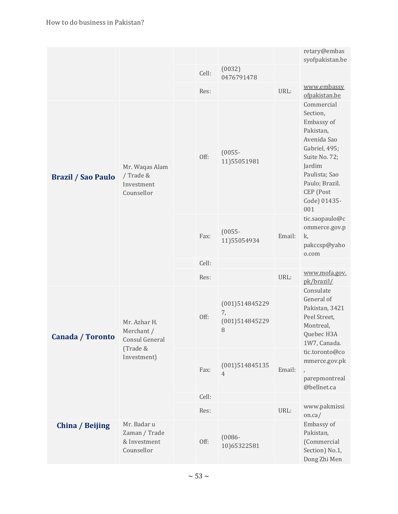|                           |                                                                         |      |                          |                                             |                                                                                                                                                                                     | retary@embas<br>syofpakistan.be                                                                      |
|---------------------------|-------------------------------------------------------------------------|------|--------------------------|---------------------------------------------|-------------------------------------------------------------------------------------------------------------------------------------------------------------------------------------|------------------------------------------------------------------------------------------------------|
|                           |                                                                         |      | Cell:                    | (0032)<br>0476791478                        |                                                                                                                                                                                     |                                                                                                      |
|                           |                                                                         |      | Res:                     |                                             | URL:                                                                                                                                                                                | www.embassy<br>ofpakistan.be                                                                         |
| <b>Brazil / Sao Paulo</b> | Mr. Waqas Alam<br>/ Trade &<br>Investment<br>Counsellor                 | Off: | $(0055 -$<br>11)55051981 |                                             | Commercial<br>Section,<br>Embassy of<br>Pakistan,<br>Avenida Sao<br>Gabriel, 495;<br>Suite No. 72;<br>Jardim<br>Paulista; Sao<br>Paulo; Brazil.<br>CEP (Post<br>Code) 01435-<br>001 |                                                                                                      |
|                           |                                                                         |      | Fax:                     | $(0055 -$<br>11)55054934                    | Email:                                                                                                                                                                              | tic.saopaulo@c<br>ommerce.gov.p<br>k,<br>pakccsp@yaho<br>o.com                                       |
|                           |                                                                         |      | Cell:                    |                                             |                                                                                                                                                                                     |                                                                                                      |
|                           |                                                                         |      | Res:                     |                                             | URL:                                                                                                                                                                                | www.mofa.gov.<br>pk/brazil/                                                                          |
| Canada / Toronto          | Mr. Azhar H.<br>Merchant /<br>Consul General<br>(Trade &<br>Investment) |      | Off:                     | (001)514845229<br>7,<br>(001)514845229<br>8 |                                                                                                                                                                                     | Consulate<br>General of<br>Pakistan, 3421<br>Peel Street,<br>Montreal,<br>Quebec H3A<br>1W7, Canada. |
|                           |                                                                         |      | Fax:                     | (001)514845135<br>$\overline{4}$            | Email:                                                                                                                                                                              | tic.toronto@co<br>mmerce.gov.pk<br>$\overline{ }$<br>parepmontreal<br>@bellnet.ca                    |
|                           |                                                                         |      | Cell:                    |                                             |                                                                                                                                                                                     |                                                                                                      |
|                           |                                                                         |      | Res:                     |                                             | URL:                                                                                                                                                                                | www.pakmissi<br>on.ca/                                                                               |
| China / Beijing           | Mr. Badar u<br>Zaman / Trade<br>& Investment<br>Counsellor              |      | Off:                     | $(0086 -$<br>10)65322581                    |                                                                                                                                                                                     | Embassy of<br>Pakistan,<br>(Commercial<br>Section) No.1,<br>Dong Zhi Men                             |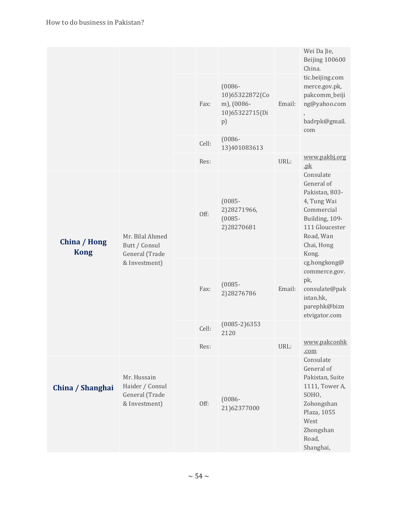|                                    |                                                                     |       |                                                                   |        | Wei Da Jie,<br>Beijing 100600<br>China.                                                                                                        |
|------------------------------------|---------------------------------------------------------------------|-------|-------------------------------------------------------------------|--------|------------------------------------------------------------------------------------------------------------------------------------------------|
|                                    |                                                                     | Fax:  | $(0086 -$<br>10)65322872(Co<br>m), (0086-<br>10)65322715(Di<br>p) | Email: | tic.beijing.com<br>merce.gov.pk,<br>pakcomm_beiji<br>ng@yahoo.com<br>$\,$<br>badrpk@gmail.<br>com                                              |
|                                    |                                                                     | Cell: | $(0086 -$<br>13)401083613                                         |        |                                                                                                                                                |
|                                    |                                                                     | Res:  |                                                                   | URL:   | www.pakbj.org<br>.pk                                                                                                                           |
| <b>China / Hong</b><br><b>Kong</b> | Mr. Bilal Ahmed<br>Butt / Consul<br>General (Trade<br>& Investment) | Off:  | $(0085 -$<br>2)28271966,<br>$(0085 -$<br>2)28270681               |        | Consulate<br>General of<br>Pakistan, 803-<br>4, Tung Wai<br>Commercial<br>Building, 109-<br>111 Gloucester<br>Road, Wan<br>Chai, Hong<br>Kong. |
|                                    |                                                                     | Fax:  | $(0085 -$<br>2)28276786                                           | Email: | cg.hongkong@<br>commerce.gov.<br>pk,<br>consulate@pak<br>istan.hk,<br>parephk@bizn<br>etvigator.com                                            |
|                                    |                                                                     | Cell: | $(0085-2)6353$<br>2120                                            |        |                                                                                                                                                |
|                                    |                                                                     | Res:  |                                                                   | URL:   | www.pakconhk<br>.com                                                                                                                           |
| China / Shanghai                   | Mr. Hussain<br>Haider / Consul<br>General (Trade<br>& Investment)   | Off:  | $(0086 -$<br>21)62377000                                          |        | Consulate<br>General of<br>Pakistan, Suite<br>1111, Tower A,<br>SOHO,<br>Zohongshan<br>Plaza, 1055<br>West<br>Zhongshan<br>Road,<br>Shanghai,  |
|                                    |                                                                     |       |                                                                   |        |                                                                                                                                                |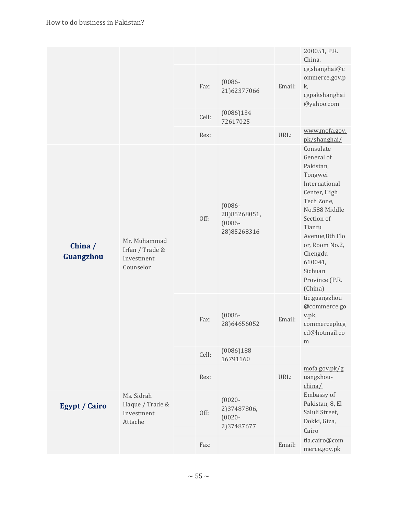|                                                             |                                                            |       |                                                       |        | 200051, P.R.<br>China.                                                                                                                                                                                                                    |
|-------------------------------------------------------------|------------------------------------------------------------|-------|-------------------------------------------------------|--------|-------------------------------------------------------------------------------------------------------------------------------------------------------------------------------------------------------------------------------------------|
|                                                             |                                                            | Fax:  | $(0086 -$<br>21)62377066                              | Email: | cg.shanghai@c<br>ommerce.gov.p<br>k,<br>cgpakshanghai<br>@yahoo.com                                                                                                                                                                       |
|                                                             |                                                            | Cell: | (0086)134<br>72617025                                 |        |                                                                                                                                                                                                                                           |
|                                                             |                                                            | Res:  |                                                       | URL:   | www.mofa.gov.<br>pk/shanghai/                                                                                                                                                                                                             |
| China $/$<br>Guangzhou                                      | Mr. Muhammad<br>Irfan / Trade &<br>Investment<br>Counselor | Off:  | $(0086 -$<br>28)85268051,<br>$(0086 -$<br>28)85268316 |        | Consulate<br>General of<br>Pakistan,<br>Tongwei<br>International<br>Center, High<br>Tech Zone,<br>No.588 Middle<br>Section of<br>Tianfu<br>Avenue,8th Flo<br>or, Room No.2,<br>Chengdu<br>610041,<br>Sichuan<br>Province (P.R.<br>(China) |
|                                                             |                                                            | Fax:  | $(0086 -$<br>28)64656052                              | Email: | tic.guangzhou<br>@commerce.go<br>v.pk,<br>commercepkcg<br>cd@hotmail.co<br>m                                                                                                                                                              |
|                                                             |                                                            | Cell: | (0086)188<br>16791160                                 |        |                                                                                                                                                                                                                                           |
|                                                             |                                                            | Res:  |                                                       | URL:   | mofa.gov.pk/g<br>uangzhou-<br>china/                                                                                                                                                                                                      |
| Ms. Sidrah<br><b>Egypt / Cairo</b><br>Investment<br>Attache | Haque / Trade &                                            | Off:  | $(0020 -$<br>2)37487806,<br>$(0020 -$<br>2)37487677   |        | Embassy of<br>Pakistan, 8, El<br>Saluli Street,<br>Dokki, Giza,<br>Cairo                                                                                                                                                                  |
|                                                             |                                                            | Fax:  |                                                       | Email: | tia.cairo@com<br>merce.gov.pk                                                                                                                                                                                                             |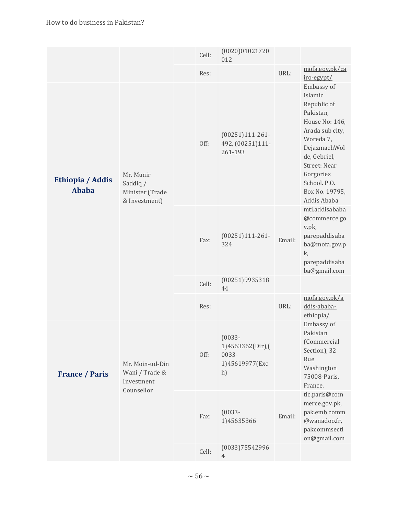|                                  |                                                               | Cell: | (0020)01021720<br>012                                          |        |                                                                                                                                                                                                                   |
|----------------------------------|---------------------------------------------------------------|-------|----------------------------------------------------------------|--------|-------------------------------------------------------------------------------------------------------------------------------------------------------------------------------------------------------------------|
|                                  |                                                               | Res:  |                                                                | URL:   | mofa.gov.pk/ca<br>iro-egypt/                                                                                                                                                                                      |
| Ethiopia / Addis<br><b>Ababa</b> | Mr. Munir<br>Saddiq /<br>Minister (Trade<br>& Investment)     | Off:  | $(00251)111-261-$<br>492, (00251)111-<br>261-193               |        | Embassy of<br>Islamic<br>Republic of<br>Pakistan,<br>House No: 146,<br>Arada sub city,<br>Woreda 7,<br>DejazmachWol<br>de, Gebriel,<br>Street: Near<br>Gorgories<br>School. P.O.<br>Box No. 19795,<br>Addis Ababa |
|                                  |                                                               | Fax:  | $(00251)111-261-$<br>324                                       | Email: | mti.addisababa<br>@commerce.go<br>v.pk,<br>parepaddisaba<br>ba@mofa.gov.p<br>k,<br>parepaddisaba<br>ba@gmail.com                                                                                                  |
|                                  |                                                               | Cell: | (00251)9935318<br>44                                           |        |                                                                                                                                                                                                                   |
|                                  |                                                               | Res:  |                                                                | URL:   | mofa.gov.pk/a<br>ddis-ababa-<br>ethiopia/                                                                                                                                                                         |
| <b>France / Paris</b>            | Mr. Moin-ud-Din<br>Wani / Trade &<br>Investment<br>Counsellor | Off:  | $(0033 -$<br>1)4563362(Dir),(<br>0033-<br>1)45619977(Exc<br>h) |        | Embassy of<br>Pakistan<br>(Commercial<br>Section), 32<br>Rue<br>Washington<br>75008-Paris,<br>France.                                                                                                             |
|                                  |                                                               | Fax:  | $(0033 -$<br>1)45635366                                        | Email: | tic.paris@com<br>merce.gov.pk,<br>pak.emb.comm<br>@wanadoo.fr,<br>pakcommsecti<br>on@gmail.com                                                                                                                    |
|                                  |                                                               | Cell: | (0033)75542996<br>$\overline{4}$                               |        |                                                                                                                                                                                                                   |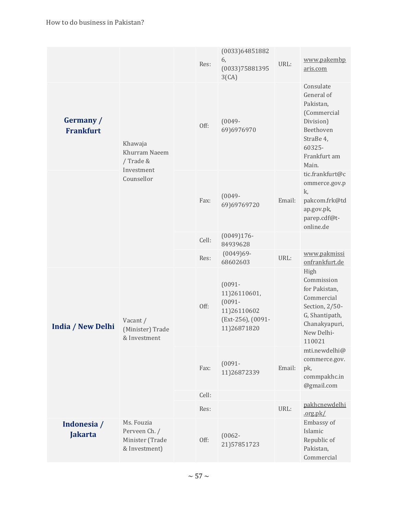|                               |                                                                   | Res:  | (0033)64851882<br>6,<br>(0033)75881395<br>3(CA)                                           | URL:   | www.pakembp<br>aris.com                                                                                                        |
|-------------------------------|-------------------------------------------------------------------|-------|-------------------------------------------------------------------------------------------|--------|--------------------------------------------------------------------------------------------------------------------------------|
| Germany /<br><b>Frankfurt</b> | Khawaja<br>Khurram Naeem<br>/ Trade &<br>Investment<br>Counsellor | Off:  | $(0049 -$<br>69)6976970                                                                   |        | Consulate<br>General of<br>Pakistan,<br>(Commercial<br>Division)<br>Beethoven<br>StraBe 4,<br>60325-<br>Frankfurt am<br>Main.  |
|                               |                                                                   | Fax:  | $(0049 -$<br>69)69769720                                                                  | Email: | tic.frankfurt@c<br>ommerce.gov.p<br>k,<br>pakcom.frk@td<br>ap.gov.pk,<br>parep.cdf@t-<br>online.de                             |
|                               |                                                                   | Cell: | $(0049)176-$<br>84939628                                                                  |        |                                                                                                                                |
|                               |                                                                   | Res:  | $(0049)69 -$<br>68602603                                                                  | URL:   | www.pakmissi<br>onfrankfurt.de                                                                                                 |
| <b>India / New Delhi</b>      | Vacant /<br>(Minister) Trade<br>& Investment                      | Off:  | $(0091 -$<br>11)26110601,<br>$(0091 -$<br>11)26110602<br>(Ext-256), (0091-<br>11)26871820 |        | High<br>Commission<br>for Pakistan,<br>Commercial<br>Section, 2/50-<br>G, Shantipath,<br>Chanakyapuri,<br>New Delhi-<br>110021 |
|                               |                                                                   | Fax:  | $(0091 -$<br>11)26872339                                                                  | Email: | mti.newdelhi@<br>commerce.gov.<br>pk,<br>commpakhc.in<br>@gmail.com                                                            |
|                               |                                                                   | Cell: |                                                                                           |        | pakhcnewdelhi                                                                                                                  |
|                               |                                                                   | Res:  |                                                                                           | URL:   | .org.pk/                                                                                                                       |
| Indonesia /<br><b>Jakarta</b> | Ms. Fouzia<br>Perveen Ch. /<br>Minister (Trade<br>& Investment)   | Off:  | $(0062 -$<br>21)57851723                                                                  |        | Embassy of<br>Islamic<br>Republic of<br>Pakistan,<br>Commercial                                                                |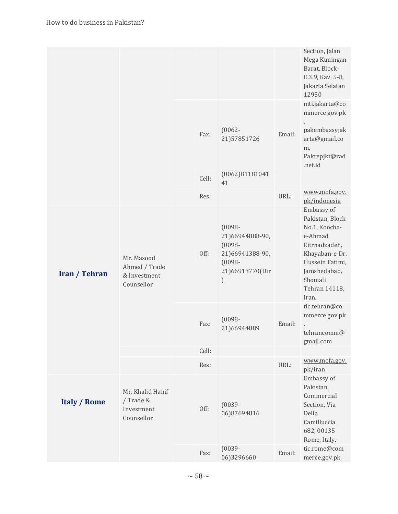|                      |                                                           |       |                                                                                                   |        | Section, Jalan<br>Mega Kuningan<br>Barat, Block-<br>E.3.9, Kav. 5-8,<br>Jakarta Selatan<br>12950                                                                     |
|----------------------|-----------------------------------------------------------|-------|---------------------------------------------------------------------------------------------------|--------|----------------------------------------------------------------------------------------------------------------------------------------------------------------------|
|                      |                                                           |       |                                                                                                   |        | mti.jakarta@co<br>mmerce.gov.pk                                                                                                                                      |
|                      |                                                           | Fax:  | $(0062 -$<br>21)57851726                                                                          | Email: | $\,$<br>pakembassyjak<br>arta@gmail.co<br>m,<br>Pakrepjkt@rad<br>.net.id                                                                                             |
|                      |                                                           | Cell: | (0062)81181041<br>41                                                                              |        |                                                                                                                                                                      |
|                      |                                                           | Res:  |                                                                                                   | URL:   | www.mofa.gov.<br>pk/indonesia                                                                                                                                        |
| <b>Iran / Tehran</b> | Mr. Masood<br>Ahmed / Trade<br>& Investment<br>Counsellor | Off:  | $(0098 -$<br>21)66944888-90,<br>$(0098 -$<br>21)66941388-90,<br>$(0098 -$<br>21)66913770(Dir<br>) |        | Embassy of<br>Pakistan, Block<br>No.1, Koocha-<br>e-Ahmad<br>Eitrnadzadeh,<br>Khayaban-e-Dr.<br>Hussein Fatimi,<br>Jamshedabad,<br>Shomali<br>Tehran 14118,<br>Iran. |
|                      |                                                           | Fax:  | $(0098 -$<br>21)66944889                                                                          | Email: | tic.tehran@co<br>mmerce.gov.pk<br>$\lambda$<br>tehrancomm@<br>gmail.com                                                                                              |
|                      |                                                           | Cell: |                                                                                                   |        |                                                                                                                                                                      |
|                      |                                                           | Res:  |                                                                                                   | URL:   | www.mofa.gov.<br>pk/iran                                                                                                                                             |
| <b>Italy / Rome</b>  | Mr. Khalid Hanif<br>/ Trade &<br>Investment<br>Counsellor | Off:  | $(0039 -$<br>06)87694816                                                                          |        | Embassy of<br>Pakistan,<br>Commercial<br>Section, Via<br>Della<br>Camilluccia<br>682,00135<br>Rome, Italy.                                                           |
|                      |                                                           | Fax:  | $(0039 -$<br>06)3296660                                                                           | Email: | tic.rome@com<br>merce.gov.pk,                                                                                                                                        |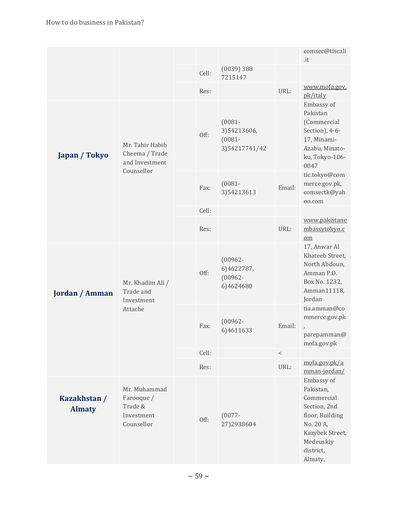|                               |                                                                   |       |                                                         |        | comsec@tiscali<br>.it                                                                                                                         |
|-------------------------------|-------------------------------------------------------------------|-------|---------------------------------------------------------|--------|-----------------------------------------------------------------------------------------------------------------------------------------------|
|                               |                                                                   | Cell: | $(0039)$ 388<br>7215147                                 |        |                                                                                                                                               |
|                               |                                                                   | Res:  |                                                         | URL:   | www.mofa.gov.<br>pk/italy                                                                                                                     |
| Japan / Tokyo                 | Mr. Tahir Habib<br>Cheema / Trade<br>and Investment<br>Counsellor | Off:  | $(0081 -$<br>3)54213606,<br>$(0081 -$<br>3) 54217741/42 |        | Embassy of<br>Pakistan<br>(Commercial<br>Section), 4-6-<br>17, Minami-<br>Azabu, Minato-<br>ku, Tokyo-106-<br>0047                            |
|                               |                                                                   | Fax:  | $(0081 -$<br>3)54213613                                 | Email: | tic.tokyo@com<br>merce.gov.pk,<br>comsectk@yah<br>oo.com                                                                                      |
|                               |                                                                   | Cell: |                                                         |        |                                                                                                                                               |
|                               |                                                                   | Res:  |                                                         | URL:   | www.pakistane<br>mbassytokyo.c<br>$om$                                                                                                        |
| <b>Jordan / Amman</b>         | Mr. Khadim Ali /<br>Trade and<br>Investment<br>Attache            | Off:  | $(00962 -$<br>6)4622787,<br>$(00962 -$<br>6)4624680     |        | 17, Anwar Al<br>Khateeb Street,<br>North Abdoun,<br>Amman P.O.<br>Box No. 1232,<br>Amman11118,<br>Jordan                                      |
|                               |                                                                   | Fax:  | $(00962 -$<br>6)4611633                                 | Email: | tia.amman@co<br>mmerce.gov.pk<br>$\lambda$<br>parepamman@<br>mofa.gov.pk                                                                      |
|                               |                                                                   | Cell: |                                                         | $\,<$  |                                                                                                                                               |
|                               |                                                                   | Res:  |                                                         | URL:   | mofa.gov.pk/a<br>mman-jordan/                                                                                                                 |
| Kazakhstan /<br><b>Almaty</b> | Mr. Muhammad<br>Farooque /<br>Trade &<br>Investment<br>Counsellor | Off:  | $(0077 -$<br>27)2938604                                 |        | Embassy of<br>Pakistan,<br>Commercial<br>Section, 2nd<br>floor, Building<br>No. 20 A,<br>Kazybek Street,<br>Medeuskiy<br>district,<br>Almaty, |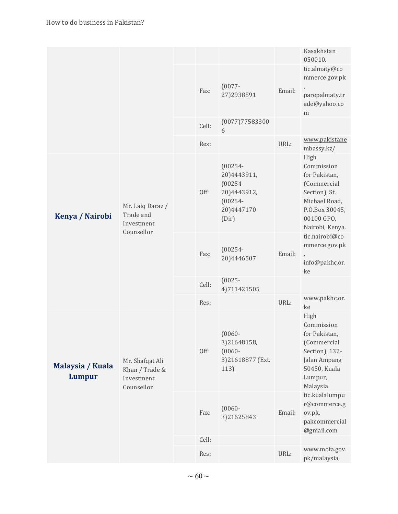|                            |                                                               |       |                                                                                             |        | Kasakhstan<br>050010.                                                                                                                   |
|----------------------------|---------------------------------------------------------------|-------|---------------------------------------------------------------------------------------------|--------|-----------------------------------------------------------------------------------------------------------------------------------------|
|                            |                                                               | Fax:  | $(0077 -$<br>27)2938591                                                                     | Email: | tic.almaty@co<br>mmerce.gov.pk<br>parepalmaty.tr<br>ade@yahoo.co<br>m                                                                   |
|                            |                                                               | Cell: | (0077)77583300<br>6                                                                         |        |                                                                                                                                         |
|                            |                                                               | Res:  |                                                                                             | URL:   | www.pakistane<br>mbassy.kz/                                                                                                             |
| Kenya / Nairobi            | Mr. Laiq Daraz /<br>Trade and<br>Investment<br>Counsellor     | Off:  | $(00254 -$<br>20)4443911,<br>$(00254 -$<br>20)4443912,<br>$(00254 -$<br>20)4447170<br>(Dir) |        | High<br>Commission<br>for Pakistan,<br>(Commercial<br>Section), St.<br>Michael Road,<br>P.O.Box 30045,<br>00100 GPO,<br>Nairobi, Kenya. |
|                            |                                                               | Fax:  | $(00254 -$<br>20)4446507                                                                    | Email: | tic.nairobi@co<br>mmerce.gov.pk<br>$\lambda$<br>info@pakhc.or.<br>ke                                                                    |
|                            |                                                               | Cell: | $(0025 -$<br>4)711421505                                                                    |        |                                                                                                                                         |
|                            |                                                               | Res:  |                                                                                             | URL:   | www.pakhc.or.<br>ke                                                                                                                     |
| Malaysia / Kuala<br>Lumpur | Mr. Shafqat Ali<br>Khan / Trade &<br>Investment<br>Counsellor | Off:  | $(0060 -$<br>3)21648158,<br>$(0060 -$<br>3)21618877 (Ext.<br>113)                           |        | High<br>Commission<br>for Pakistan,<br>(Commercial<br>Section), 132-<br>Jalan Ampang<br>50450, Kuala<br>Lumpur,<br>Malaysia             |
|                            |                                                               | Fax:  | $(0060 -$<br>3)21625843                                                                     | Email: | tic.kualalumpu<br>r@commerce.g<br>ov.pk,<br>pakcommercial<br>@gmail.com                                                                 |
|                            |                                                               | Cell: |                                                                                             |        |                                                                                                                                         |
|                            |                                                               | Res:  |                                                                                             | URL:   | www.mofa.gov.<br>pk/malaysia,                                                                                                           |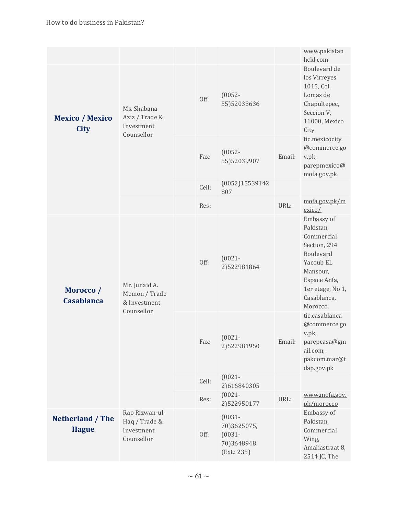|                                       |                                                              |       |                                                                    |        | www.pakistan<br>hckl.com                                                                                                                                   |
|---------------------------------------|--------------------------------------------------------------|-------|--------------------------------------------------------------------|--------|------------------------------------------------------------------------------------------------------------------------------------------------------------|
| <b>Mexico</b> / Mexico<br><b>City</b> | Ms. Shabana<br>Aziz / Trade &<br>Investment                  | Off:  | $(0052 -$<br>55)52033636                                           |        | Boulevard de<br>los Virreyes<br>1015, Col.<br>Lomas de<br>Chapultepec,<br>Seccion V,<br>11000, Mexico<br>City                                              |
|                                       | Counsellor                                                   | Fax:  | $(0052 -$<br>55)52039907                                           | Email: | tic.mexicocity<br>@commerce.go<br>v.pk,<br>parepmexico@<br>mofa.gov.pk                                                                                     |
|                                       |                                                              | Cell: | (0052)15539142<br>807                                              |        |                                                                                                                                                            |
|                                       |                                                              | Res:  |                                                                    | URL:   | mofa.gov.pk/m<br>exico/                                                                                                                                    |
| Morocco /<br><b>Casablanca</b>        | Mr. Junaid A.<br>Memon / Trade<br>& Investment<br>Counsellor | Off:  | $(0021 -$<br>2)522981864                                           |        | Embassy of<br>Pakistan,<br>Commercial<br>Section, 294<br>Boulevard<br>Yacoub EL<br>Mansour,<br>Espace Anfa,<br>1er etage, No 1,<br>Casablanca,<br>Morocco. |
|                                       |                                                              | Fax:  | $(0021 -$<br>2)522981950                                           | Email: | tic.casablanca<br>@commerce.go<br>v.pk,<br>parepcasa@gm<br>ail.com,<br>pakcom.mar@t<br>dap.gov.pk                                                          |
|                                       |                                                              | Cell: | $(0021 -$<br>2)616840305                                           |        |                                                                                                                                                            |
|                                       |                                                              | Res:  | $(0021 -$<br>2)522950177                                           | URL:   | www.mofa.gov.<br>pk/morocco                                                                                                                                |
| Netherland / The<br><b>Hague</b>      | Rao Rizwan-ul-<br>Haq / Trade &<br>Investment<br>Counsellor  | Off:  | $(0031 -$<br>70)3625075,<br>$(0031 -$<br>70)3648948<br>(Ext.: 235) |        | Embassy of<br>Pakistan,<br>Commercial<br>Wing,<br>Amaliastraat 8,<br>2514 JC, The                                                                          |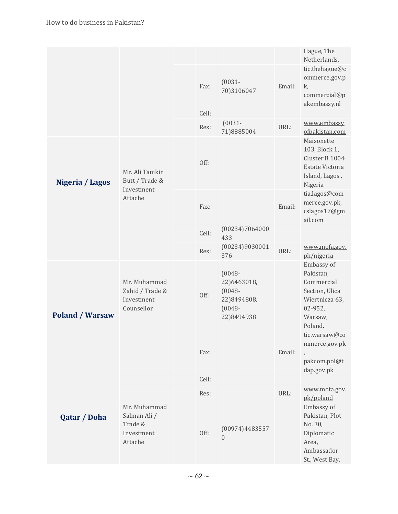|                        |                                                                  |       |                                                                                 |        | Hague, The<br>Netherlands.                                                                                 |
|------------------------|------------------------------------------------------------------|-------|---------------------------------------------------------------------------------|--------|------------------------------------------------------------------------------------------------------------|
|                        |                                                                  | Fax:  | $(0031 -$<br>70)3106047                                                         | Email: | tic.thehague@c<br>ommerce.gov.p<br>k,<br>commercial@p<br>akembassy.nl                                      |
|                        |                                                                  | Cell: |                                                                                 |        |                                                                                                            |
|                        |                                                                  | Res:  | $(0031 -$<br>71)8885004                                                         | URL:   | www.embassy<br>ofpakistan.com                                                                              |
| Nigeria / Lagos        | Mr. Ali Tamkin<br>Butt / Trade &<br>Investment<br>Attache        | Off:  |                                                                                 |        | Maisonette<br>103, Block 1,<br>Cluster B 1004<br>Estate Victoria<br>Island, Lagos,<br>Nigeria              |
|                        |                                                                  | Fax:  |                                                                                 | Email: | tia.lagos@com<br>merce.gov.pk,<br>cslagos17@gm<br>ail.com                                                  |
|                        |                                                                  | Cell: | (00234)7064000<br>433                                                           |        |                                                                                                            |
|                        |                                                                  | Res:  | (00234)9030001<br>376                                                           | URL:   | www.mofa.gov.<br>pk/nigeria                                                                                |
| <b>Poland / Warsaw</b> | Mr. Muhammad<br>Zahid / Trade &<br>Investment<br>Counsellor      | Off:  | $(0048 -$<br>22)6463018,<br>$(0048 -$<br>22)8494808,<br>$(0048 -$<br>22)8494938 |        | Embassy of<br>Pakistan,<br>Commercial<br>Section, Ulica<br>Wiertnicza 63,<br>02-952,<br>Warsaw,<br>Poland. |
|                        |                                                                  | Fax:  |                                                                                 | Email: | tic.warsaw@co<br>mmerce.gov.pk<br>pakcom.pol@t<br>dap.gov.pk                                               |
|                        |                                                                  | Cell: |                                                                                 |        |                                                                                                            |
|                        |                                                                  | Res:  |                                                                                 | URL:   | www.mofa.gov.<br>pk/poland                                                                                 |
| <b>Qatar / Doha</b>    | Mr. Muhammad<br>Salman Ali /<br>Trade &<br>Investment<br>Attache | Off:  | (00974)4483557<br>$\theta$                                                      |        | Embassy of<br>Pakistan, Plot<br>No. 30,<br>Diplomatic<br>Area,<br>Ambassador<br>St., West Bay,             |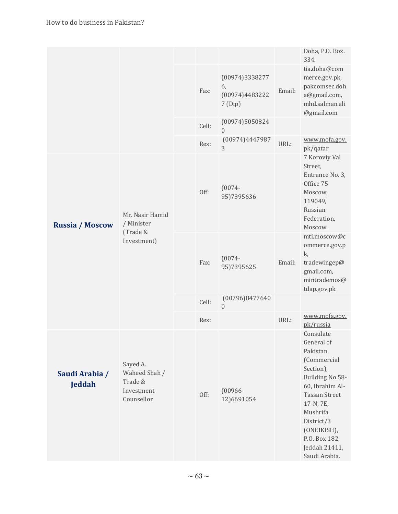|                                                                  |       |                                                  |        | Doha, P.O. Box.<br>334.                                                                                                                                                                                                                |
|------------------------------------------------------------------|-------|--------------------------------------------------|--------|----------------------------------------------------------------------------------------------------------------------------------------------------------------------------------------------------------------------------------------|
|                                                                  | Fax:  | (00974)3338277<br>6,<br>(00974)4483222<br>7(Dip) | Email: | tia.doha@com<br>merce.gov.pk,<br>pakcomsec.doh<br>a@gmail.com,<br>mhd.salman.ali<br>@gmail.com                                                                                                                                         |
|                                                                  | Cell: | (00974)5050824<br>$\boldsymbol{0}$               |        |                                                                                                                                                                                                                                        |
|                                                                  | Res:  | (00974)4447987<br>3                              | URL:   | www.mofa.gov.<br>pk/qatar                                                                                                                                                                                                              |
| Mr. Nasir Hamid<br>/ Minister<br>(Trade &<br>Investment)         | Off:  | $(0074 -$<br>95)7395636                          |        | 7 Koroviy Val<br>Street,<br>Entrance No. 3,<br>Office 75<br>Moscow,<br>119049,<br>Russian<br>Federation,<br>Moscow.                                                                                                                    |
|                                                                  | Fax:  | $(0074 -$<br>95)7395625                          | Email: | mti.moscow@c<br>ommerce.gov.p<br>k,<br>tradewingep@<br>gmail.com,<br>mintrademos@<br>tdap.gov.pk                                                                                                                                       |
|                                                                  | Cell: | (00796)8477640<br>$\overline{0}$                 |        |                                                                                                                                                                                                                                        |
|                                                                  | Res:  |                                                  | URL:   | www.mofa.gov.<br>pk/russia                                                                                                                                                                                                             |
| Sayed A.<br>Waheed Shah /<br>Trade &<br>Investment<br>Counsellor | Off:  | $(00966 -$<br>12)6691054                         |        | Consulate<br>General of<br>Pakistan<br>(Commercial<br>Section),<br>Building No.58-<br>60, Ibrahim Al-<br><b>Tassan Street</b><br>17-N, 7E,<br>Mushrifa<br>District/3<br>(ONEIKISH),<br>P.O. Box 182,<br>Jeddah 21411,<br>Saudi Arabia. |
|                                                                  |       |                                                  |        |                                                                                                                                                                                                                                        |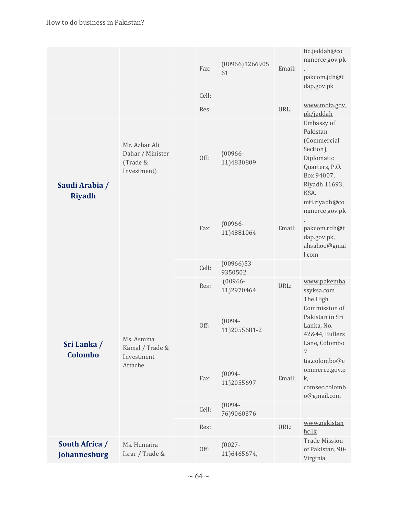|                                 |                                                              | Fax:  | (00966)1266905<br>61      | Email: | tic.jeddah@co<br>mmerce.gov.pk<br>$\overline{ }$                                                                          |
|---------------------------------|--------------------------------------------------------------|-------|---------------------------|--------|---------------------------------------------------------------------------------------------------------------------------|
|                                 |                                                              |       |                           |        | pakcom.jdh@t<br>dap.gov.pk                                                                                                |
|                                 |                                                              | Cell: |                           |        |                                                                                                                           |
|                                 |                                                              | Res:  |                           | URL:   | www.mofa.gov.<br>pk/jeddah                                                                                                |
| Saudi Arabia /<br><b>Riyadh</b> | Mr. Azhar Ali<br>Dahar / Minister<br>(Trade &<br>Investment) | Off:  | $(00966 -$<br>11)4830809  |        | Embassy of<br>Pakistan<br>(Commercial<br>Section),<br>Diplomatic<br>Quarters, P.O.<br>Box 94007,<br>Riyadh 11693,<br>KSA. |
|                                 |                                                              | Fax:  | $(00966 -$<br>11)4881064  | Email: | mti.riyadh@co<br>mmerce.gov.pk<br>pakcom.rdh@t<br>dap.gov.pk,<br>ahsahoo@gmai<br>l.com                                    |
|                                 |                                                              | Cell: | (00966)53<br>9350502      |        |                                                                                                                           |
|                                 |                                                              | Res:  | $(00966 -$<br>11)2970464  | URL:   | www.pakemba<br>ssyksa.com                                                                                                 |
| Sri Lanka /<br>Colombo          | Ms. Asmma<br>Kamal / Trade &<br>Investment<br>Attache        | Off:  | $(0094 -$<br>11)2055681-2 |        | The High<br>Commission of<br>Pakistan in Sri<br>Lanka, No.<br>42&44, Bullers<br>Lane, Colombo<br>7                        |
|                                 |                                                              | Fax:  | $(0094 -$<br>11)2055697   | Email: | tia.colombo@c<br>ommerce.gov.p<br>k,<br>comsec.colomb<br>o@gmail.com                                                      |
|                                 |                                                              | Cell: | $(0094 -$<br>76)9060376   |        |                                                                                                                           |
|                                 |                                                              | Res:  |                           | URL:   | www.pakistan<br>hc.lk                                                                                                     |
| South Africa /<br>Johannesburg  | Ms. Humaira<br>Israr / Trade &                               | Off:  | $(0027 -$<br>11)6465674,  |        | <b>Trade Mission</b><br>of Pakistan, 90-<br>Virginia                                                                      |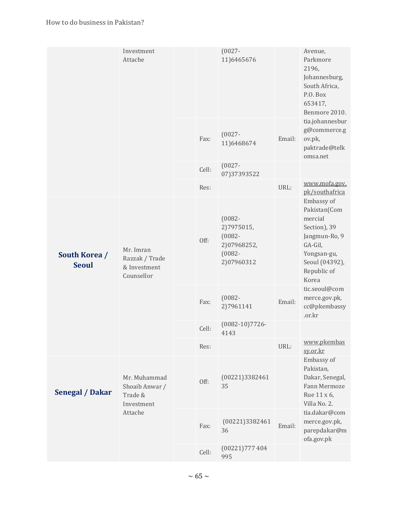|                               | Investment<br>Attache                                     |       | $(0027 -$<br>11)6465676                                                        |        | Avenue,<br>Parkmore<br>2196,<br>Johannesburg,<br>South Africa,<br>P.O. Box<br>653417,<br>Benmore 2010.                                     |
|-------------------------------|-----------------------------------------------------------|-------|--------------------------------------------------------------------------------|--------|--------------------------------------------------------------------------------------------------------------------------------------------|
|                               |                                                           | Fax:  | $(0027 -$<br>11)6468674                                                        | Email: | tia.johannesbur<br>g@commerce.g<br>ov.pk,<br>paktrade@telk<br>omsa.net                                                                     |
|                               |                                                           | Cell: | $(0027 -$<br>07)37393522                                                       |        |                                                                                                                                            |
|                               |                                                           | Res:  |                                                                                | URL:   | www.mofa.gov.<br>pk/southafrica                                                                                                            |
| South Korea /<br><b>Seoul</b> | Mr. Imran<br>Razzak / Trade<br>& Investment<br>Counsellor | Off:  | $(0082 -$<br>2)7975015,<br>$(0082 -$<br>2)07968252,<br>$(0082 -$<br>2)07960312 |        | Embassy of<br>Pakistan(Com<br>mercial<br>Section), 39<br>Jangmun-Ro, 9<br>GA-Gil,<br>Yongsan-gu,<br>Seoul (04392),<br>Republic of<br>Korea |
|                               |                                                           | Fax:  | $(0082 -$<br>2)7961141                                                         | Email: | tic.seoul@com<br>merce.gov.pk,<br>cc@pkembassy<br>.or.kr                                                                                   |
|                               |                                                           | Cell: | $(0082-10)7726-$<br>4143                                                       |        |                                                                                                                                            |
|                               |                                                           | Res:  |                                                                                | URL:   | www.pkembas<br>sy.or.kr                                                                                                                    |
| <b>Senegal / Dakar</b>        | Mr. Muhammad<br>Shoaib Anwar /<br>Trade &<br>Investment   | Off:  | (00221)3382461<br>35                                                           |        | Embassy of<br>Pakistan,<br>Dakar, Senegal,<br>Fann Mermoze<br>Rue 11 x 6,<br>Villa No. 2.                                                  |
|                               | Attache                                                   | Fax:  | (00221)3382461<br>36                                                           | Email: | tia.dakar@com<br>merce.gov.pk,<br>parepdakar@m<br>ofa.gov.pk                                                                               |
|                               |                                                           | Cell: | (00221)777404<br>995                                                           |        |                                                                                                                                            |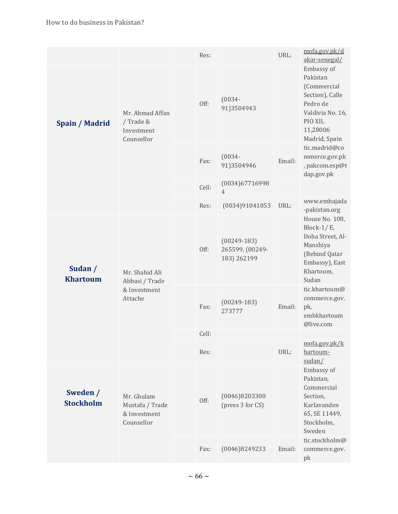|                              |                                                             | Res:  |                                                 | URL:   | mofa.gov.pk/d<br>akar-senegal/                                                                                                                                                                                |  |  |
|------------------------------|-------------------------------------------------------------|-------|-------------------------------------------------|--------|---------------------------------------------------------------------------------------------------------------------------------------------------------------------------------------------------------------|--|--|
| Spain / Madrid               | Mr. Ahmad Affan<br>/ Trade &<br>Investment<br>Counsellor    | Off:  | $(0034 -$<br>91)3504943                         |        | Embassy of<br>Pakistan<br>(Commercial<br>Section), Calle<br>Pedro de<br>Valdivia No. 16,<br>PIO XII,<br>11,28006<br>Madrid, Spain                                                                             |  |  |
|                              |                                                             | Fax:  | $(0034 -$<br>91)3504946                         | Email: | tic.madrid@co<br>mmerce.gov.pk<br>, pakcom.esp@t<br>dap.gov.pk<br>House No. 108,<br>Block- $1/E$ ,<br>Doha Street, Al-<br>Manshiya<br>(Behind Qatar<br>Embassy), East<br>Khartoum,<br>Sudan<br>tic.stockholm@ |  |  |
|                              |                                                             | Cell: | (0034)67716998<br>$\overline{4}$                |        |                                                                                                                                                                                                               |  |  |
|                              |                                                             | Res:  | (0034)91041053                                  | URL:   | www.embajada<br>-pakistan.org                                                                                                                                                                                 |  |  |
| Sudan /<br><b>Khartoum</b>   | Mr. Shahid Ali<br>Abbasi / Trade                            | Off:  | $(00249-183)$<br>265599, (00249-<br>183) 262199 |        |                                                                                                                                                                                                               |  |  |
|                              | & Investment<br>Attache                                     | Fax:  | $(00249-183)$<br>273777                         | Email: | tic.khartoum@<br>commerce.gov.<br>pk,<br>embkhartoum<br>@live.com                                                                                                                                             |  |  |
|                              |                                                             | Cell: |                                                 |        |                                                                                                                                                                                                               |  |  |
|                              |                                                             | Res:  |                                                 | URL:   | mofa.gov.pk/k<br>hartoum-<br>sudan/                                                                                                                                                                           |  |  |
| Sweden /<br><b>Stockholm</b> | Mr. Ghulam<br>Mustafa / Trade<br>& Investment<br>Counsellor | Off:  | (0046)8203300<br>(press 3 for CS)               |        | Embassy of<br>Pakistan,<br>Commercial<br>Section,<br>Karlavanden<br>65, SE 11449,<br>Stockholm,<br>Sweden                                                                                                     |  |  |
|                              |                                                             | Fax:  | (0046)8249233                                   | Email: | commerce.gov.<br>pk                                                                                                                                                                                           |  |  |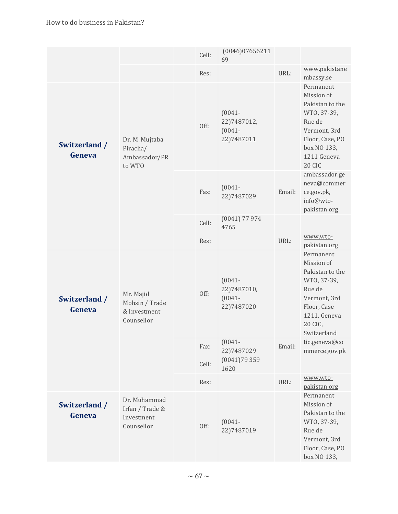|                         |                                                             | Cell: | (0046)07656211<br>69                                  |        |                                                                                                                                                                                                                                                                                                                                                             |
|-------------------------|-------------------------------------------------------------|-------|-------------------------------------------------------|--------|-------------------------------------------------------------------------------------------------------------------------------------------------------------------------------------------------------------------------------------------------------------------------------------------------------------------------------------------------------------|
|                         |                                                             | Res:  |                                                       | URL:   | www.pakistane<br>mbassy.se                                                                                                                                                                                                                                                                                                                                  |
| Switzerland /<br>Geneva | Dr. M.Mujtaba<br>Piracha/<br>Ambassador/PR<br>to WTO        | Off:  | $(0041 -$<br>22)7487012,<br>$(0041 -$<br>22)7487011   |        | Permanent<br>Mission of<br>Pakistan to the<br>WTO, 37-39,<br>Rue de<br>Vermont, 3rd<br>Floor, Case, PO<br>box NO 133,<br>1211 Geneva<br>20 CIC<br>ambassador.ge<br>neva@commer<br>ce.gov.pk,<br>info@wto-<br>pakistan.org<br>www.wto-<br>pakistan.org<br>Permanent<br>Mission of<br>Pakistan to the<br>WTO, 37-39,<br>Rue de<br>Vermont, 3rd<br>Floor, Case |
|                         |                                                             | Fax:  | $(0041 -$<br>22)7487029                               | Email: |                                                                                                                                                                                                                                                                                                                                                             |
|                         |                                                             | Cell: | $(0041)$ 77 974<br>4765                               |        |                                                                                                                                                                                                                                                                                                                                                             |
|                         |                                                             | Res:  |                                                       | URL:   |                                                                                                                                                                                                                                                                                                                                                             |
| Switzerland /<br>Geneva | Mr. Majid<br>Mohsin / Trade<br>& Investment<br>Counsellor   | Off:  | $(0041 -$<br>22) 748 7010,<br>$(0041 -$<br>22)7487020 |        | 1211, Geneva<br>20 CIC,<br>Switzerland                                                                                                                                                                                                                                                                                                                      |
|                         |                                                             | Fax:  | $(0041 -$<br>22)7487029                               | Email: | tic.geneva@co<br>mmerce.gov.pk                                                                                                                                                                                                                                                                                                                              |
|                         |                                                             | Cell: | (0041)79359<br>1620                                   |        |                                                                                                                                                                                                                                                                                                                                                             |
|                         |                                                             | Res:  |                                                       | URL:   | www.wto-<br>pakistan.org                                                                                                                                                                                                                                                                                                                                    |
| Switzerland /<br>Geneva | Dr. Muhammad<br>Irfan / Trade &<br>Investment<br>Counsellor | Off:  | $(0041 -$<br>22)7487019                               |        | Permanent<br>Mission of<br>Pakistan to the<br>WTO, 37-39,<br>Rue de<br>Vermont, 3rd<br>Floor, Case, PO<br>box NO 133,                                                                                                                                                                                                                                       |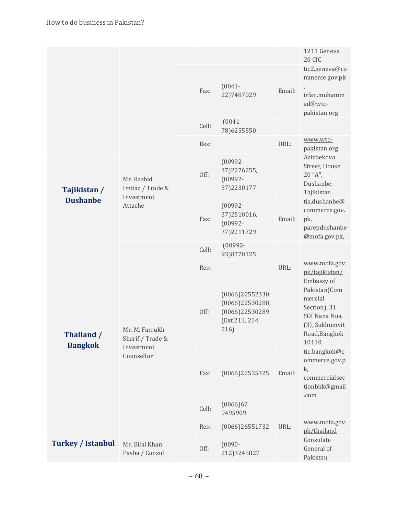|                                 |                                                                |       |                                                                                   |        | 1211 Geneva<br>20 CIC                                                                                               |
|---------------------------------|----------------------------------------------------------------|-------|-----------------------------------------------------------------------------------|--------|---------------------------------------------------------------------------------------------------------------------|
|                                 |                                                                |       | $(0041 -$                                                                         |        | tic2.geneva@co<br>mmerce.gov.pk                                                                                     |
|                                 |                                                                | Fax:  | 22)7487029                                                                        | Email: | irfan.muhamm<br>ad@wto-<br>pakistan.org                                                                             |
|                                 |                                                                | Cell: | $(0041 -$<br>78)6255550                                                           |        |                                                                                                                     |
|                                 |                                                                | Res:  |                                                                                   | URL:   | www.wto-<br>pakistan.org                                                                                            |
| Tajikistan /<br><b>Dushanbe</b> | Mr. Rashid<br>Imtiaz / Trade &<br>Investment<br>Attache        | Off:  | $(00992 -$<br>37) 2276 255,<br>$(00992 -$<br>37)2230177                           |        | Azizbekova<br>Street, House<br>$20$ "A",<br>Dushanbe,<br>Tajikistan                                                 |
|                                 |                                                                | Fax:  | $(00992 -$<br>37)2510016,<br>$(00992 -$<br>37)2211729                             | Email: | tia.dushanbe@<br>commerce.gov.<br>pk,<br>parepdushanbe<br>@mofa.gov.pk,                                             |
|                                 |                                                                | Cell: | $(00992 -$<br>93)8770125                                                          |        |                                                                                                                     |
|                                 |                                                                | Res:  |                                                                                   | URL:   | www.mofa.gov.<br>pk/tajikistan/                                                                                     |
| Thailand /<br><b>Bangkok</b>    | Mr. M. Farrukh<br>Sharif / Trade &<br>Investment<br>Counsellor | Off:  | (0066)22552330,<br>(0066)22530288,<br>$(0066)$ 22530289<br>(Ext.211, 214,<br>216) |        | Embassy of<br>Pakistan(Com<br>mercial<br>Section), 31<br>SOI Nana Nua,<br>(3), Sukhumvit<br>Road, Bangkok<br>10110. |
|                                 |                                                                | Fax:  | $(0066)$ 22535325                                                                 | Email: | tic.bangkok@c<br>ommerce.gov.p<br>k,<br>commercialsec<br>tionbkk@gmail<br>.com                                      |
|                                 |                                                                | Cell: | (0066)62<br>9495909                                                               |        |                                                                                                                     |
|                                 |                                                                | Res:  | (0066)26551732                                                                    | URL:   | www.mofa.gov.<br>pk/thailand                                                                                        |
| <b>Turkey / Istanbul</b>        | Mr. Bilal Khan<br>Pasha / Consul                               | Off:  | $(0090 -$<br>212)3245827                                                          |        | Consulate<br>General of<br>Pakistan,                                                                                |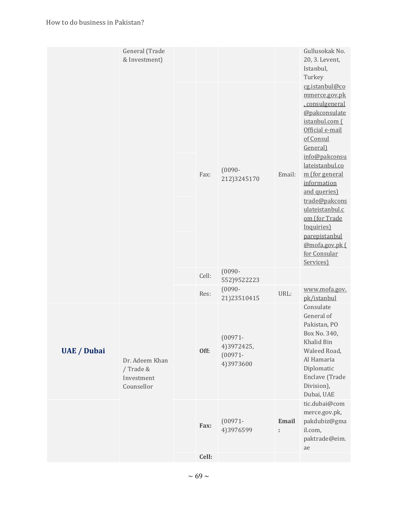| & Investment)      | General (Trade                                          |       |                          |                                                      |                    | Gullusokak No.<br>20, 3. Levent,<br>Istanbul,<br>Turkey                                                                                                                                                                                                                                                                                                                                                                                                                                                                                                    |
|--------------------|---------------------------------------------------------|-------|--------------------------|------------------------------------------------------|--------------------|------------------------------------------------------------------------------------------------------------------------------------------------------------------------------------------------------------------------------------------------------------------------------------------------------------------------------------------------------------------------------------------------------------------------------------------------------------------------------------------------------------------------------------------------------------|
|                    |                                                         |       |                          |                                                      |                    | cg.istanbul@co<br>mmerce.gov.pk<br>.consulgeneral<br>@pakconsulate<br>istanbul.com (<br>Official e-mail<br>of Consul<br>General)<br>info@pakconsu<br>lateistanbul.co<br>m (for general<br>information<br>and queries)<br>trade@pakcons<br>ulateistanbul.c<br>om (for Trade<br>Inquiries)<br>parepistanbul<br>@mofa.gov.pk(<br>for Consular<br>Services)<br>www.mofa.gov.<br>pk/istanbul<br>Consulate<br>General of<br>Pakistan, PO<br>Box No. 340,<br>Khalid Bin<br>Waleed Road,<br>Al Hamaria<br>Diplomatic<br>Enclave (Trade<br>Division),<br>Dubai, UAE |
|                    |                                                         |       | Fax:                     | $(0090 -$<br>212)3245170                             | Email:             |                                                                                                                                                                                                                                                                                                                                                                                                                                                                                                                                                            |
|                    |                                                         |       |                          |                                                      |                    |                                                                                                                                                                                                                                                                                                                                                                                                                                                                                                                                                            |
|                    |                                                         |       |                          |                                                      |                    |                                                                                                                                                                                                                                                                                                                                                                                                                                                                                                                                                            |
|                    |                                                         | Cell: | $(0090 -$<br>552)9522223 |                                                      |                    |                                                                                                                                                                                                                                                                                                                                                                                                                                                                                                                                                            |
|                    |                                                         |       | Res:                     | $(0090 -$<br>21)23510415                             | URL:               |                                                                                                                                                                                                                                                                                                                                                                                                                                                                                                                                                            |
| <b>UAE</b> / Dubai | Dr. Adeem Khan<br>/ Trade &<br>Investment<br>Counsellor |       | Off:                     | $(00971 -$<br>4) 3972425,<br>$(00971 -$<br>4)3973600 |                    |                                                                                                                                                                                                                                                                                                                                                                                                                                                                                                                                                            |
|                    |                                                         |       | Fax:                     | $(00971 -$<br>4)3976599                              | <b>Email</b><br>÷. | tic.dubai@com<br>merce.gov.pk,<br>pakdubiz@gma<br>il.com,<br>paktrade@eim.<br>ae                                                                                                                                                                                                                                                                                                                                                                                                                                                                           |
|                    |                                                         |       | Cell:                    |                                                      |                    |                                                                                                                                                                                                                                                                                                                                                                                                                                                                                                                                                            |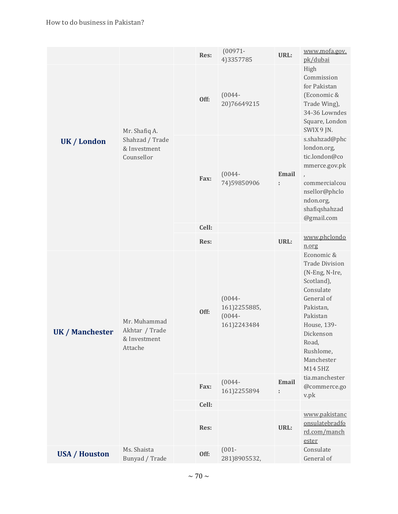|                                   |                                                | Res:  | $(00971 -$<br>4)3357785                               | URL:                     | www.mofa.gov.<br>pk/dubai                                                                                                                                                                          |                                        |
|-----------------------------------|------------------------------------------------|-------|-------------------------------------------------------|--------------------------|----------------------------------------------------------------------------------------------------------------------------------------------------------------------------------------------------|----------------------------------------|
| UK / London                       | Mr. Shafiq A.                                  | Off:  | $(0044 -$<br>20)76649215                              |                          | High<br>Commission<br>for Pakistan<br>(Economic &<br>Trade Wing),<br>34-36 Lowndes<br>Square, London<br>SWIX 9 JN.                                                                                 |                                        |
|                                   | Shahzad / Trade<br>& Investment<br>Counsellor  | Fax:  | $(0044 -$<br>74)59850906                              | <b>Email</b><br>÷        | s.shahzad@phc<br>london.org,<br>tic.london@co<br>mmerce.gov.pk<br>$\lambda$<br>commercialcou<br>nsellor@phclo<br>ndon.org,<br>shafiqshahzad<br>@gmail.com                                          |                                        |
|                                   |                                                | Cell: |                                                       |                          | www.phclondo                                                                                                                                                                                       |                                        |
|                                   |                                                | Res:  |                                                       | URL:                     | n.org                                                                                                                                                                                              |                                        |
| <b>UK / Manchester</b><br>Attache | Mr. Muhammad<br>Akhtar / Trade<br>& Investment | Off:  | $(0044 -$<br>161)2255885,<br>$(0044 -$<br>161)2243484 |                          | Economic &<br><b>Trade Division</b><br>(N-Eng, N-Ire,<br>Scotland),<br>Consulate<br>General of<br>Pakistan,<br>Pakistan<br>House, 139-<br>Dickenson<br>Road,<br>Rushlome,<br>Manchester<br>M14 5HZ |                                        |
|                                   |                                                |       | Fax:                                                  | $(0044 -$<br>161)2255894 | Email<br>t,                                                                                                                                                                                        | tia.manchester<br>@commerce.go<br>v.pk |
|                                   |                                                | Cell: |                                                       |                          |                                                                                                                                                                                                    |                                        |
|                                   |                                                | Res:  |                                                       | URL:                     | www.pakistanc<br>onsulatebradfo<br>rd.com/manch<br>ester                                                                                                                                           |                                        |
| <b>USA / Houston</b>              | Ms. Shaista<br>Bunyad / Trade                  | Off:  | $(001 -$<br>281)8905532,                              |                          | Consulate<br>General of                                                                                                                                                                            |                                        |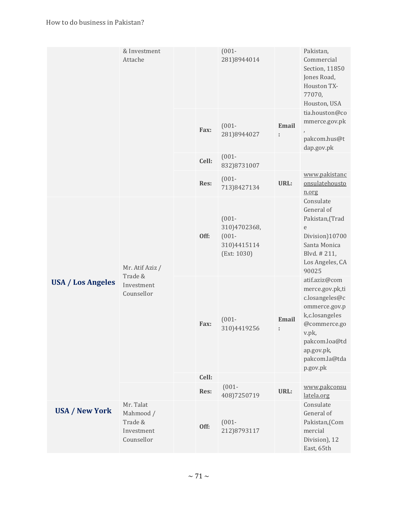|                          | & Investment<br>Attache                                       |  |       | $(001 -$<br>281)8944014                                            |            | Pakistan,<br>Commercial<br>Section, 11850<br>Jones Road,<br>Houston TX-<br>77070,<br>Houston, USA                                                                          |
|--------------------------|---------------------------------------------------------------|--|-------|--------------------------------------------------------------------|------------|----------------------------------------------------------------------------------------------------------------------------------------------------------------------------|
|                          |                                                               |  | Fax:  | $(001 -$<br>281)8944027                                            | Email<br>t | tia.houston@co<br>mmerce.gov.pk<br>$\overline{1}$<br>pakcom.hus@t<br>dap.gov.pk                                                                                            |
|                          |                                                               |  | Cell: | $(001 -$<br>832)8731007                                            |            |                                                                                                                                                                            |
|                          |                                                               |  | Res:  | $(001 -$<br>713)8427134                                            | URL:       | www.pakistanc<br>onsulatehousto<br>n.org                                                                                                                                   |
| <b>USA / Los Angeles</b> | Mr. Atif Aziz /<br>Trade &<br>Investment<br>Counsellor        |  | Off:  | $(001 -$<br>310)4702368,<br>$(001 -$<br>310)4415114<br>(Ext: 1030) |            | Consulate<br>General of<br>Pakistan, (Trad<br>e<br>Division)10700<br>Santa Monica<br>Blvd. #211,<br>Los Angeles, CA<br>90025                                               |
|                          |                                                               |  | Fax:  | $(001 -$<br>310)4419256                                            | Email<br>t | atif.aziz@com<br>merce.gov.pk,ti<br>c.losangeles@c<br>ommerce.gov.p<br>k,c.losangeles<br>@commerce.go<br>v.pk,<br>pakcom.loa@td<br>ap.gov.pk,<br>pakcom.la@tda<br>p.gov.pk |
|                          |                                                               |  | Cell: | $(001 -$                                                           |            | www.pakconsu                                                                                                                                                               |
|                          |                                                               |  | Res:  | 408)7250719                                                        | URL:       | latela.org                                                                                                                                                                 |
| <b>USA / New York</b>    | Mr. Talat<br>Mahmood /<br>Trade &<br>Investment<br>Counsellor |  | Off:  | $(001 -$<br>212)8793117                                            |            | Consulate<br>General of<br>Pakistan,(Com<br>mercial<br>Division), 12<br>East, 65th                                                                                         |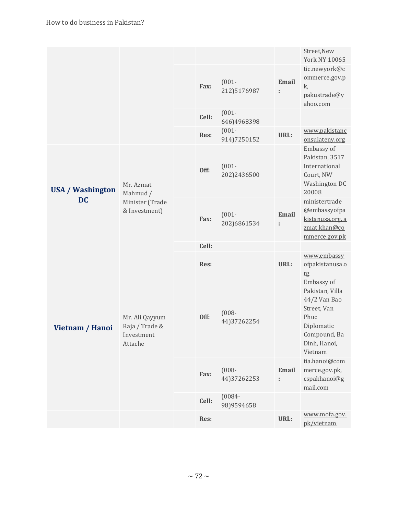|                                      |                                                           |       |                          |                   | Street, New<br><b>York NY 10065</b>                                                                                           |
|--------------------------------------|-----------------------------------------------------------|-------|--------------------------|-------------------|-------------------------------------------------------------------------------------------------------------------------------|
|                                      |                                                           | Fax:  | $(001 -$<br>212)5176987  | Email<br>t,       | tic.newyork@c<br>ommerce.gov.p<br>k,<br>pakustrade@y<br>ahoo.com                                                              |
|                                      |                                                           | Cell: | $(001 -$<br>646)4968398  |                   |                                                                                                                               |
|                                      |                                                           | Res:  | $(001 -$<br>914)7250152  | URL:              | www.pakistanc<br>onsulateny.org                                                                                               |
| <b>USA / Washington</b><br><b>DC</b> | Mr. Azmat<br>Mahmud /                                     | Off:  | $(001 -$<br>202)2436500  |                   | Embassy of<br>Pakistan, 3517<br>International<br>Court, NW<br>Washington DC<br>20008                                          |
|                                      | Minister (Trade<br>& Investment)                          | Fax:  | $(001 -$<br>202)6861534  | <b>Email</b><br>t | ministertrade<br>@embassyofpa<br>kistanusa.org, a<br>zmat.khan@co<br>mmerce.gov.pk                                            |
|                                      |                                                           | Cell: |                          |                   |                                                                                                                               |
|                                      |                                                           | Res:  |                          | URL:              | www.embassy<br>ofpakistanusa.o<br>rg                                                                                          |
| Vietnam / Hanoi                      | Mr. Ali Qayyum<br>Raja / Trade &<br>Investment<br>Attache | Off:  | $(008 -$<br>44) 37262254 |                   | Embassy of<br>Pakistan, Villa<br>44/2 Van Bao<br>Street, Van<br>Phuc<br>Diplomatic<br>Compound, Ba<br>Dinh, Hanoi,<br>Vietnam |
|                                      |                                                           | Fax:  | $(008 -$<br>44) 37262253 | Email<br>ř.       | tia.hanoi@com<br>merce.gov.pk,<br>cspakhanoi@g<br>mail.com                                                                    |
|                                      |                                                           | Cell: | $(0084 -$<br>98)9594658  |                   |                                                                                                                               |
|                                      |                                                           | Res:  |                          | URL:              | www.mofa.gov.<br>pk/vietnam                                                                                                   |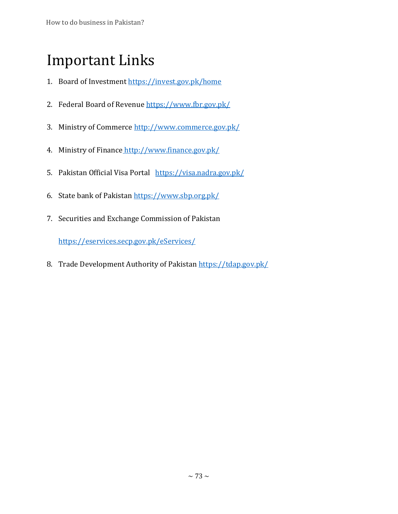## Important Links

- 1. Board of Investment<https://invest.gov.pk/home>
- 2. Federal Board of Revenue<https://www.fbr.gov.pk/>
- 3. Ministry of Commerce<http://www.commerce.gov.pk/>
- 4. Ministry of Finance http://www.finance.gov.pk/
- 5. Pakistan Official Visa Portal <https://visa.nadra.gov.pk/>
- 6. State bank of Pakistan<https://www.sbp.org.pk/>
- 7. Securities and Exchange Commission of Pakistan

<https://eservices.secp.gov.pk/eServices/>

8. Trade Development Authority of Pakistan<https://tdap.gov.pk/>